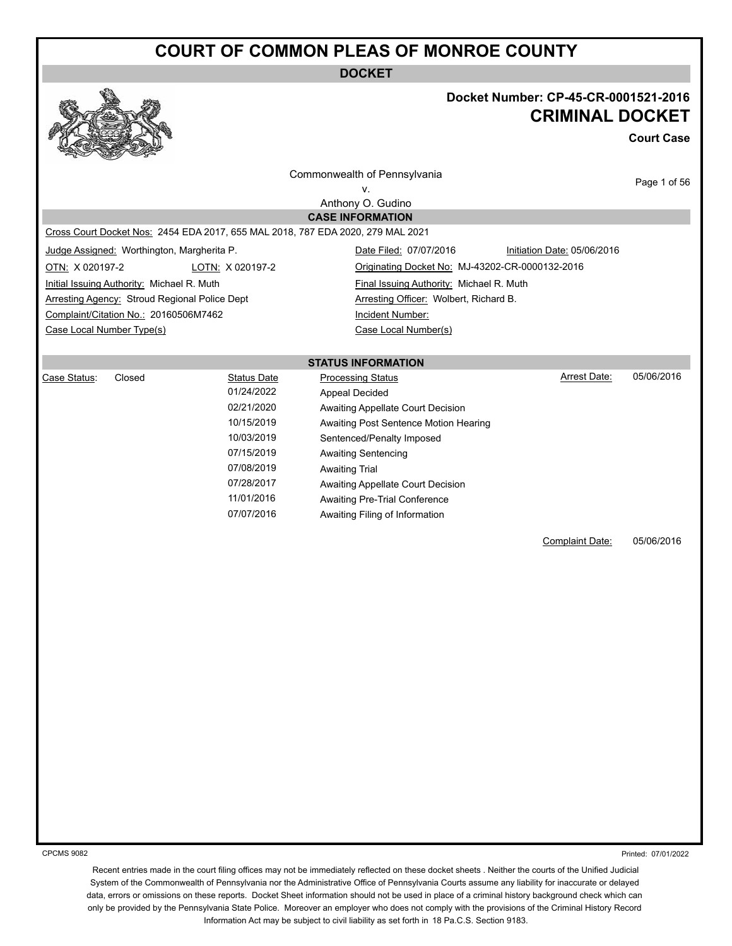**DOCKET**



#### **Docket Number: CP-45-CR-0001521-2016 CRIMINAL DOCKET**

**Court Case**

|                           |                                               |                    | Commonwealth of Pennsylvania                                                    |                             |            |
|---------------------------|-----------------------------------------------|--------------------|---------------------------------------------------------------------------------|-----------------------------|------------|
| v.                        |                                               |                    |                                                                                 | Page 1 of 56                |            |
|                           |                                               |                    | Anthony O. Gudino                                                               |                             |            |
|                           |                                               |                    | <b>CASE INFORMATION</b>                                                         |                             |            |
|                           |                                               |                    | Cross Court Docket Nos: 2454 EDA 2017, 655 MAL 2018, 787 EDA 2020, 279 MAL 2021 |                             |            |
|                           | Judge Assigned: Worthington, Margherita P.    |                    | Date Filed: 07/07/2016                                                          | Initiation Date: 05/06/2016 |            |
| OTN: X 020197-2           |                                               | LOTN: X 020197-2   | Originating Docket No: MJ-43202-CR-0000132-2016                                 |                             |            |
|                           | Initial Issuing Authority: Michael R. Muth    |                    | Final Issuing Authority: Michael R. Muth                                        |                             |            |
|                           | Arresting Agency: Stroud Regional Police Dept |                    | Arresting Officer: Wolbert, Richard B.                                          |                             |            |
|                           | Complaint/Citation No.: 20160506M7462         |                    | Incident Number:                                                                |                             |            |
| Case Local Number Type(s) |                                               |                    | Case Local Number(s)                                                            |                             |            |
|                           |                                               |                    |                                                                                 |                             |            |
|                           |                                               |                    | <b>STATUS INFORMATION</b>                                                       |                             |            |
| Case Status:              | Closed                                        | <b>Status Date</b> | <b>Processing Status</b>                                                        | Arrest Date:                | 05/06/2016 |
|                           |                                               | 01/24/2022         | <b>Appeal Decided</b>                                                           |                             |            |
|                           |                                               | 02/21/2020         | Awaiting Appellate Court Decision                                               |                             |            |
|                           |                                               | 10/15/2019         | Awaiting Post Sentence Motion Hearing                                           |                             |            |
|                           |                                               | 10/03/2019         | Sentenced/Penalty Imposed                                                       |                             |            |
|                           |                                               | 07/15/2019         | <b>Awaiting Sentencing</b>                                                      |                             |            |
|                           |                                               | 07/08/2019         | <b>Awaiting Trial</b>                                                           |                             |            |
|                           |                                               | 07/28/2017         | Awaiting Appellate Court Decision                                               |                             |            |
|                           |                                               | 11/01/2016         | <b>Awaiting Pre-Trial Conference</b>                                            |                             |            |
|                           |                                               | 07/07/2016         | Awaiting Filing of Information                                                  |                             |            |
|                           |                                               |                    |                                                                                 |                             |            |
|                           |                                               |                    |                                                                                 | Complaint Date:             | 05/06/2016 |
|                           |                                               |                    |                                                                                 |                             |            |
|                           |                                               |                    |                                                                                 |                             |            |

CPCMS 9082

Printed: 07/01/2022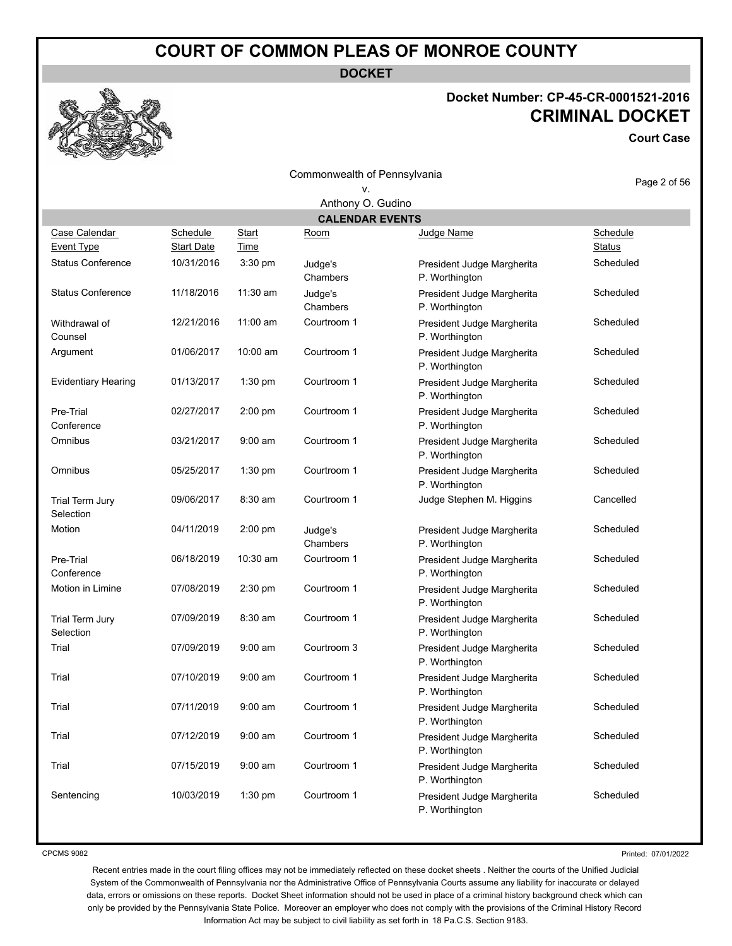**DOCKET**

#### **Docket Number: CP-45-CR-0001521-2016 CRIMINAL DOCKET**

**Court Case**

| Commonwealth of Pennsylvania       |                               |               |                                |                                              | Page 2 of 56  |
|------------------------------------|-------------------------------|---------------|--------------------------------|----------------------------------------------|---------------|
|                                    |                               |               |                                |                                              |               |
|                                    |                               |               | Anthony O. Gudino              |                                              |               |
|                                    |                               |               | <b>CALENDAR EVENTS</b><br>Room |                                              | Schedule      |
| Case Calendar<br><b>Event Type</b> | Schedule<br><b>Start Date</b> | Start<br>Time |                                | Judge Name                                   | <b>Status</b> |
| <b>Status Conference</b>           | 10/31/2016                    | 3:30 pm       | Judge's<br>Chambers            | President Judge Margherita<br>P. Worthington | Scheduled     |
| <b>Status Conference</b>           | 11/18/2016                    | 11:30 am      | Judge's<br>Chambers            | President Judge Margherita<br>P. Worthington | Scheduled     |
| Withdrawal of<br>Counsel           | 12/21/2016                    | $11:00$ am    | Courtroom 1                    | President Judge Margherita<br>P. Worthington | Scheduled     |
| Argument                           | 01/06/2017                    | 10:00 am      | Courtroom 1                    | President Judge Margherita<br>P. Worthington | Scheduled     |
| <b>Evidentiary Hearing</b>         | 01/13/2017                    | 1:30 pm       | Courtroom 1                    | President Judge Margherita<br>P. Worthington | Scheduled     |
| Pre-Trial<br>Conference            | 02/27/2017                    | 2:00 pm       | Courtroom 1                    | President Judge Margherita<br>P. Worthington | Scheduled     |
| Omnibus                            | 03/21/2017                    | $9:00$ am     | Courtroom 1                    | President Judge Margherita<br>P. Worthington | Scheduled     |
| Omnibus                            | 05/25/2017                    | 1:30 pm       | Courtroom 1                    | President Judge Margherita<br>P. Worthington | Scheduled     |
| Trial Term Jury<br>Selection       | 09/06/2017                    | $8:30$ am     | Courtroom 1                    | Judge Stephen M. Higgins                     | Cancelled     |
| Motion                             | 04/11/2019                    | 2:00 pm       | Judge's<br>Chambers            | President Judge Margherita<br>P. Worthington | Scheduled     |
| Pre-Trial<br>Conference            | 06/18/2019                    | $10:30$ am    | Courtroom 1                    | President Judge Margherita<br>P. Worthington | Scheduled     |
| Motion in Limine                   | 07/08/2019                    | 2:30 pm       | Courtroom 1                    | President Judge Margherita<br>P. Worthington | Scheduled     |
| Trial Term Jury<br>Selection       | 07/09/2019                    | $8:30$ am     | Courtroom 1                    | President Judge Margherita<br>P. Worthington | Scheduled     |
| Trial                              | 07/09/2019                    | $9:00$ am     | Courtroom 3                    | President Judge Margherita<br>P. Worthington | Scheduled     |
| Trial                              | 07/10/2019                    | $9:00$ am     | Courtroom 1                    | President Judge Margherita<br>P. Worthington | Scheduled     |
| Trial                              | 07/11/2019                    | $9:00$ am     | Courtroom 1                    | President Judge Margherita<br>P. Worthington | Scheduled     |
| Trial                              | 07/12/2019                    | $9:00$ am     | Courtroom 1                    | President Judge Margherita<br>P. Worthington | Scheduled     |
| Trial                              | 07/15/2019                    | $9:00$ am     | Courtroom 1                    | President Judge Margherita<br>P. Worthington | Scheduled     |
| Sentencing                         | 10/03/2019                    | 1:30 pm       | Courtroom 1                    | President Judge Margherita<br>P. Worthington | Scheduled     |

CPCMS 9082

Printed: 07/01/2022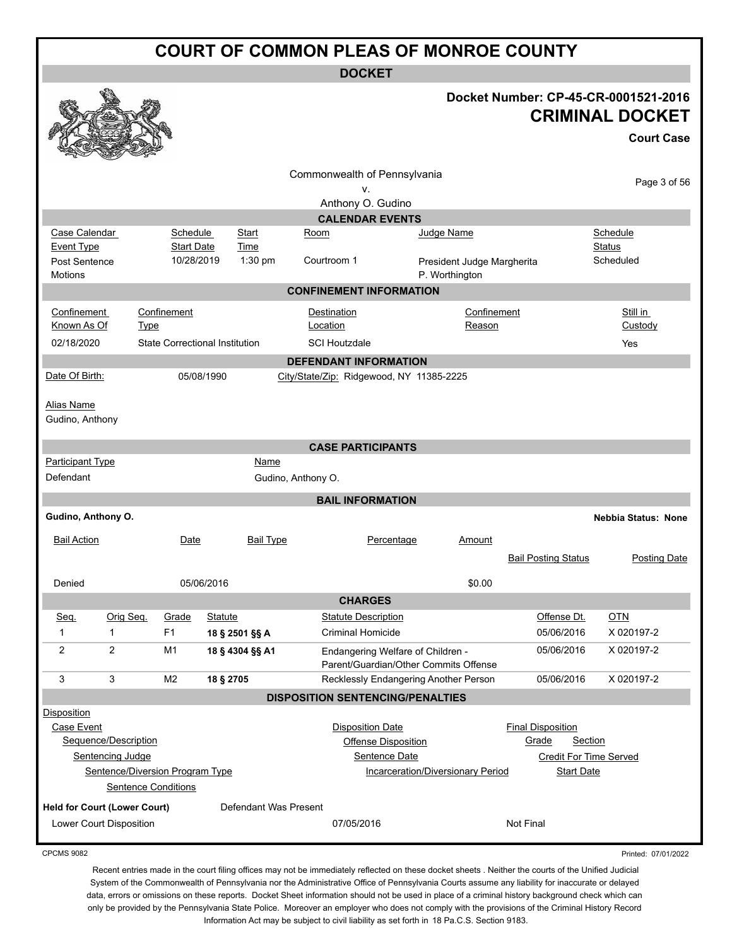**DOCKET**

#### **Docket Number: CP-45-CR-0001521-2016 CRIMINAL DOCKET**

|                                     |                                 |                                      |                                       |                       |                                                                            |                |                            |                            | <b>Court Case</b>          |
|-------------------------------------|---------------------------------|--------------------------------------|---------------------------------------|-----------------------|----------------------------------------------------------------------------|----------------|----------------------------|----------------------------|----------------------------|
|                                     |                                 |                                      |                                       |                       | Commonwealth of Pennsylvania<br>ν.                                         |                |                            |                            | Page 3 of 56               |
|                                     |                                 |                                      |                                       |                       | Anthony O. Gudino                                                          |                |                            |                            |                            |
|                                     |                                 |                                      |                                       |                       | <b>CALENDAR EVENTS</b>                                                     |                |                            |                            |                            |
| Case Calendar<br>Event Type         |                                 | <b>Schedule</b><br><b>Start Date</b> | <b>Start</b><br>Time                  | Room                  |                                                                            | Judge Name     |                            |                            | Schedule<br><b>Status</b>  |
| Post Sentence                       |                                 | 10/28/2019                           | $1:30$ pm                             |                       | Courtroom 1                                                                |                | President Judge Margherita |                            | Scheduled                  |
| <b>Motions</b>                      |                                 |                                      |                                       |                       |                                                                            | P. Worthington |                            |                            |                            |
|                                     |                                 |                                      |                                       |                       | <b>CONFINEMENT INFORMATION</b>                                             |                |                            |                            |                            |
| Confinement                         |                                 | Confinement                          |                                       |                       | Destination                                                                |                | Confinement                |                            | Still in                   |
| Known As Of                         | <b>Type</b>                     |                                      |                                       |                       | Location                                                                   |                | Reason                     |                            | Custody                    |
| 02/18/2020                          |                                 |                                      | <b>State Correctional Institution</b> |                       | <b>SCI Houtzdale</b>                                                       |                |                            |                            | Yes                        |
|                                     |                                 |                                      |                                       |                       | <b>DEFENDANT INFORMATION</b>                                               |                |                            |                            |                            |
| Date Of Birth:                      |                                 |                                      | 05/08/1990                            |                       | City/State/Zip: Ridgewood, NY 11385-2225                                   |                |                            |                            |                            |
| Alias Name<br>Gudino, Anthony       |                                 |                                      |                                       |                       |                                                                            |                |                            |                            |                            |
|                                     |                                 |                                      |                                       |                       | <b>CASE PARTICIPANTS</b>                                                   |                |                            |                            |                            |
| <b>Participant Type</b>             |                                 |                                      | <b>Name</b>                           |                       |                                                                            |                |                            |                            |                            |
| Defendant                           |                                 |                                      |                                       | Gudino, Anthony O.    |                                                                            |                |                            |                            |                            |
|                                     |                                 |                                      |                                       |                       | <b>BAIL INFORMATION</b>                                                    |                |                            |                            |                            |
| Gudino, Anthony O.                  |                                 |                                      |                                       |                       |                                                                            |                |                            |                            | <b>Nebbia Status: None</b> |
| <b>Bail Action</b>                  |                                 | Date                                 | <b>Bail Type</b>                      |                       | Percentage                                                                 |                | Amount                     |                            |                            |
|                                     |                                 |                                      |                                       |                       |                                                                            |                |                            | <b>Bail Posting Status</b> | Posting Date               |
|                                     |                                 |                                      |                                       |                       |                                                                            |                |                            |                            |                            |
| Denied                              |                                 |                                      | 05/06/2016                            |                       |                                                                            |                | \$0.00                     |                            |                            |
|                                     |                                 |                                      |                                       |                       | <b>CHARGES</b>                                                             |                |                            |                            |                            |
| Seq.                                | Orig Seq.                       | Grade                                | <b>Statute</b>                        |                       | <b>Statute Description</b>                                                 |                |                            | Offense Dt.                | OTN                        |
| $\mathbf{1}$                        | 1                               | F <sub>1</sub>                       | 18 § 2501 §§ A                        |                       | <b>Criminal Homicide</b>                                                   |                |                            | 05/06/2016                 | X 020197-2                 |
| $\overline{2}$                      | 2                               | M1                                   | 18 § 4304 §§ A1                       |                       | Endangering Welfare of Children -<br>Parent/Guardian/Other Commits Offense |                |                            | 05/06/2016                 | X 020197-2                 |
| 3                                   | 3                               | M <sub>2</sub>                       | 18 § 2705                             |                       | Recklessly Endangering Another Person                                      |                |                            | 05/06/2016                 | X 020197-2                 |
|                                     |                                 |                                      |                                       |                       | <b>DISPOSITION SENTENCING/PENALTIES</b>                                    |                |                            |                            |                            |
| <b>Disposition</b>                  |                                 |                                      |                                       |                       |                                                                            |                |                            |                            |                            |
| Case Event                          |                                 |                                      |                                       |                       | <b>Disposition Date</b>                                                    |                |                            | <b>Final Disposition</b>   |                            |
|                                     | Sequence/Description            |                                      |                                       |                       | Offense Disposition                                                        |                |                            | Grade                      | <b>Section</b>             |
|                                     | Sentencing Judge                |                                      |                                       |                       | Sentence Date                                                              |                |                            |                            | Credit For Time Served     |
|                                     | Sentence/Diversion Program Type |                                      |                                       |                       | <b>Incarceration/Diversionary Period</b>                                   |                |                            | <b>Start Date</b>          |                            |
|                                     | <b>Sentence Conditions</b>      |                                      |                                       |                       |                                                                            |                |                            |                            |                            |
| <b>Held for Court (Lower Court)</b> |                                 |                                      |                                       | Defendant Was Present |                                                                            |                |                            |                            |                            |
|                                     | Lower Court Disposition         |                                      |                                       |                       | 07/05/2016                                                                 |                |                            | Not Final                  |                            |

CPCMS 9082

Printed: 07/01/2022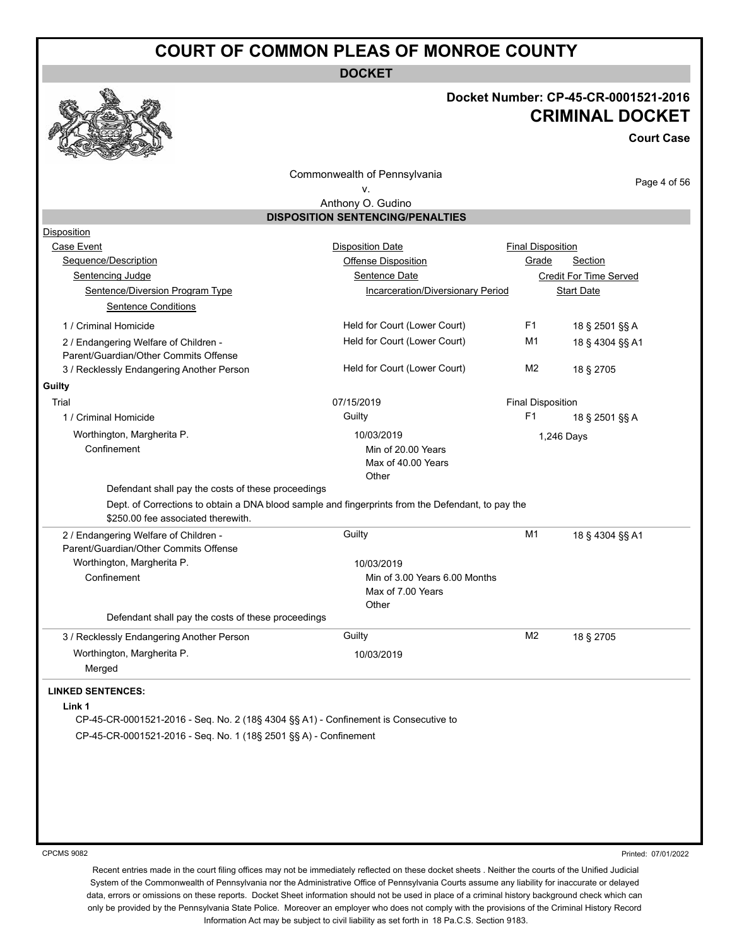**DOCKET**

#### **Docket Number: CP-45-CR-0001521-2016 CRIMINAL DOCKET**

**Court Case**

Commonwealth of Pennsylvania

Page 4 of 56

#### v. Anthony O. Gudino **DISPOSITION SENTENCING/PENALTIES**

| Disposition                                                                                                                             |                                   |                          |                               |
|-----------------------------------------------------------------------------------------------------------------------------------------|-----------------------------------|--------------------------|-------------------------------|
| Case Event                                                                                                                              | <b>Disposition Date</b>           | <b>Final Disposition</b> |                               |
| Sequence/Description                                                                                                                    | Offense Disposition               | Grade                    | Section                       |
| Sentencing Judge                                                                                                                        | Sentence Date                     |                          | <b>Credit For Time Served</b> |
| Sentence/Diversion Program Type                                                                                                         | Incarceration/Diversionary Period |                          | <b>Start Date</b>             |
| <b>Sentence Conditions</b>                                                                                                              |                                   |                          |                               |
| 1 / Criminal Homicide                                                                                                                   | Held for Court (Lower Court)      | F <sub>1</sub>           | 18 § 2501 §§ A                |
| 2 / Endangering Welfare of Children -                                                                                                   | Held for Court (Lower Court)      | M1                       | 18 § 4304 §§ A1               |
| Parent/Guardian/Other Commits Offense                                                                                                   |                                   |                          |                               |
| 3 / Recklessly Endangering Another Person                                                                                               | Held for Court (Lower Court)      | M <sub>2</sub>           | 18 § 2705                     |
| Guilty                                                                                                                                  |                                   |                          |                               |
| Trial                                                                                                                                   | 07/15/2019                        | <b>Final Disposition</b> |                               |
| 1 / Criminal Homicide                                                                                                                   | Guilty                            | F1                       | 18 § 2501 §§ A                |
| Worthington, Margherita P.                                                                                                              | 10/03/2019                        | 1,246 Days               |                               |
| Confinement                                                                                                                             | Min of 20.00 Years                |                          |                               |
|                                                                                                                                         | Max of 40.00 Years                |                          |                               |
|                                                                                                                                         | Other                             |                          |                               |
| Defendant shall pay the costs of these proceedings                                                                                      |                                   |                          |                               |
| Dept. of Corrections to obtain a DNA blood sample and fingerprints from the Defendant, to pay the<br>\$250.00 fee associated therewith. |                                   |                          |                               |
| 2 / Endangering Welfare of Children -                                                                                                   | Guilty                            | M <sub>1</sub>           | 18 § 4304 §§ A1               |
| Parent/Guardian/Other Commits Offense                                                                                                   |                                   |                          |                               |
| Worthington, Margherita P.                                                                                                              | 10/03/2019                        |                          |                               |
| Confinement                                                                                                                             | Min of 3.00 Years 6.00 Months     |                          |                               |
|                                                                                                                                         | Max of 7.00 Years                 |                          |                               |
|                                                                                                                                         | Other                             |                          |                               |
| Defendant shall pay the costs of these proceedings                                                                                      |                                   |                          |                               |
| 3 / Recklessly Endangering Another Person                                                                                               | Guilty                            | M <sub>2</sub>           | 18 § 2705                     |
| Worthington, Margherita P.                                                                                                              | 10/03/2019                        |                          |                               |
| Merged                                                                                                                                  |                                   |                          |                               |
| <b>LINKED SENTENCES:</b>                                                                                                                |                                   |                          |                               |
| Link 1                                                                                                                                  |                                   |                          |                               |
| CP-45-CR-0001521-2016 - Seq. No. 2 (18§ 4304 §§ A1) - Confinement is Consecutive to                                                     |                                   |                          |                               |
| CP-45-CR-0001521-2016 - Seq. No. 1 (18§ 2501 §§ A) - Confinement                                                                        |                                   |                          |                               |
|                                                                                                                                         |                                   |                          |                               |
|                                                                                                                                         |                                   |                          |                               |
|                                                                                                                                         |                                   |                          |                               |
|                                                                                                                                         |                                   |                          |                               |
|                                                                                                                                         |                                   |                          |                               |
|                                                                                                                                         |                                   |                          |                               |
|                                                                                                                                         |                                   |                          |                               |

CPCMS 9082

Printed: 07/01/2022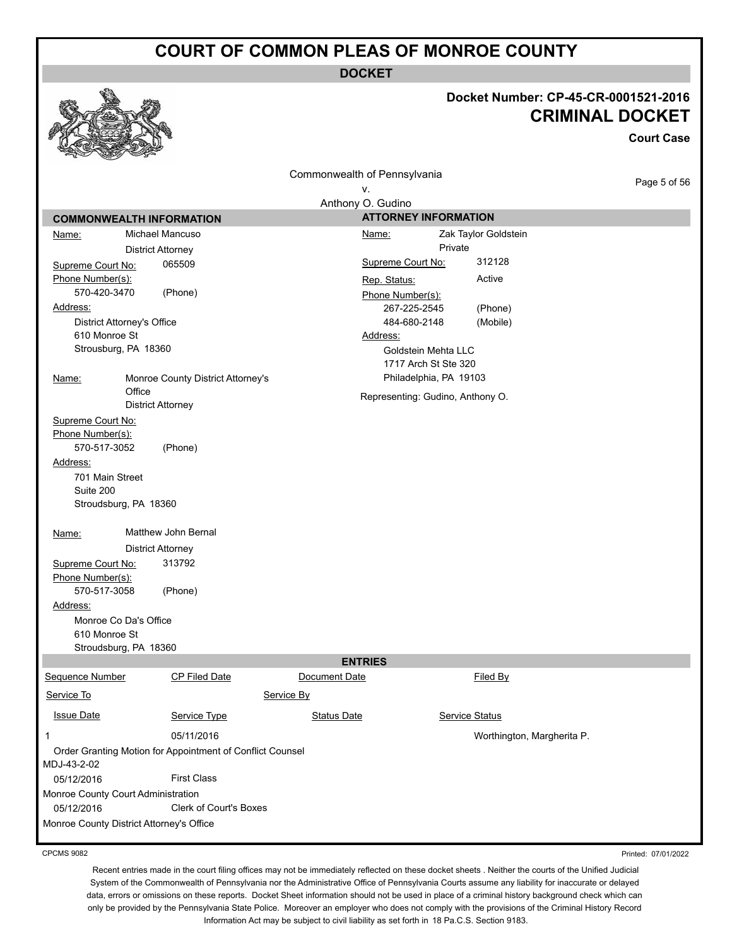**DOCKET**

# **Docket Number: CP-45-CR-0001521-2016**

|                        |                                                           |                                  |                                             |                            | <b>CRIMINAL DOCKET</b><br><b>Court Case</b> |
|------------------------|-----------------------------------------------------------|----------------------------------|---------------------------------------------|----------------------------|---------------------------------------------|
|                        |                                                           | Commonwealth of Pennsylvania     |                                             |                            |                                             |
|                        |                                                           | ۷.                               |                                             |                            | Page 5 of 56                                |
|                        |                                                           | Anthony O. Gudino                |                                             |                            |                                             |
|                        | <b>COMMONWEALTH INFORMATION</b>                           |                                  | <b>ATTORNEY INFORMATION</b>                 |                            |                                             |
| Name:                  | Michael Mancuso                                           | <u>Name:</u>                     |                                             | Zak Taylor Goldstein       |                                             |
|                        | <b>District Attorney</b>                                  |                                  | Private                                     |                            |                                             |
| Supreme Court No:      | 065509                                                    | Supreme Court No:                |                                             | 312128                     |                                             |
| Phone Number(s):       |                                                           | Rep. Status:                     |                                             | Active                     |                                             |
| 570-420-3470           | (Phone)                                                   | Phone Number(s):                 |                                             |                            |                                             |
| Address:               |                                                           |                                  | 267-225-2545                                | (Phone)                    |                                             |
|                        | District Attorney's Office                                |                                  | 484-680-2148                                | (Mobile)                   |                                             |
|                        | 610 Monroe St<br>Strousburg, PA 18360                     | Address:                         |                                             |                            |                                             |
|                        |                                                           |                                  | Goldstein Mehta LLC<br>1717 Arch St Ste 320 |                            |                                             |
| <u>Name:</u>           | Monroe County District Attorney's                         |                                  | Philadelphia, PA 19103                      |                            |                                             |
|                        | Office                                                    |                                  |                                             |                            |                                             |
|                        | <b>District Attorney</b>                                  | Representing: Gudino, Anthony O. |                                             |                            |                                             |
| Supreme Court No:      |                                                           |                                  |                                             |                            |                                             |
| Phone Number(s):       |                                                           |                                  |                                             |                            |                                             |
| 570-517-3052           | (Phone)                                                   |                                  |                                             |                            |                                             |
| Address:               |                                                           |                                  |                                             |                            |                                             |
|                        | 701 Main Street                                           |                                  |                                             |                            |                                             |
| Suite 200              |                                                           |                                  |                                             |                            |                                             |
|                        | Stroudsburg, PA 18360                                     |                                  |                                             |                            |                                             |
|                        |                                                           |                                  |                                             |                            |                                             |
| Name:                  | Matthew John Bernal                                       |                                  |                                             |                            |                                             |
|                        | <b>District Attorney</b>                                  |                                  |                                             |                            |                                             |
| Supreme Court No:      | 313792                                                    |                                  |                                             |                            |                                             |
| Phone Number(s):       |                                                           |                                  |                                             |                            |                                             |
| 570-517-3058           | (Phone)                                                   |                                  |                                             |                            |                                             |
| Address:               |                                                           |                                  |                                             |                            |                                             |
|                        | Monroe Co Da's Office<br>610 Monroe St                    |                                  |                                             |                            |                                             |
|                        | Stroudsburg, PA 18360                                     |                                  |                                             |                            |                                             |
|                        |                                                           | <b>ENTRIES</b>                   |                                             |                            |                                             |
| <b>Sequence Number</b> | CP Filed Date                                             | Document Date                    |                                             | <b>Filed By</b>            |                                             |
| Service To             |                                                           | Service By                       |                                             |                            |                                             |
|                        |                                                           |                                  |                                             |                            |                                             |
| <b>Issue Date</b>      | Service Type                                              | <b>Status Date</b>               |                                             | Service Status             |                                             |
| 1                      | 05/11/2016                                                |                                  |                                             | Worthington, Margherita P. |                                             |
|                        | Order Granting Motion for Appointment of Conflict Counsel |                                  |                                             |                            |                                             |
| MDJ-43-2-02            |                                                           |                                  |                                             |                            |                                             |
| 05/12/2016             | <b>First Class</b>                                        |                                  |                                             |                            |                                             |
|                        | Monroe County Court Administration                        |                                  |                                             |                            |                                             |
| 05/12/2016             | Clerk of Court's Boxes                                    |                                  |                                             |                            |                                             |
|                        | Monroe County District Attorney's Office                  |                                  |                                             |                            |                                             |

 $\mathcal{P}$ 

539

ena

CPCMS 9082

Printed: 07/01/2022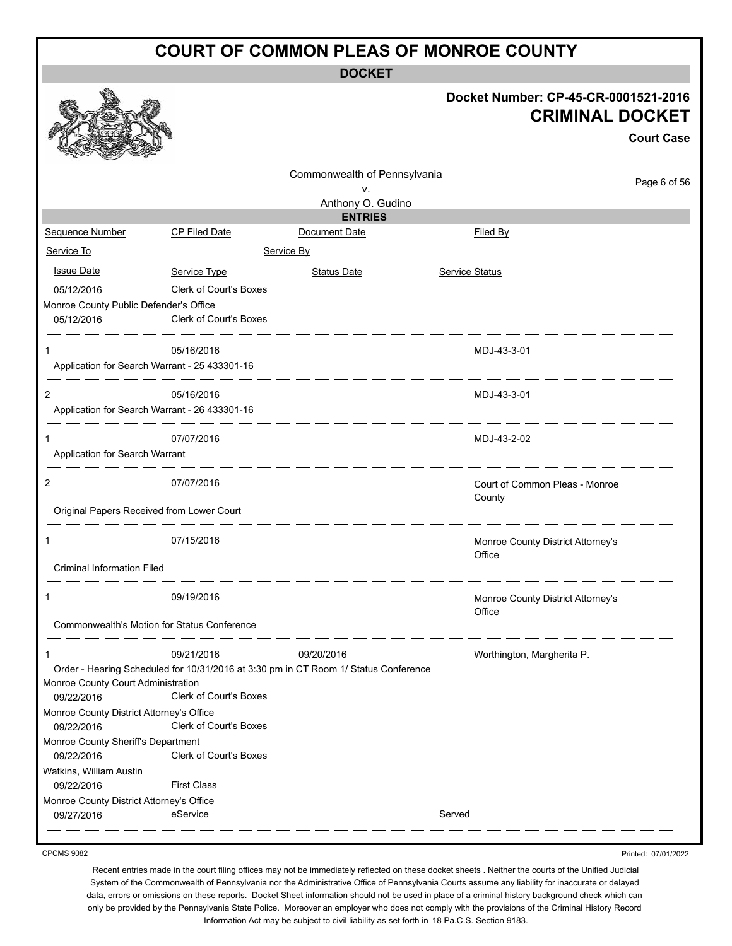**DOCKET**

#### **Docket Number: CP-45-CR-0001521-2016 CRIMINAL DOCKET**

|                                                      |                                               |                                                                                                                         |                                   | <b>Court Case</b> |
|------------------------------------------------------|-----------------------------------------------|-------------------------------------------------------------------------------------------------------------------------|-----------------------------------|-------------------|
|                                                      |                                               | Commonwealth of Pennsylvania                                                                                            |                                   | Page 6 of 56      |
|                                                      |                                               | v.                                                                                                                      |                                   |                   |
|                                                      |                                               | Anthony O. Gudino<br><b>ENTRIES</b>                                                                                     |                                   |                   |
| Sequence Number                                      | <b>CP Filed Date</b>                          | Document Date                                                                                                           | Filed By                          |                   |
| Service To                                           |                                               | Service By                                                                                                              |                                   |                   |
| <b>Issue Date</b>                                    |                                               |                                                                                                                         |                                   |                   |
|                                                      | Service Type<br>Clerk of Court's Boxes        | <b>Status Date</b>                                                                                                      | <b>Service Status</b>             |                   |
| 05/12/2016<br>Monroe County Public Defender's Office |                                               |                                                                                                                         |                                   |                   |
| 05/12/2016                                           | <b>Clerk of Court's Boxes</b>                 |                                                                                                                         |                                   |                   |
|                                                      |                                               | <u> 1988 - Andrea 1988 - Andrea 1989 - Andrea 1989 - Andrea 1989 - Andrea 1989 - Andrea 1989 - Andrea 1989 - Andrea</u> |                                   |                   |
| 1                                                    | 05/16/2016                                    |                                                                                                                         | MDJ-43-3-01                       |                   |
|                                                      | Application for Search Warrant - 25 433301-16 |                                                                                                                         |                                   |                   |
|                                                      | - - - - - - - - - - - - - - -                 |                                                                                                                         |                                   |                   |
| 2                                                    | 05/16/2016                                    |                                                                                                                         | MDJ-43-3-01                       |                   |
|                                                      | Application for Search Warrant - 26 433301-16 | - 2000 - 2000 - 2000 - 2000 - 2000 - 2000 - 2000 - 2000 - 2000 - 2000 - 2000 - 2000 - 2000 - 2000 - 2000 - 200          |                                   |                   |
| 1                                                    | 07/07/2016                                    |                                                                                                                         | MDJ-43-2-02                       |                   |
| Application for Search Warrant                       |                                               |                                                                                                                         |                                   |                   |
|                                                      |                                               | <u> 1988 - An Aon Aon ann an Aon an Aon an Aon an Aon an </u>                                                           |                                   |                   |
| 2                                                    | 07/07/2016                                    |                                                                                                                         | Court of Common Pleas - Monroe    |                   |
| Original Papers Received from Lower Court            |                                               |                                                                                                                         | County                            |                   |
|                                                      |                                               |                                                                                                                         | _ _ _ _ _ _                       |                   |
| 1                                                    | 07/15/2016                                    |                                                                                                                         | Monroe County District Attorney's |                   |
|                                                      |                                               |                                                                                                                         | Office                            |                   |
| <b>Criminal Information Filed</b>                    |                                               |                                                                                                                         |                                   |                   |
| 1                                                    | 09/19/2016                                    |                                                                                                                         | Monroe County District Attorney's |                   |
|                                                      |                                               |                                                                                                                         | Office                            |                   |
|                                                      | Commonwealth's Motion for Status Conference   |                                                                                                                         |                                   |                   |
|                                                      |                                               |                                                                                                                         |                                   |                   |
|                                                      | 09/21/2016                                    | 09/20/2016<br>Order - Hearing Scheduled for 10/31/2016 at 3:30 pm in CT Room 1/ Status Conference                       | Worthington, Margherita P.        |                   |
| Monroe County Court Administration                   |                                               |                                                                                                                         |                                   |                   |
| 09/22/2016                                           | Clerk of Court's Boxes                        |                                                                                                                         |                                   |                   |
| Monroe County District Attorney's Office             |                                               |                                                                                                                         |                                   |                   |
| 09/22/2016                                           | Clerk of Court's Boxes                        |                                                                                                                         |                                   |                   |
| Monroe County Sheriff's Department                   |                                               |                                                                                                                         |                                   |                   |
| 09/22/2016                                           | Clerk of Court's Boxes                        |                                                                                                                         |                                   |                   |
| Watkins, William Austin                              |                                               |                                                                                                                         |                                   |                   |
| 09/22/2016                                           | <b>First Class</b>                            |                                                                                                                         |                                   |                   |
| Monroe County District Attorney's Office             |                                               |                                                                                                                         |                                   |                   |
| 09/27/2016                                           | eService                                      |                                                                                                                         | Served                            |                   |

CPCMS 9082

Printed: 07/01/2022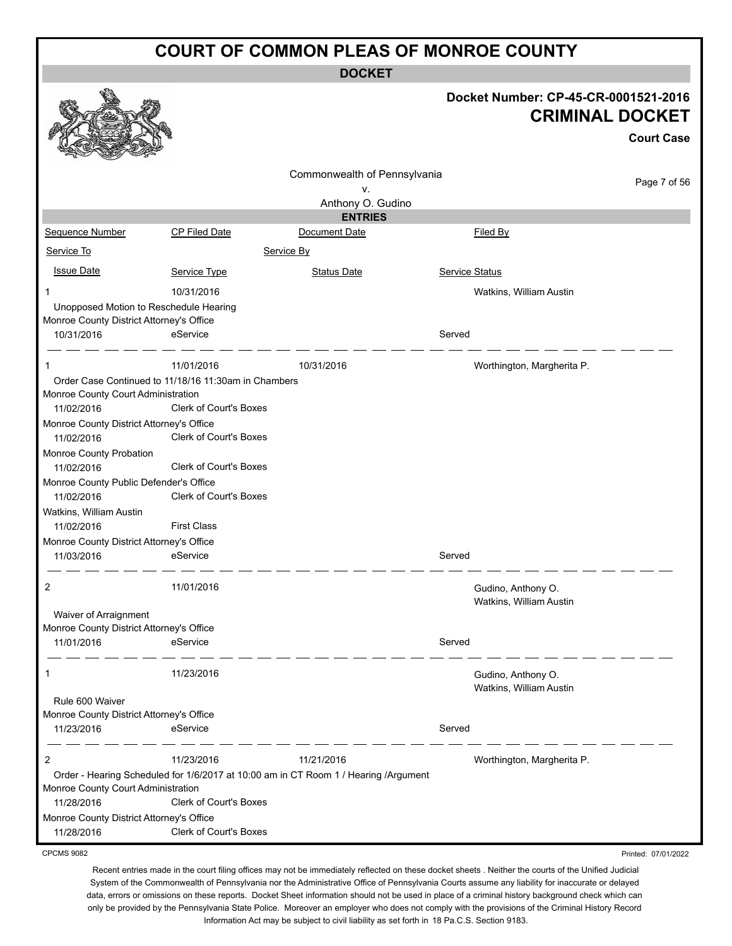**DOCKET**

|                                                        |                               | DUUNE 1                                                                             |                |                                                                |                     |
|--------------------------------------------------------|-------------------------------|-------------------------------------------------------------------------------------|----------------|----------------------------------------------------------------|---------------------|
|                                                        |                               |                                                                                     |                | Docket Number: CP-45-CR-0001521-2016<br><b>CRIMINAL DOCKET</b> |                     |
|                                                        |                               |                                                                                     |                |                                                                | <b>Court Case</b>   |
|                                                        |                               | Commonwealth of Pennsylvania                                                        |                |                                                                | Page 7 of 56        |
|                                                        |                               | v.                                                                                  |                |                                                                |                     |
|                                                        |                               | Anthony O. Gudino<br><b>ENTRIES</b>                                                 |                |                                                                |                     |
| Sequence Number                                        | <b>CP Filed Date</b>          | Document Date                                                                       |                | Filed By                                                       |                     |
| Service To                                             |                               | Service By                                                                          |                |                                                                |                     |
|                                                        |                               |                                                                                     |                |                                                                |                     |
| <b>Issue Date</b>                                      | Service Type                  | <b>Status Date</b>                                                                  | Service Status |                                                                |                     |
| 1                                                      | 10/31/2016                    |                                                                                     |                | Watkins, William Austin                                        |                     |
| Unopposed Motion to Reschedule Hearing                 |                               |                                                                                     |                |                                                                |                     |
| Monroe County District Attorney's Office<br>10/31/2016 | eService                      |                                                                                     | Served         |                                                                |                     |
|                                                        |                               |                                                                                     |                |                                                                |                     |
| $\mathbf{1}$                                           | 11/01/2016                    | 10/31/2016                                                                          |                | Worthington, Margherita P.                                     |                     |
| Order Case Continued to 11/18/16 11:30am in Chambers   |                               |                                                                                     |                |                                                                |                     |
| Monroe County Court Administration                     |                               |                                                                                     |                |                                                                |                     |
| 11/02/2016                                             | <b>Clerk of Court's Boxes</b> |                                                                                     |                |                                                                |                     |
| Monroe County District Attorney's Office               |                               |                                                                                     |                |                                                                |                     |
| 11/02/2016                                             | <b>Clerk of Court's Boxes</b> |                                                                                     |                |                                                                |                     |
| Monroe County Probation<br>11/02/2016                  | <b>Clerk of Court's Boxes</b> |                                                                                     |                |                                                                |                     |
| Monroe County Public Defender's Office                 |                               |                                                                                     |                |                                                                |                     |
| 11/02/2016                                             | <b>Clerk of Court's Boxes</b> |                                                                                     |                |                                                                |                     |
| Watkins, William Austin                                |                               |                                                                                     |                |                                                                |                     |
| 11/02/2016                                             | <b>First Class</b>            |                                                                                     |                |                                                                |                     |
| Monroe County District Attorney's Office               |                               |                                                                                     |                |                                                                |                     |
| 11/03/2016                                             | eService                      |                                                                                     | Served         |                                                                |                     |
| 2                                                      | 11/01/2016                    |                                                                                     |                | Gudino, Anthony O.                                             |                     |
|                                                        |                               |                                                                                     |                | Watkins, William Austin                                        |                     |
| Waiver of Arraignment                                  |                               |                                                                                     |                |                                                                |                     |
| Monroe County District Attorney's Office               |                               |                                                                                     |                |                                                                |                     |
| 11/01/2016                                             | eService                      |                                                                                     | Served         |                                                                |                     |
| 1                                                      | 11/23/2016                    |                                                                                     |                | Gudino, Anthony O.                                             |                     |
|                                                        |                               |                                                                                     |                | Watkins, William Austin                                        |                     |
| Rule 600 Waiver                                        |                               |                                                                                     |                |                                                                |                     |
| Monroe County District Attorney's Office               |                               |                                                                                     |                |                                                                |                     |
| 11/23/2016                                             | eService                      |                                                                                     | Served         |                                                                |                     |
| $\overline{2}$                                         | 11/23/2016                    | 11/21/2016                                                                          |                | Worthington, Margherita P.                                     |                     |
|                                                        |                               | Order - Hearing Scheduled for 1/6/2017 at 10:00 am in CT Room 1 / Hearing /Argument |                |                                                                |                     |
| Monroe County Court Administration                     |                               |                                                                                     |                |                                                                |                     |
| 11/28/2016                                             | <b>Clerk of Court's Boxes</b> |                                                                                     |                |                                                                |                     |
| Monroe County District Attorney's Office               |                               |                                                                                     |                |                                                                |                     |
| 11/28/2016                                             | <b>Clerk of Court's Boxes</b> |                                                                                     |                |                                                                |                     |
| <b>CPCMS 9082</b>                                      |                               |                                                                                     |                |                                                                | Printed: 07/01/2022 |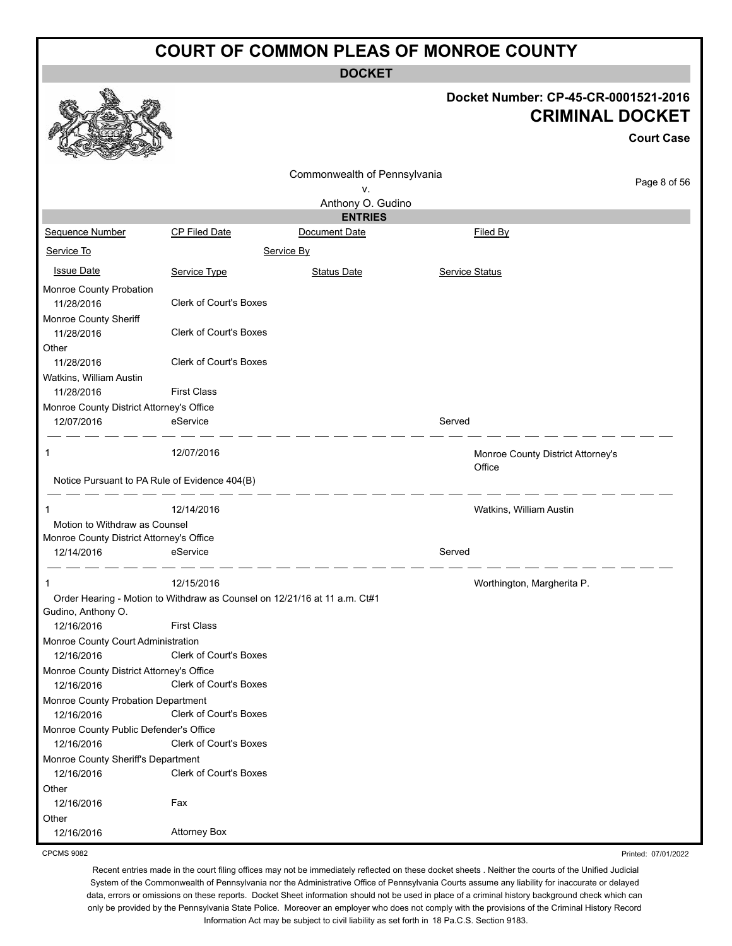**DOCKET**

Printed: 07/01/2022

|                                               |                                                                           |                              |                       | Docket Number: CP-45-CR-0001521-2016<br><b>CRIMINAL DOCKET</b><br><b>Court Case</b> |
|-----------------------------------------------|---------------------------------------------------------------------------|------------------------------|-----------------------|-------------------------------------------------------------------------------------|
|                                               |                                                                           | Commonwealth of Pennsylvania |                       |                                                                                     |
|                                               |                                                                           | ۷.                           |                       | Page 8 of 56                                                                        |
|                                               |                                                                           | Anthony O. Gudino            |                       |                                                                                     |
|                                               |                                                                           | <b>ENTRIES</b>               |                       |                                                                                     |
| <b>Sequence Number</b>                        | <b>CP Filed Date</b>                                                      | Document Date                |                       | Filed By                                                                            |
| Service To                                    |                                                                           | Service By                   |                       |                                                                                     |
| <b>Issue Date</b>                             | Service Type                                                              | <b>Status Date</b>           | <b>Service Status</b> |                                                                                     |
| Monroe County Probation                       |                                                                           |                              |                       |                                                                                     |
| 11/28/2016                                    | <b>Clerk of Court's Boxes</b>                                             |                              |                       |                                                                                     |
| Monroe County Sheriff                         |                                                                           |                              |                       |                                                                                     |
| 11/28/2016                                    | <b>Clerk of Court's Boxes</b>                                             |                              |                       |                                                                                     |
| Other                                         |                                                                           |                              |                       |                                                                                     |
| 11/28/2016                                    | <b>Clerk of Court's Boxes</b>                                             |                              |                       |                                                                                     |
| Watkins, William Austin                       |                                                                           |                              |                       |                                                                                     |
| 11/28/2016                                    | <b>First Class</b>                                                        |                              |                       |                                                                                     |
| Monroe County District Attorney's Office      |                                                                           |                              |                       |                                                                                     |
| 12/07/2016                                    | eService                                                                  |                              | Served                |                                                                                     |
| 1                                             | 12/07/2016                                                                |                              |                       | Monroe County District Attorney's<br>Office                                         |
| Notice Pursuant to PA Rule of Evidence 404(B) |                                                                           |                              |                       |                                                                                     |
| 1                                             | 12/14/2016                                                                |                              |                       | Watkins, William Austin                                                             |
| Motion to Withdraw as Counsel                 |                                                                           |                              |                       |                                                                                     |
| Monroe County District Attorney's Office      |                                                                           |                              |                       |                                                                                     |
| 12/14/2016                                    | eService                                                                  |                              | Served                |                                                                                     |
| 1                                             | 12/15/2016                                                                |                              |                       | Worthington, Margherita P.                                                          |
|                                               | Order Hearing - Motion to Withdraw as Counsel on 12/21/16 at 11 a.m. Ct#1 |                              |                       |                                                                                     |
| Gudino, Anthony O.                            |                                                                           |                              |                       |                                                                                     |
| 12/16/2016                                    | <b>First Class</b>                                                        |                              |                       |                                                                                     |
| Monroe County Court Administration            |                                                                           |                              |                       |                                                                                     |
| 12/16/2016                                    | <b>Clerk of Court's Boxes</b>                                             |                              |                       |                                                                                     |
| Monroe County District Attorney's Office      |                                                                           |                              |                       |                                                                                     |
| 12/16/2016                                    | Clerk of Court's Boxes                                                    |                              |                       |                                                                                     |
| Monroe County Probation Department            |                                                                           |                              |                       |                                                                                     |
| 12/16/2016                                    | <b>Clerk of Court's Boxes</b>                                             |                              |                       |                                                                                     |
| Monroe County Public Defender's Office        |                                                                           |                              |                       |                                                                                     |
| 12/16/2016                                    | Clerk of Court's Boxes                                                    |                              |                       |                                                                                     |
| Monroe County Sheriff's Department            |                                                                           |                              |                       |                                                                                     |
| 12/16/2016                                    | Clerk of Court's Boxes                                                    |                              |                       |                                                                                     |
| Other                                         |                                                                           |                              |                       |                                                                                     |

CPCMS 9082

Other

12/16/2016 Fax

12/16/2016 Attorney Box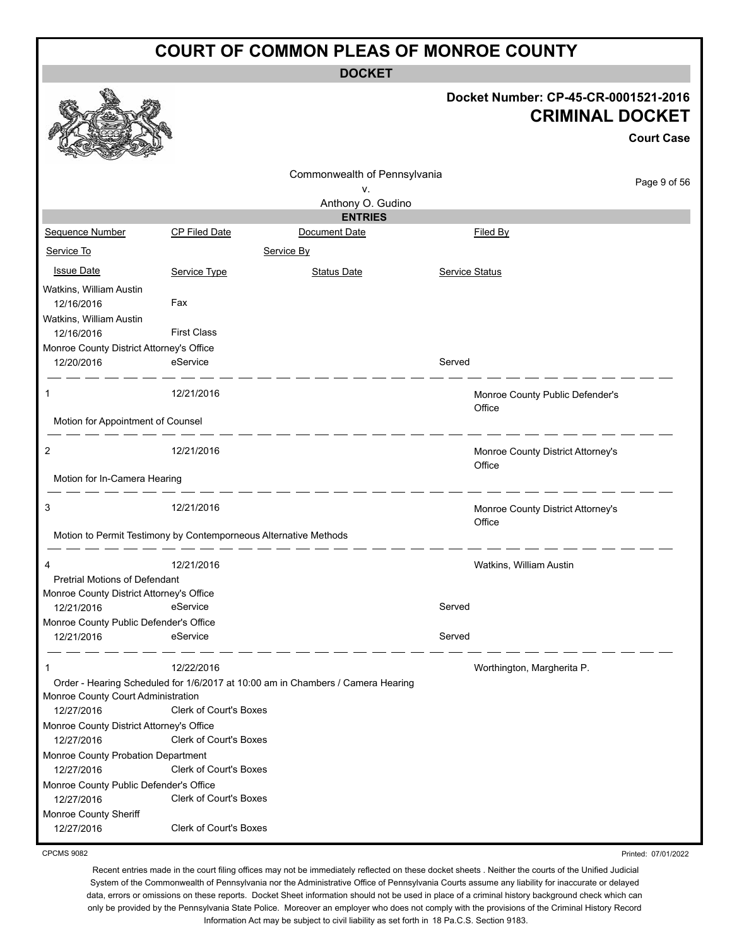**DOCKET**

#### **Docket Number: CP-45-CR-0001521-2016 CRIMINAL DOCKET**

Printed: 07/01/2022

|                                                        |                                                                  |                                                                                 |        |                                             | <b>Court Case</b> |
|--------------------------------------------------------|------------------------------------------------------------------|---------------------------------------------------------------------------------|--------|---------------------------------------------|-------------------|
|                                                        |                                                                  | Commonwealth of Pennsylvania                                                    |        |                                             | Page 9 of 56      |
|                                                        |                                                                  | ν.                                                                              |        |                                             |                   |
|                                                        |                                                                  | Anthony O. Gudino<br><b>ENTRIES</b>                                             |        |                                             |                   |
| Sequence Number                                        | <b>CP Filed Date</b>                                             | Document Date                                                                   |        | Filed By                                    |                   |
| Service To                                             |                                                                  | Service By                                                                      |        |                                             |                   |
| <b>Issue Date</b>                                      | Service Type                                                     | Status Date                                                                     |        | <b>Service Status</b>                       |                   |
| Watkins, William Austin<br>12/16/2016                  | Fax                                                              |                                                                                 |        |                                             |                   |
| Watkins, William Austin<br>12/16/2016                  | <b>First Class</b>                                               |                                                                                 |        |                                             |                   |
| Monroe County District Attorney's Office               |                                                                  |                                                                                 |        |                                             |                   |
| 12/20/2016                                             | eService                                                         |                                                                                 | Served |                                             |                   |
| 1                                                      | 12/21/2016                                                       |                                                                                 |        | Monroe County Public Defender's<br>Office   |                   |
| Motion for Appointment of Counsel                      |                                                                  |                                                                                 |        |                                             |                   |
| 2                                                      | 12/21/2016                                                       |                                                                                 |        | Monroe County District Attorney's<br>Office |                   |
| Motion for In-Camera Hearing                           |                                                                  |                                                                                 |        |                                             |                   |
| 3                                                      | 12/21/2016                                                       |                                                                                 |        | Monroe County District Attorney's<br>Office |                   |
|                                                        | Motion to Permit Testimony by Contemporneous Alternative Methods |                                                                                 |        |                                             |                   |
| 4                                                      | 12/21/2016                                                       |                                                                                 |        | Watkins, William Austin                     |                   |
| <b>Pretrial Motions of Defendant</b>                   |                                                                  |                                                                                 |        |                                             |                   |
| Monroe County District Attorney's Office<br>12/21/2016 | eService                                                         |                                                                                 | Served |                                             |                   |
| Monroe County Public Defender's Office                 |                                                                  |                                                                                 |        |                                             |                   |
| 12/21/2016                                             | eService                                                         |                                                                                 | Served |                                             |                   |
|                                                        | 12/22/2016                                                       |                                                                                 |        | Worthington, Margherita P.                  |                   |
|                                                        |                                                                  | Order - Hearing Scheduled for 1/6/2017 at 10:00 am in Chambers / Camera Hearing |        |                                             |                   |
| Monroe County Court Administration<br>12/27/2016       | Clerk of Court's Boxes                                           |                                                                                 |        |                                             |                   |
| Monroe County District Attorney's Office<br>12/27/2016 | Clerk of Court's Boxes                                           |                                                                                 |        |                                             |                   |
| Monroe County Probation Department                     |                                                                  |                                                                                 |        |                                             |                   |
| 12/27/2016                                             | Clerk of Court's Boxes                                           |                                                                                 |        |                                             |                   |
| Monroe County Public Defender's Office<br>12/27/2016   | Clerk of Court's Boxes                                           |                                                                                 |        |                                             |                   |
| Monroe County Sheriff<br>12/27/2016                    | Clerk of Court's Boxes                                           |                                                                                 |        |                                             |                   |
|                                                        |                                                                  |                                                                                 |        |                                             |                   |

CPCMS 9082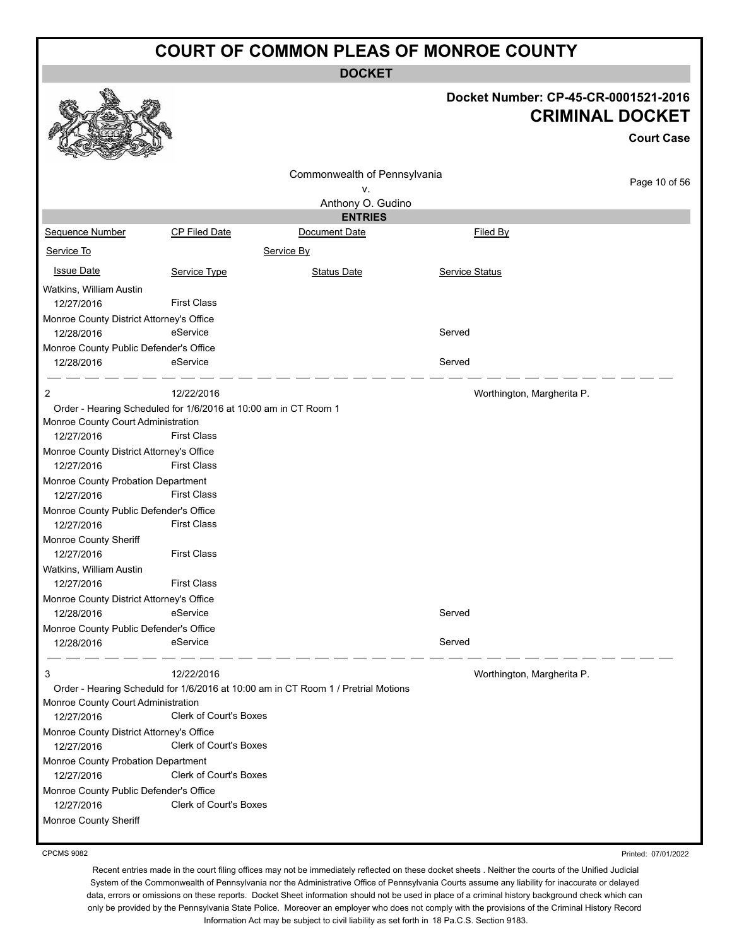**DOCKET**

|                                                                                                                                                                                                                                                                                                                                                                                                                                                                                             |                                                                                                                                                          | <b>DOCKET</b>                                                                     |                                                                |                   |
|---------------------------------------------------------------------------------------------------------------------------------------------------------------------------------------------------------------------------------------------------------------------------------------------------------------------------------------------------------------------------------------------------------------------------------------------------------------------------------------------|----------------------------------------------------------------------------------------------------------------------------------------------------------|-----------------------------------------------------------------------------------|----------------------------------------------------------------|-------------------|
|                                                                                                                                                                                                                                                                                                                                                                                                                                                                                             |                                                                                                                                                          |                                                                                   | Docket Number: CP-45-CR-0001521-2016<br><b>CRIMINAL DOCKET</b> | <b>Court Case</b> |
|                                                                                                                                                                                                                                                                                                                                                                                                                                                                                             |                                                                                                                                                          | Commonwealth of Pennsylvania                                                      |                                                                | Page 10 of 56     |
|                                                                                                                                                                                                                                                                                                                                                                                                                                                                                             |                                                                                                                                                          | ۷.                                                                                |                                                                |                   |
|                                                                                                                                                                                                                                                                                                                                                                                                                                                                                             |                                                                                                                                                          | Anthony O. Gudino<br><b>ENTRIES</b>                                               |                                                                |                   |
| Sequence Number                                                                                                                                                                                                                                                                                                                                                                                                                                                                             | <b>CP Filed Date</b>                                                                                                                                     | Document Date                                                                     | Filed By                                                       |                   |
| Service To                                                                                                                                                                                                                                                                                                                                                                                                                                                                                  |                                                                                                                                                          | Service By                                                                        |                                                                |                   |
| <b>Issue Date</b>                                                                                                                                                                                                                                                                                                                                                                                                                                                                           | Service Type                                                                                                                                             | <b>Status Date</b>                                                                | Service Status                                                 |                   |
| Watkins, William Austin                                                                                                                                                                                                                                                                                                                                                                                                                                                                     |                                                                                                                                                          |                                                                                   |                                                                |                   |
| 12/27/2016                                                                                                                                                                                                                                                                                                                                                                                                                                                                                  | <b>First Class</b>                                                                                                                                       |                                                                                   |                                                                |                   |
| Monroe County District Attorney's Office                                                                                                                                                                                                                                                                                                                                                                                                                                                    |                                                                                                                                                          |                                                                                   |                                                                |                   |
| 12/28/2016                                                                                                                                                                                                                                                                                                                                                                                                                                                                                  | eService                                                                                                                                                 |                                                                                   | Served                                                         |                   |
| Monroe County Public Defender's Office                                                                                                                                                                                                                                                                                                                                                                                                                                                      |                                                                                                                                                          |                                                                                   |                                                                |                   |
| 12/28/2016                                                                                                                                                                                                                                                                                                                                                                                                                                                                                  | eService                                                                                                                                                 |                                                                                   | Served                                                         |                   |
| 2                                                                                                                                                                                                                                                                                                                                                                                                                                                                                           | 12/22/2016                                                                                                                                               |                                                                                   | Worthington, Margherita P.                                     |                   |
| Order - Hearing Scheduled for 1/6/2016 at 10:00 am in CT Room 1<br>Monroe County Court Administration<br>12/27/2016<br>Monroe County District Attorney's Office<br>12/27/2016<br>Monroe County Probation Department<br>12/27/2016<br>Monroe County Public Defender's Office<br>12/27/2016<br>Monroe County Sheriff<br>12/27/2016<br>Watkins, William Austin<br>12/27/2016<br>Monroe County District Attorney's Office<br>12/28/2016<br>Monroe County Public Defender's Office<br>12/28/2016 | <b>First Class</b><br><b>First Class</b><br><b>First Class</b><br><b>First Class</b><br><b>First Class</b><br><b>First Class</b><br>eService<br>eService |                                                                                   | Served<br>Served                                               |                   |
| 3<br>Monroe County Court Administration<br>12/27/2016<br>Monroe County District Attorney's Office<br>12/27/2016<br>Monroe County Probation Department<br>12/27/2016<br>Monroe County Public Defender's Office<br>12/27/2016<br>Monroe County Sheriff                                                                                                                                                                                                                                        | 12/22/2016<br>Clerk of Court's Boxes<br>Clerk of Court's Boxes<br>Clerk of Court's Boxes<br>Clerk of Court's Boxes                                       | Order - Hearing Scheduld for 1/6/2016 at 10:00 am in CT Room 1 / Pretrial Motions | Worthington, Margherita P.                                     |                   |

CPCMS 9082

Printed: 07/01/2022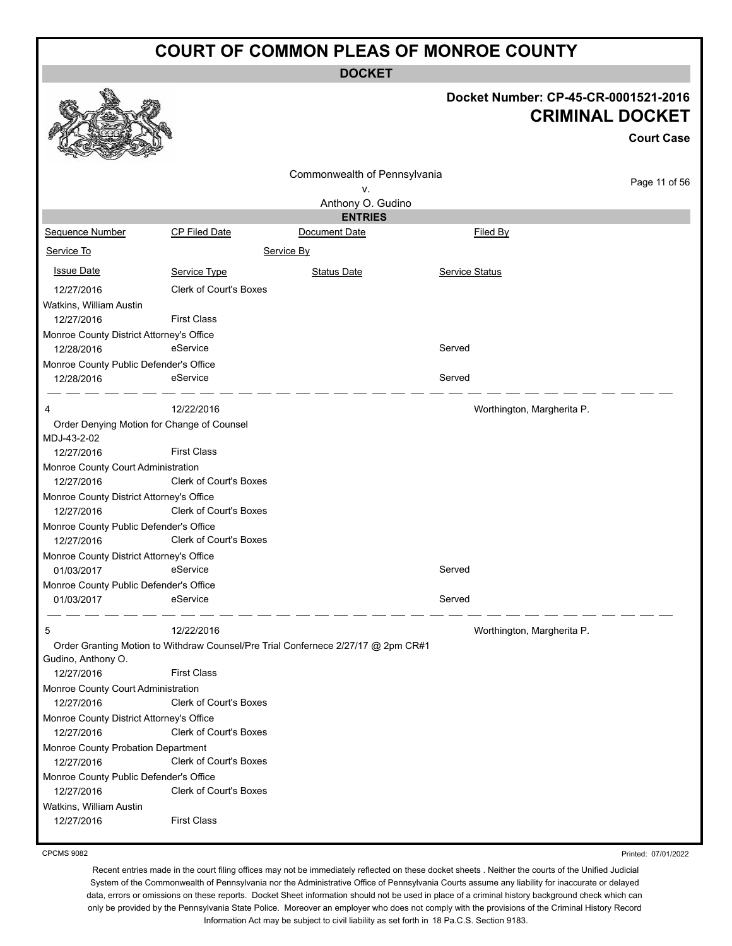**DOCKET**

|                                                           |                               | <b>DOCKET</b>                                                                     |                       |                                                                                     |
|-----------------------------------------------------------|-------------------------------|-----------------------------------------------------------------------------------|-----------------------|-------------------------------------------------------------------------------------|
|                                                           |                               |                                                                                   |                       | Docket Number: CP-45-CR-0001521-2016<br><b>CRIMINAL DOCKET</b><br><b>Court Case</b> |
|                                                           |                               |                                                                                   |                       |                                                                                     |
|                                                           |                               |                                                                                   |                       |                                                                                     |
|                                                           |                               | Commonwealth of Pennsylvania                                                      |                       | Page 11 of 56                                                                       |
|                                                           |                               | ۷.                                                                                |                       |                                                                                     |
|                                                           |                               | Anthony O. Gudino<br><b>ENTRIES</b>                                               |                       |                                                                                     |
| Sequence Number                                           | <b>CP Filed Date</b>          | Document Date                                                                     | Filed By              |                                                                                     |
|                                                           |                               |                                                                                   |                       |                                                                                     |
| Service To                                                |                               | Service By                                                                        |                       |                                                                                     |
| <b>Issue Date</b>                                         | Service Type                  | <b>Status Date</b>                                                                | <b>Service Status</b> |                                                                                     |
| 12/27/2016                                                | <b>Clerk of Court's Boxes</b> |                                                                                   |                       |                                                                                     |
| Watkins, William Austin                                   |                               |                                                                                   |                       |                                                                                     |
| 12/27/2016                                                | <b>First Class</b>            |                                                                                   |                       |                                                                                     |
| Monroe County District Attorney's Office                  |                               |                                                                                   |                       |                                                                                     |
| 12/28/2016                                                | eService                      |                                                                                   | Served                |                                                                                     |
| Monroe County Public Defender's Office                    |                               |                                                                                   |                       |                                                                                     |
| 12/28/2016                                                | eService                      |                                                                                   | Served                |                                                                                     |
|                                                           |                               |                                                                                   |                       |                                                                                     |
| 4                                                         | 12/22/2016                    |                                                                                   |                       | Worthington, Margherita P.                                                          |
| Order Denying Motion for Change of Counsel<br>MDJ-43-2-02 |                               |                                                                                   |                       |                                                                                     |
| 12/27/2016                                                | <b>First Class</b>            |                                                                                   |                       |                                                                                     |
| Monroe County Court Administration                        |                               |                                                                                   |                       |                                                                                     |
| 12/27/2016                                                | <b>Clerk of Court's Boxes</b> |                                                                                   |                       |                                                                                     |
| Monroe County District Attorney's Office                  |                               |                                                                                   |                       |                                                                                     |
| 12/27/2016                                                | <b>Clerk of Court's Boxes</b> |                                                                                   |                       |                                                                                     |
| Monroe County Public Defender's Office                    |                               |                                                                                   |                       |                                                                                     |
| 12/27/2016                                                | <b>Clerk of Court's Boxes</b> |                                                                                   |                       |                                                                                     |
| Monroe County District Attorney's Office                  |                               |                                                                                   |                       |                                                                                     |
| 01/03/2017                                                | eService                      |                                                                                   | Served                |                                                                                     |
| Monroe County Public Defender's Office                    |                               |                                                                                   |                       |                                                                                     |
| 01/03/2017                                                | eService                      |                                                                                   | Served                |                                                                                     |
| 5                                                         | 12/22/2016                    |                                                                                   |                       | Worthington, Margherita P.                                                          |
| Gudino, Anthony O.                                        |                               | Order Granting Motion to Withdraw Counsel/Pre Trial Confernece 2/27/17 @ 2pm CR#1 |                       |                                                                                     |
| 12/27/2016                                                | <b>First Class</b>            |                                                                                   |                       |                                                                                     |
| Monroe County Court Administration                        |                               |                                                                                   |                       |                                                                                     |
| 12/27/2016                                                | Clerk of Court's Boxes        |                                                                                   |                       |                                                                                     |
| Monroe County District Attorney's Office                  |                               |                                                                                   |                       |                                                                                     |
| 12/27/2016                                                | Clerk of Court's Boxes        |                                                                                   |                       |                                                                                     |
| Monroe County Probation Department                        |                               |                                                                                   |                       |                                                                                     |
| 12/27/2016                                                | Clerk of Court's Boxes        |                                                                                   |                       |                                                                                     |
| Monroe County Public Defender's Office                    |                               |                                                                                   |                       |                                                                                     |
| 12/27/2016                                                | Clerk of Court's Boxes        |                                                                                   |                       |                                                                                     |
| Watkins, William Austin                                   |                               |                                                                                   |                       |                                                                                     |
| 12/27/2016                                                | <b>First Class</b>            |                                                                                   |                       |                                                                                     |
|                                                           |                               |                                                                                   |                       |                                                                                     |

CPCMS 9082

Printed: 07/01/2022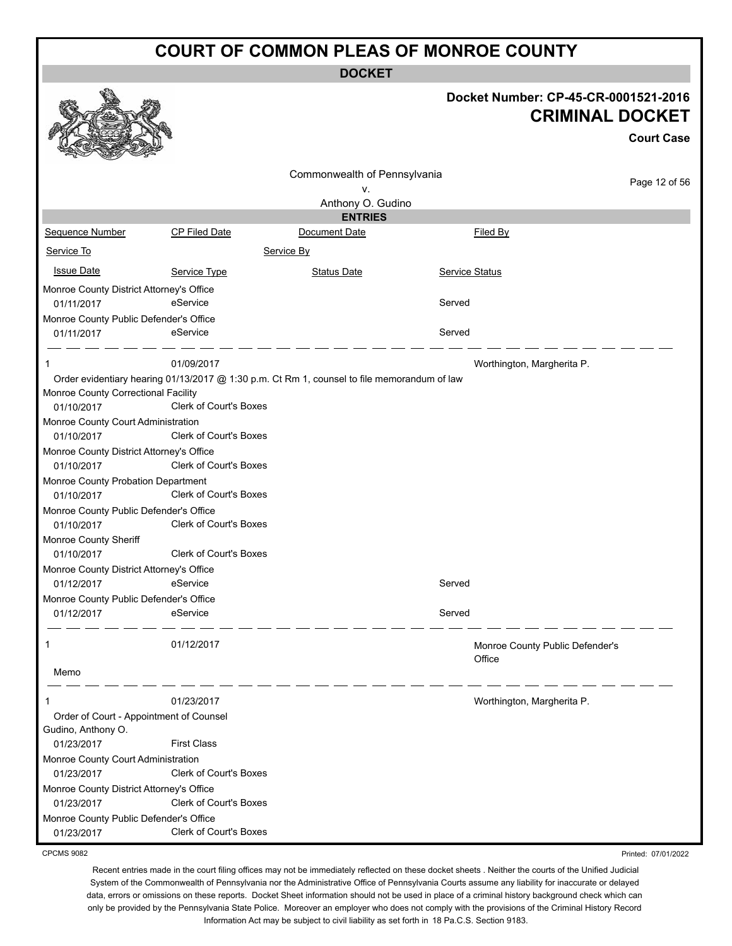**DOCKET**

| Docket Number: CP-45-CR-0001521-2016 |
|--------------------------------------|
| <b>CRIMINAL DOCKET</b>               |

Printed: 07/01/2022

|                                                      |                                                                                             |                              |                       |                                 | <b>Court Case</b> |
|------------------------------------------------------|---------------------------------------------------------------------------------------------|------------------------------|-----------------------|---------------------------------|-------------------|
|                                                      |                                                                                             | Commonwealth of Pennsylvania |                       |                                 |                   |
|                                                      |                                                                                             | ٧.                           |                       |                                 | Page 12 of 56     |
|                                                      |                                                                                             | Anthony O. Gudino            |                       |                                 |                   |
|                                                      |                                                                                             | <b>ENTRIES</b>               |                       |                                 |                   |
| Sequence Number                                      | <b>CP Filed Date</b>                                                                        | Document Date                |                       | Filed By                        |                   |
| Service To                                           |                                                                                             | Service By                   |                       |                                 |                   |
| <b>Issue Date</b>                                    | Service Type                                                                                | <b>Status Date</b>           | <b>Service Status</b> |                                 |                   |
| Monroe County District Attorney's Office             |                                                                                             |                              |                       |                                 |                   |
| 01/11/2017                                           | eService                                                                                    |                              | Served                |                                 |                   |
| Monroe County Public Defender's Office               |                                                                                             |                              |                       |                                 |                   |
| 01/11/2017                                           | eService                                                                                    |                              | Served                |                                 |                   |
| 1                                                    | 01/09/2017                                                                                  |                              |                       | Worthington, Margherita P.      |                   |
|                                                      | Order evidentiary hearing 01/13/2017 @ 1:30 p.m. Ct Rm 1, counsel to file memorandum of law |                              |                       |                                 |                   |
| Monroe County Correctional Facility                  |                                                                                             |                              |                       |                                 |                   |
| 01/10/2017                                           | <b>Clerk of Court's Boxes</b>                                                               |                              |                       |                                 |                   |
| Monroe County Court Administration                   |                                                                                             |                              |                       |                                 |                   |
| 01/10/2017                                           | <b>Clerk of Court's Boxes</b>                                                               |                              |                       |                                 |                   |
| Monroe County District Attorney's Office             |                                                                                             |                              |                       |                                 |                   |
| 01/10/2017                                           | <b>Clerk of Court's Boxes</b>                                                               |                              |                       |                                 |                   |
| Monroe County Probation Department                   | Clerk of Court's Boxes                                                                      |                              |                       |                                 |                   |
| 01/10/2017                                           |                                                                                             |                              |                       |                                 |                   |
| Monroe County Public Defender's Office<br>01/10/2017 | Clerk of Court's Boxes                                                                      |                              |                       |                                 |                   |
| Monroe County Sheriff                                |                                                                                             |                              |                       |                                 |                   |
| 01/10/2017                                           | Clerk of Court's Boxes                                                                      |                              |                       |                                 |                   |
| Monroe County District Attorney's Office             |                                                                                             |                              |                       |                                 |                   |
| 01/12/2017                                           | eService                                                                                    |                              | Served                |                                 |                   |
| Monroe County Public Defender's Office               |                                                                                             |                              |                       |                                 |                   |
| 01/12/2017                                           | eService                                                                                    |                              | Served                |                                 |                   |
|                                                      |                                                                                             |                              |                       |                                 |                   |
| 1                                                    | 01/12/2017                                                                                  |                              |                       | Monroe County Public Defender's |                   |
|                                                      |                                                                                             |                              |                       | Office                          |                   |
| Memo                                                 |                                                                                             |                              |                       |                                 |                   |
| 1                                                    | 01/23/2017                                                                                  |                              |                       | Worthington, Margherita P.      |                   |
| Order of Court - Appointment of Counsel              |                                                                                             |                              |                       |                                 |                   |
| Gudino, Anthony O.                                   |                                                                                             |                              |                       |                                 |                   |
| 01/23/2017                                           | <b>First Class</b>                                                                          |                              |                       |                                 |                   |
| Monroe County Court Administration                   |                                                                                             |                              |                       |                                 |                   |
| 01/23/2017                                           | <b>Clerk of Court's Boxes</b>                                                               |                              |                       |                                 |                   |
| Monroe County District Attorney's Office             | <b>Clerk of Court's Boxes</b>                                                               |                              |                       |                                 |                   |
| 01/23/2017<br>Monroe County Public Defender's Office |                                                                                             |                              |                       |                                 |                   |
| 01/23/2017                                           | <b>Clerk of Court's Boxes</b>                                                               |                              |                       |                                 |                   |
|                                                      |                                                                                             |                              |                       |                                 |                   |

CPCMS 9082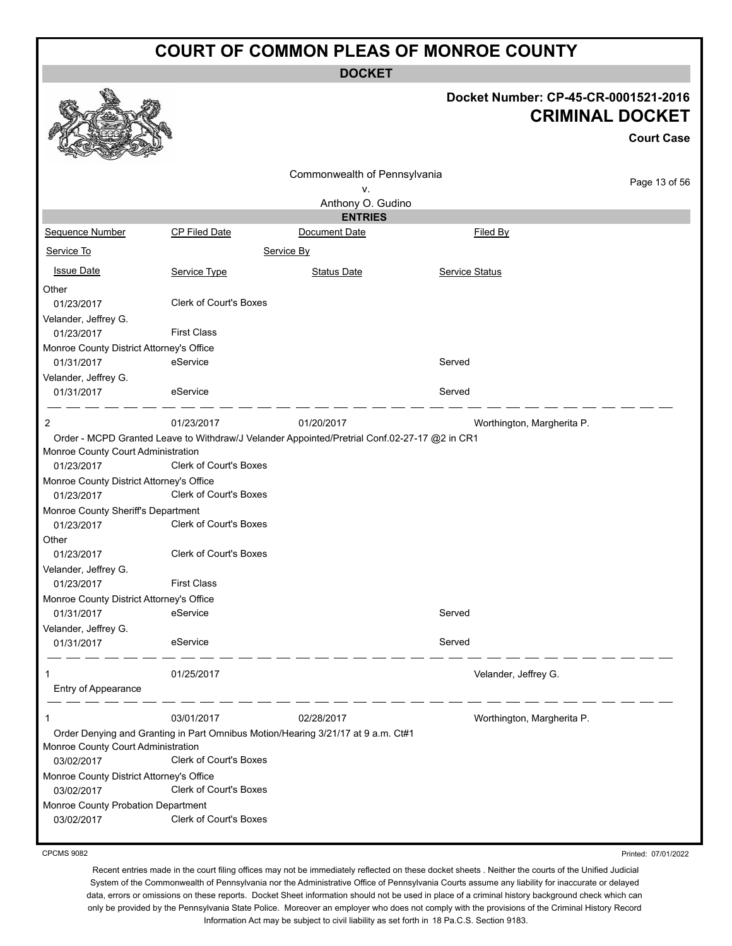**DOCKET**

|                                                        |                               | <b>DOCKEI</b>                                                                                |                       |                                                                                     |
|--------------------------------------------------------|-------------------------------|----------------------------------------------------------------------------------------------|-----------------------|-------------------------------------------------------------------------------------|
|                                                        |                               |                                                                                              |                       | Docket Number: CP-45-CR-0001521-2016<br><b>CRIMINAL DOCKET</b><br><b>Court Case</b> |
|                                                        |                               | Commonwealth of Pennsylvania                                                                 |                       |                                                                                     |
|                                                        |                               | ۷.                                                                                           |                       | Page 13 of 56                                                                       |
|                                                        |                               | Anthony O. Gudino                                                                            |                       |                                                                                     |
|                                                        |                               | <b>ENTRIES</b>                                                                               |                       |                                                                                     |
| Sequence Number                                        | CP Filed Date                 | Document Date                                                                                | Filed By              |                                                                                     |
| Service To                                             |                               | Service By                                                                                   |                       |                                                                                     |
| <b>Issue Date</b>                                      | Service Type                  | <b>Status Date</b>                                                                           | <b>Service Status</b> |                                                                                     |
| Other                                                  |                               |                                                                                              |                       |                                                                                     |
| 01/23/2017                                             | Clerk of Court's Boxes        |                                                                                              |                       |                                                                                     |
| Velander, Jeffrey G.                                   |                               |                                                                                              |                       |                                                                                     |
| 01/23/2017                                             | <b>First Class</b>            |                                                                                              |                       |                                                                                     |
| Monroe County District Attorney's Office               |                               |                                                                                              |                       |                                                                                     |
| 01/31/2017                                             | eService                      |                                                                                              | Served                |                                                                                     |
| Velander, Jeffrey G.                                   |                               |                                                                                              |                       |                                                                                     |
| 01/31/2017                                             | eService                      |                                                                                              | Served                |                                                                                     |
| 2                                                      | 01/23/2017                    | 01/20/2017                                                                                   |                       | Worthington, Margherita P.                                                          |
|                                                        |                               | Order - MCPD Granted Leave to Withdraw/J Velander Appointed/Pretrial Conf.02-27-17 @2 in CR1 |                       |                                                                                     |
| Monroe County Court Administration                     |                               |                                                                                              |                       |                                                                                     |
| 01/23/2017                                             | Clerk of Court's Boxes        |                                                                                              |                       |                                                                                     |
| Monroe County District Attorney's Office               |                               |                                                                                              |                       |                                                                                     |
| 01/23/2017                                             | Clerk of Court's Boxes        |                                                                                              |                       |                                                                                     |
| Monroe County Sheriff's Department                     |                               |                                                                                              |                       |                                                                                     |
| 01/23/2017                                             | <b>Clerk of Court's Boxes</b> |                                                                                              |                       |                                                                                     |
| Other                                                  |                               |                                                                                              |                       |                                                                                     |
| 01/23/2017                                             | <b>Clerk of Court's Boxes</b> |                                                                                              |                       |                                                                                     |
| Velander, Jeffrey G.                                   | <b>First Class</b>            |                                                                                              |                       |                                                                                     |
| 01/23/2017                                             |                               |                                                                                              |                       |                                                                                     |
| Monroe County District Attorney's Office<br>01/31/2017 | eService                      |                                                                                              | Served                |                                                                                     |
| Velander, Jeffrey G.                                   |                               |                                                                                              |                       |                                                                                     |
| 01/31/2017                                             | eService                      |                                                                                              | Served                |                                                                                     |
| 1                                                      | 01/25/2017                    |                                                                                              | Velander, Jeffrey G.  |                                                                                     |
| Entry of Appearance                                    |                               |                                                                                              |                       |                                                                                     |
| 1                                                      | 03/01/2017                    | 02/28/2017                                                                                   |                       | Worthington, Margherita P.                                                          |
|                                                        |                               | Order Denying and Granting in Part Omnibus Motion/Hearing 3/21/17 at 9 a.m. Ct#1             |                       |                                                                                     |
| Monroe County Court Administration                     |                               |                                                                                              |                       |                                                                                     |
| 03/02/2017                                             | Clerk of Court's Boxes        |                                                                                              |                       |                                                                                     |
| Monroe County District Attorney's Office               |                               |                                                                                              |                       |                                                                                     |
| 03/02/2017                                             | Clerk of Court's Boxes        |                                                                                              |                       |                                                                                     |
| Monroe County Probation Department                     |                               |                                                                                              |                       |                                                                                     |
| 03/02/2017                                             | Clerk of Court's Boxes        |                                                                                              |                       |                                                                                     |
|                                                        |                               |                                                                                              |                       |                                                                                     |

CPCMS 9082

Printed: 07/01/2022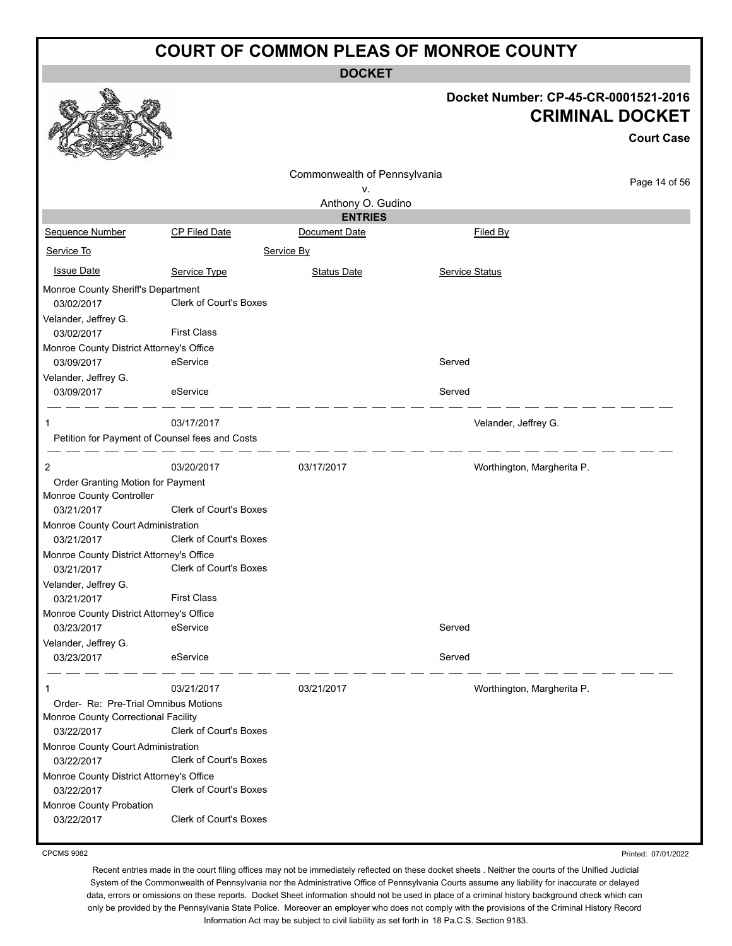**DOCKET**

#### **Docket Number: CP-45-CR-0001521-2016 CRIMINAL DOCKET**

|                                                                                           |                        |                                    |                |                            | <b>Court Case</b> |  |  |
|-------------------------------------------------------------------------------------------|------------------------|------------------------------------|----------------|----------------------------|-------------------|--|--|
|                                                                                           |                        | Commonwealth of Pennsylvania<br>٧. |                |                            | Page 14 of 56     |  |  |
|                                                                                           |                        | Anthony O. Gudino                  |                |                            |                   |  |  |
| Sequence Number                                                                           | <b>CP Filed Date</b>   | <b>ENTRIES</b><br>Document Date    |                | Filed By                   |                   |  |  |
| Service To                                                                                |                        | Service By                         |                |                            |                   |  |  |
| <b>Issue Date</b>                                                                         | Service Type           | <b>Status Date</b>                 | Service Status |                            |                   |  |  |
| Monroe County Sheriff's Department<br>03/02/2017                                          | Clerk of Court's Boxes |                                    |                |                            |                   |  |  |
| Velander, Jeffrey G.<br>03/02/2017                                                        | <b>First Class</b>     |                                    |                |                            |                   |  |  |
| Monroe County District Attorney's Office<br>03/09/2017<br>Velander, Jeffrey G.            | eService               |                                    | Served         |                            |                   |  |  |
| 03/09/2017                                                                                | eService               |                                    | Served         |                            |                   |  |  |
| Petition for Payment of Counsel fees and Costs                                            | 03/17/2017             |                                    |                | Velander, Jeffrey G.       |                   |  |  |
| 2                                                                                         | 03/20/2017             | 03/17/2017                         |                | Worthington, Margherita P. |                   |  |  |
| Order Granting Motion for Payment<br>Monroe County Controller<br>03/21/2017               | Clerk of Court's Boxes |                                    |                |                            |                   |  |  |
| Monroe County Court Administration<br>03/21/2017                                          | Clerk of Court's Boxes |                                    |                |                            |                   |  |  |
| Monroe County District Attorney's Office<br>03/21/2017<br>Velander, Jeffrey G.            | Clerk of Court's Boxes |                                    |                |                            |                   |  |  |
| 03/21/2017                                                                                | <b>First Class</b>     |                                    |                |                            |                   |  |  |
| Monroe County District Attorney's Office<br>03/23/2017                                    | eService               |                                    | Served         |                            |                   |  |  |
| Velander, Jeffrey G.<br>03/23/2017                                                        | eService               |                                    | Served         |                            |                   |  |  |
|                                                                                           | 03/21/2017             | 03/21/2017                         |                | Worthington, Margherita P. |                   |  |  |
| Order- Re: Pre-Trial Omnibus Motions<br>Monroe County Correctional Facility<br>03/22/2017 | Clerk of Court's Boxes |                                    |                |                            |                   |  |  |
| Monroe County Court Administration<br>03/22/2017                                          | Clerk of Court's Boxes |                                    |                |                            |                   |  |  |
| Monroe County District Attorney's Office<br>03/22/2017                                    | Clerk of Court's Boxes |                                    |                |                            |                   |  |  |
| Monroe County Probation<br>03/22/2017                                                     | Clerk of Court's Boxes |                                    |                |                            |                   |  |  |

CPCMS 9082

Printed: 07/01/2022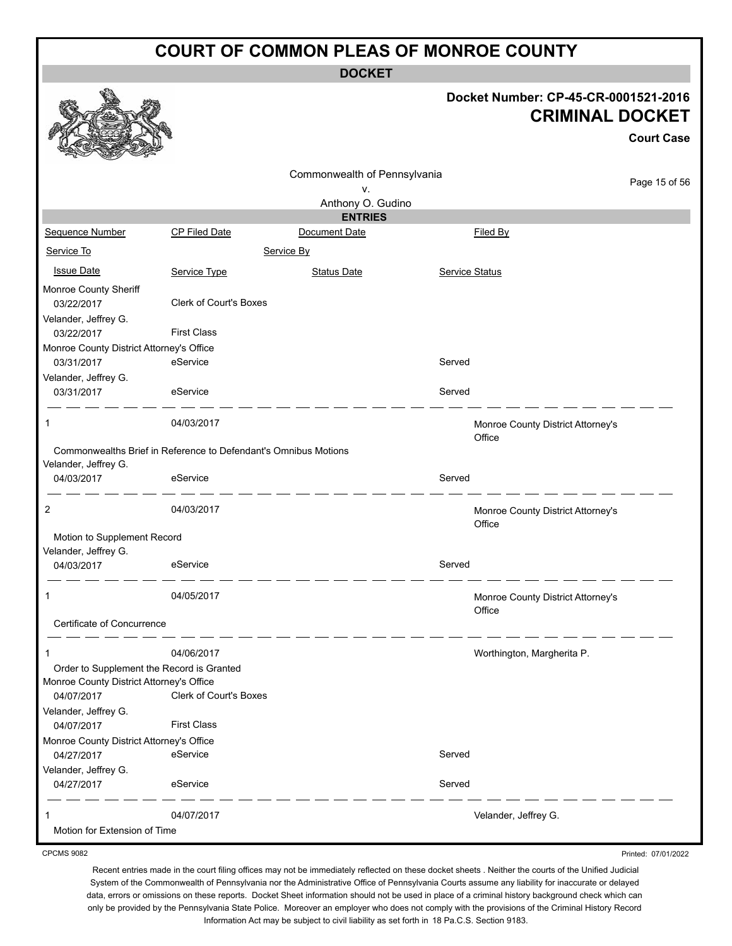**DOCKET**

#### **Docket Number: CP-45-CR-0001521-2016 CRIMINAL DOCKET**

Printed: 07/01/2022

|                                           |                                                                 |                              |                |                                             | <b>Court Case</b> |
|-------------------------------------------|-----------------------------------------------------------------|------------------------------|----------------|---------------------------------------------|-------------------|
|                                           |                                                                 | Commonwealth of Pennsylvania |                |                                             |                   |
|                                           |                                                                 | v.                           |                |                                             | Page 15 of 56     |
|                                           |                                                                 | Anthony O. Gudino            |                |                                             |                   |
|                                           |                                                                 | <b>ENTRIES</b>               |                |                                             |                   |
| Sequence Number                           | <b>CP Filed Date</b>                                            | Document Date                |                | Filed By                                    |                   |
| Service To                                |                                                                 | Service By                   |                |                                             |                   |
| <b>Issue Date</b>                         | Service Type                                                    | <b>Status Date</b>           | Service Status |                                             |                   |
| Monroe County Sheriff<br>03/22/2017       | Clerk of Court's Boxes                                          |                              |                |                                             |                   |
| Velander, Jeffrey G.<br>03/22/2017        | <b>First Class</b>                                              |                              |                |                                             |                   |
| Monroe County District Attorney's Office  |                                                                 |                              |                |                                             |                   |
| 03/31/2017                                | eService                                                        |                              | Served         |                                             |                   |
| Velander, Jeffrey G.<br>03/31/2017        | eService                                                        |                              | Served         |                                             |                   |
| 1                                         | 04/03/2017                                                      |                              |                | Monroe County District Attorney's<br>Office |                   |
| Velander, Jeffrey G.                      | Commonwealths Brief in Reference to Defendant's Omnibus Motions |                              |                |                                             |                   |
| 04/03/2017                                | eService                                                        |                              | Served         |                                             |                   |
| $\overline{c}$                            | 04/03/2017                                                      |                              |                | Monroe County District Attorney's<br>Office |                   |
| Motion to Supplement Record               |                                                                 |                              |                |                                             |                   |
| Velander, Jeffrey G.                      |                                                                 |                              |                |                                             |                   |
| 04/03/2017                                | eService                                                        |                              | Served         |                                             |                   |
| 1                                         | 04/05/2017                                                      |                              |                | Monroe County District Attorney's<br>Office |                   |
| Certificate of Concurrence                |                                                                 |                              |                |                                             |                   |
| 1                                         | 04/06/2017                                                      |                              |                | Worthington, Margherita P.                  |                   |
| Order to Supplement the Record is Granted |                                                                 |                              |                |                                             |                   |
| Monroe County District Attorney's Office  |                                                                 |                              |                |                                             |                   |
| 04/07/2017                                | Clerk of Court's Boxes                                          |                              |                |                                             |                   |
| Velander, Jeffrey G.                      |                                                                 |                              |                |                                             |                   |
| 04/07/2017                                | <b>First Class</b>                                              |                              |                |                                             |                   |
| Monroe County District Attorney's Office  |                                                                 |                              |                |                                             |                   |
| 04/27/2017                                | eService                                                        |                              | Served         |                                             |                   |
| Velander, Jeffrey G.                      |                                                                 |                              |                |                                             |                   |
| 04/27/2017                                | eService                                                        |                              | Served         |                                             |                   |
|                                           | 04/07/2017                                                      |                              |                | Velander, Jeffrey G.                        |                   |
| Motion for Extension of Time              |                                                                 |                              |                |                                             |                   |

CPCMS 9082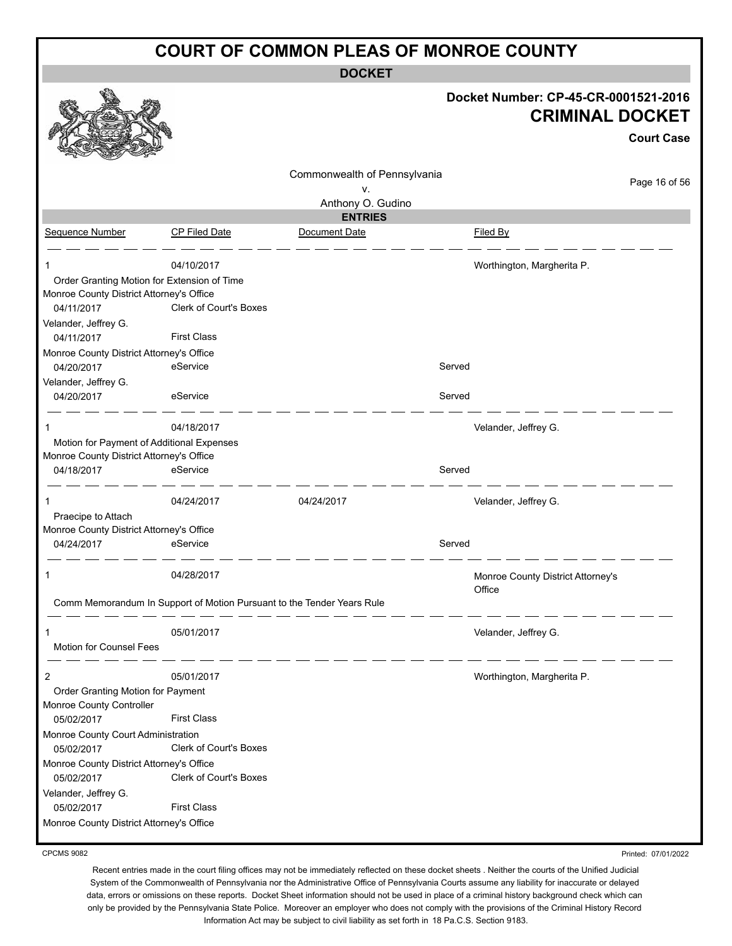**DOCKET**

|                                                                                                       |                                                                        |                              | Docket Number: CP-45-CR-0001521-2016<br><b>CRIMINAL DOCKET</b><br><b>Court Case</b> |
|-------------------------------------------------------------------------------------------------------|------------------------------------------------------------------------|------------------------------|-------------------------------------------------------------------------------------|
|                                                                                                       |                                                                        | Commonwealth of Pennsylvania | Page 16 of 56                                                                       |
|                                                                                                       |                                                                        | ۷.<br>Anthony O. Gudino      |                                                                                     |
|                                                                                                       |                                                                        | <b>ENTRIES</b>               |                                                                                     |
| Sequence Number                                                                                       | <b>CP Filed Date</b>                                                   | Document Date                | Filed By                                                                            |
|                                                                                                       | 04/10/2017                                                             |                              | Worthington, Margherita P.                                                          |
| Order Granting Motion for Extension of Time<br>Monroe County District Attorney's Office<br>04/11/2017 | Clerk of Court's Boxes                                                 |                              |                                                                                     |
| Velander, Jeffrey G.<br>04/11/2017                                                                    | <b>First Class</b>                                                     |                              |                                                                                     |
| Monroe County District Attorney's Office<br>04/20/2017                                                | eService                                                               |                              | Served                                                                              |
| Velander, Jeffrey G.<br>04/20/2017                                                                    | eService                                                               |                              | Served                                                                              |
| 1                                                                                                     | 04/18/2017                                                             |                              | Velander, Jeffrey G.                                                                |
| Motion for Payment of Additional Expenses                                                             |                                                                        |                              |                                                                                     |
| Monroe County District Attorney's Office                                                              |                                                                        |                              |                                                                                     |
| 04/18/2017                                                                                            | eService                                                               |                              | Served                                                                              |
|                                                                                                       | 04/24/2017                                                             | 04/24/2017                   | Velander, Jeffrey G.                                                                |
| Praecipe to Attach<br>Monroe County District Attorney's Office                                        |                                                                        |                              |                                                                                     |
| 04/24/2017                                                                                            | eService                                                               |                              | Served                                                                              |
| 1                                                                                                     | 04/28/2017                                                             |                              | Monroe County District Attorney's<br>Office                                         |
|                                                                                                       | Comm Memorandum In Support of Motion Pursuant to the Tender Years Rule |                              |                                                                                     |
| 1                                                                                                     | 05/01/2017                                                             |                              | Velander, Jeffrey G.                                                                |
| Motion for Counsel Fees                                                                               |                                                                        |                              |                                                                                     |
| $\overline{2}$                                                                                        | 05/01/2017                                                             |                              | Worthington, Margherita P.                                                          |
| Order Granting Motion for Payment<br>Monroe County Controller                                         |                                                                        |                              |                                                                                     |
| 05/02/2017                                                                                            | <b>First Class</b>                                                     |                              |                                                                                     |
| Monroe County Court Administration<br>05/02/2017                                                      | Clerk of Court's Boxes                                                 |                              |                                                                                     |
| Monroe County District Attorney's Office                                                              |                                                                        |                              |                                                                                     |
| 05/02/2017                                                                                            | Clerk of Court's Boxes                                                 |                              |                                                                                     |
| Velander, Jeffrey G.                                                                                  |                                                                        |                              |                                                                                     |
| 05/02/2017                                                                                            | <b>First Class</b>                                                     |                              |                                                                                     |
| Monroe County District Attorney's Office                                                              |                                                                        |                              |                                                                                     |

CPCMS 9082

Recent entries made in the court filing offices may not be immediately reflected on these docket sheets . Neither the courts of the Unified Judicial System of the Commonwealth of Pennsylvania nor the Administrative Office of Pennsylvania Courts assume any liability for inaccurate or delayed data, errors or omissions on these reports. Docket Sheet information should not be used in place of a criminal history background check which can only be provided by the Pennsylvania State Police. Moreover an employer who does not comply with the provisions of the Criminal History Record Information Act may be subject to civil liability as set forth in 18 Pa.C.S. Section 9183.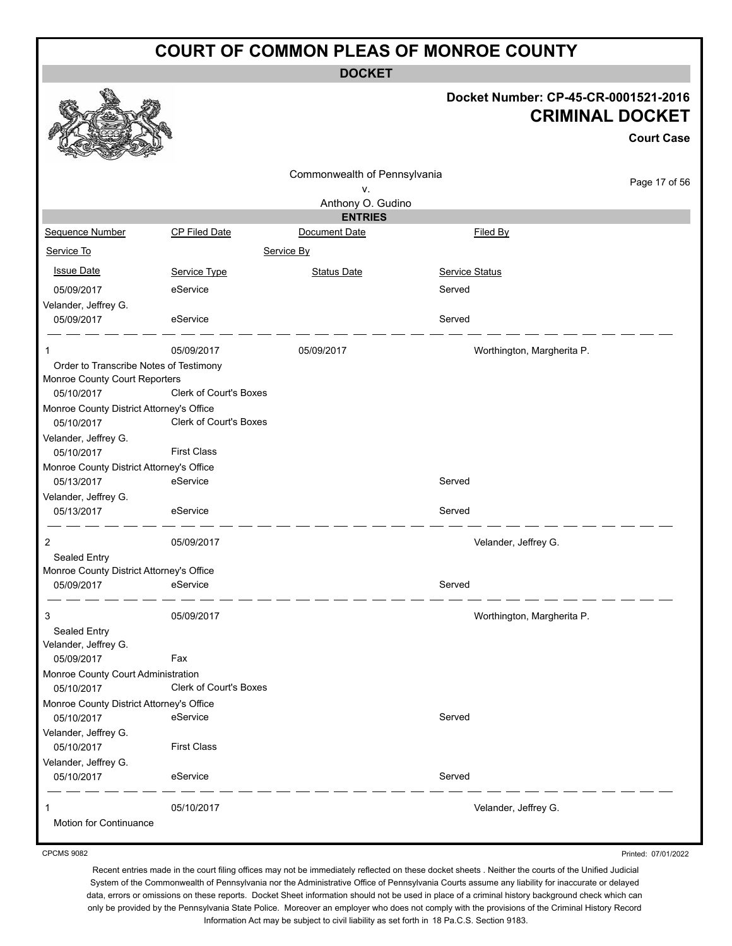**DOCKET**

#### **Docket Number: CP-45-CR-0001521-2016 CRIMINAL DOCKET**

|                                                        |                        |                                    |                            | <b>Court Case</b> |
|--------------------------------------------------------|------------------------|------------------------------------|----------------------------|-------------------|
|                                                        |                        | Commonwealth of Pennsylvania<br>۷. |                            | Page 17 of 56     |
|                                                        |                        | Anthony O. Gudino                  |                            |                   |
|                                                        |                        | <b>ENTRIES</b>                     |                            |                   |
| Sequence Number                                        | CP Filed Date          | Document Date                      | Filed By                   |                   |
| Service To                                             |                        | Service By                         |                            |                   |
| <b>Issue Date</b>                                      | Service Type           | <b>Status Date</b>                 | <b>Service Status</b>      |                   |
| 05/09/2017                                             | eService               |                                    | Served                     |                   |
| Velander, Jeffrey G.                                   |                        |                                    |                            |                   |
| 05/09/2017                                             | eService               |                                    | Served                     |                   |
| 1                                                      | 05/09/2017             | 05/09/2017                         | Worthington, Margherita P. |                   |
| Order to Transcribe Notes of Testimony                 |                        |                                    |                            |                   |
| Monroe County Court Reporters<br>05/10/2017            | Clerk of Court's Boxes |                                    |                            |                   |
| Monroe County District Attorney's Office<br>05/10/2017 | Clerk of Court's Boxes |                                    |                            |                   |
| Velander, Jeffrey G.<br>05/10/2017                     | <b>First Class</b>     |                                    |                            |                   |
| Monroe County District Attorney's Office               |                        |                                    |                            |                   |
| 05/13/2017                                             | eService               |                                    | Served                     |                   |
| Velander, Jeffrey G.<br>05/13/2017                     | eService               |                                    | Served                     |                   |
| 2                                                      | 05/09/2017             |                                    | Velander, Jeffrey G.       |                   |
| Sealed Entry                                           |                        |                                    |                            |                   |
| Monroe County District Attorney's Office               |                        |                                    |                            |                   |
| 05/09/2017                                             | eService               |                                    | Served                     |                   |
| 3                                                      | 05/09/2017             |                                    | Worthington, Margherita P. |                   |
| Sealed Entry                                           |                        |                                    |                            |                   |
| Velander, Jeffrey G.<br>05/09/2017                     | Fax                    |                                    |                            |                   |
| Monroe County Court Administration                     |                        |                                    |                            |                   |
| 05/10/2017                                             | Clerk of Court's Boxes |                                    |                            |                   |
| Monroe County District Attorney's Office               |                        |                                    |                            |                   |
| 05/10/2017                                             | eService               |                                    | Served                     |                   |
| Velander, Jeffrey G.                                   |                        |                                    |                            |                   |
| 05/10/2017                                             | <b>First Class</b>     |                                    |                            |                   |
| Velander, Jeffrey G.<br>05/10/2017                     | eService               |                                    | Served                     |                   |
|                                                        | 05/10/2017             |                                    | Velander, Jeffrey G.       |                   |
| Motion for Continuance                                 |                        |                                    |                            |                   |

CPCMS 9082

Recent entries made in the court filing offices may not be immediately reflected on these docket sheets . Neither the courts of the Unified Judicial System of the Commonwealth of Pennsylvania nor the Administrative Office of Pennsylvania Courts assume any liability for inaccurate or delayed data, errors or omissions on these reports. Docket Sheet information should not be used in place of a criminal history background check which can only be provided by the Pennsylvania State Police. Moreover an employer who does not comply with the provisions of the Criminal History Record Information Act may be subject to civil liability as set forth in 18 Pa.C.S. Section 9183.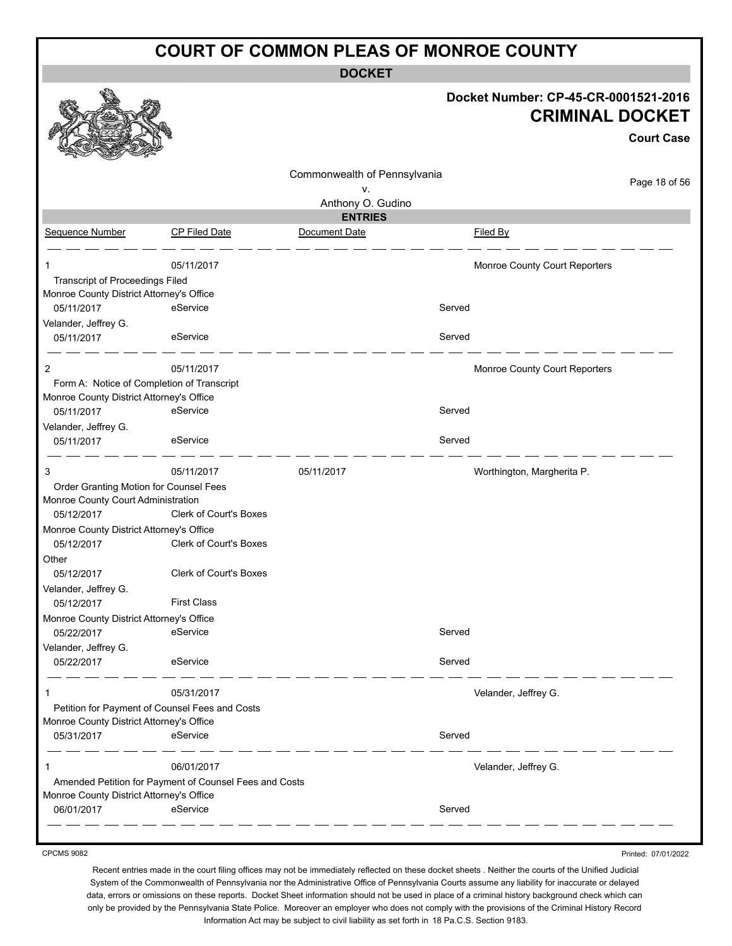**DOCKET**

|                                                |                                                        |                              |        | Docket Number: CP-45-CR-0001521-2016<br><b>CRIMINAL DOCKET</b> | <b>Court Case</b> |
|------------------------------------------------|--------------------------------------------------------|------------------------------|--------|----------------------------------------------------------------|-------------------|
|                                                |                                                        | Commonwealth of Pennsylvania |        |                                                                | Page 18 of 56     |
|                                                |                                                        | v.<br>Anthony O. Gudino      |        |                                                                |                   |
|                                                |                                                        | <b>ENTRIES</b>               |        |                                                                |                   |
| Sequence Number                                | <b>CP Filed Date</b>                                   | Document Date                |        | Filed By                                                       |                   |
| 1                                              | 05/11/2017                                             |                              |        | Monroe County Court Reporters                                  |                   |
| Transcript of Proceedings Filed                |                                                        |                              |        |                                                                |                   |
| Monroe County District Attorney's Office       |                                                        |                              |        |                                                                |                   |
| 05/11/2017                                     | eService                                               |                              | Served |                                                                |                   |
| Velander, Jeffrey G.                           |                                                        |                              |        |                                                                |                   |
| 05/11/2017                                     | eService                                               |                              | Served |                                                                |                   |
| 2                                              | 05/11/2017                                             |                              |        | Monroe County Court Reporters                                  |                   |
| Form A: Notice of Completion of Transcript     |                                                        |                              |        |                                                                |                   |
| Monroe County District Attorney's Office       |                                                        |                              |        |                                                                |                   |
| 05/11/2017                                     | eService                                               |                              | Served |                                                                |                   |
| Velander, Jeffrey G.                           |                                                        |                              |        |                                                                |                   |
| 05/11/2017                                     | eService                                               |                              | Served |                                                                |                   |
| 3                                              | 05/11/2017                                             | 05/11/2017                   |        | Worthington, Margherita P.                                     |                   |
| Order Granting Motion for Counsel Fees         |                                                        |                              |        |                                                                |                   |
| Monroe County Court Administration             |                                                        |                              |        |                                                                |                   |
| 05/12/2017                                     | Clerk of Court's Boxes                                 |                              |        |                                                                |                   |
| Monroe County District Attorney's Office       |                                                        |                              |        |                                                                |                   |
| 05/12/2017                                     | <b>Clerk of Court's Boxes</b>                          |                              |        |                                                                |                   |
| Other                                          |                                                        |                              |        |                                                                |                   |
| 05/12/2017                                     | <b>Clerk of Court's Boxes</b>                          |                              |        |                                                                |                   |
| Velander, Jeffrey G.<br>05/12/2017             | <b>First Class</b>                                     |                              |        |                                                                |                   |
| Monroe County District Attorney's Office       |                                                        |                              |        |                                                                |                   |
| 05/22/2017                                     | eService                                               |                              | Served |                                                                |                   |
| Velander, Jeffrey G.                           |                                                        |                              |        |                                                                |                   |
| 05/22/2017                                     | eService                                               |                              | Served |                                                                |                   |
|                                                | 05/31/2017                                             |                              |        | Velander, Jeffrey G.                                           |                   |
| Petition for Payment of Counsel Fees and Costs |                                                        |                              |        |                                                                |                   |
| Monroe County District Attorney's Office       |                                                        |                              |        |                                                                |                   |
| 05/31/2017                                     | eService                                               |                              | Served |                                                                |                   |
|                                                | 06/01/2017                                             |                              |        | Velander, Jeffrey G.                                           |                   |
|                                                | Amended Petition for Payment of Counsel Fees and Costs |                              |        |                                                                |                   |
| Monroe County District Attorney's Office       |                                                        |                              |        |                                                                |                   |
|                                                | eService                                               |                              | Served |                                                                |                   |

CPCMS 9082

Recent entries made in the court filing offices may not be immediately reflected on these docket sheets . Neither the courts of the Unified Judicial System of the Commonwealth of Pennsylvania nor the Administrative Office of Pennsylvania Courts assume any liability for inaccurate or delayed data, errors or omissions on these reports. Docket Sheet information should not be used in place of a criminal history background check which can only be provided by the Pennsylvania State Police. Moreover an employer who does not comply with the provisions of the Criminal History Record Information Act may be subject to civil liability as set forth in 18 Pa.C.S. Section 9183.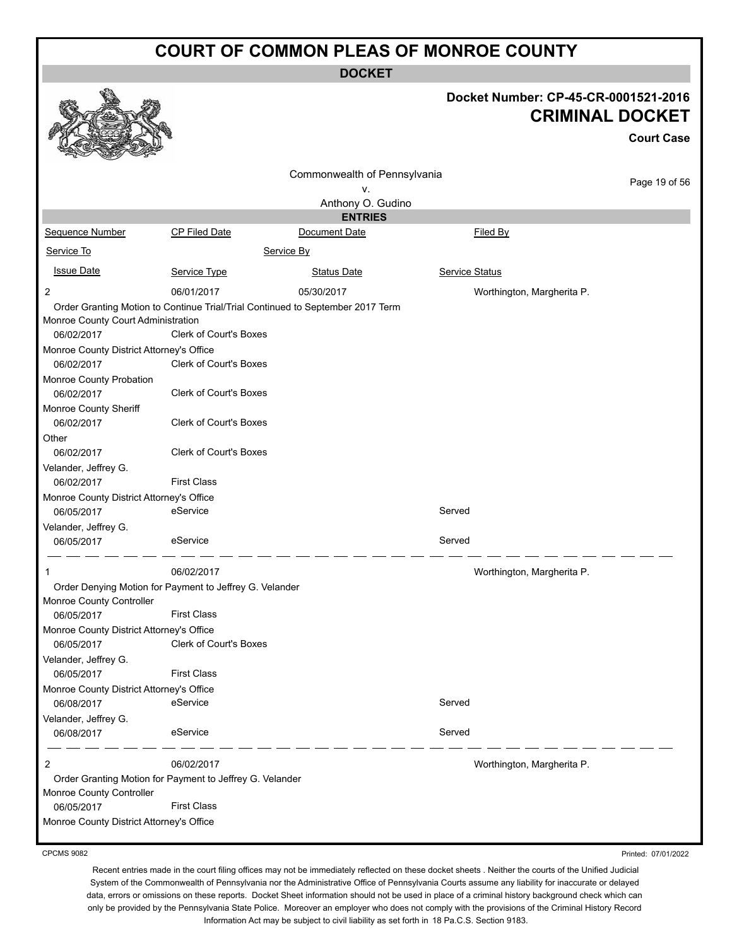**DOCKET**

|                                                          |                               | DUUNE I                                                                        |                       |                                      |  |
|----------------------------------------------------------|-------------------------------|--------------------------------------------------------------------------------|-----------------------|--------------------------------------|--|
|                                                          |                               |                                                                                |                       | Docket Number: CP-45-CR-0001521-2016 |  |
|                                                          |                               |                                                                                |                       | <b>CRIMINAL DOCKET</b>               |  |
|                                                          |                               |                                                                                |                       | <b>Court Case</b>                    |  |
|                                                          |                               | Commonwealth of Pennsylvania                                                   |                       |                                      |  |
|                                                          |                               | v.                                                                             |                       | Page 19 of 56                        |  |
|                                                          |                               | Anthony O. Gudino                                                              |                       |                                      |  |
|                                                          |                               | <b>ENTRIES</b>                                                                 |                       |                                      |  |
| Sequence Number                                          | <b>CP Filed Date</b>          | Document Date                                                                  |                       | Filed By                             |  |
| Service To                                               |                               | Service By                                                                     |                       |                                      |  |
| <b>Issue Date</b>                                        | Service Type                  | <b>Status Date</b>                                                             | <b>Service Status</b> |                                      |  |
| $\overline{2}$                                           | 06/01/2017                    | 05/30/2017                                                                     |                       | Worthington, Margherita P.           |  |
| Monroe County Court Administration<br>06/02/2017         | <b>Clerk of Court's Boxes</b> | Order Granting Motion to Continue Trial/Trial Continued to September 2017 Term |                       |                                      |  |
| Monroe County District Attorney's Office<br>06/02/2017   | Clerk of Court's Boxes        |                                                                                |                       |                                      |  |
| Monroe County Probation<br>06/02/2017                    | <b>Clerk of Court's Boxes</b> |                                                                                |                       |                                      |  |
| Monroe County Sheriff<br>06/02/2017                      | <b>Clerk of Court's Boxes</b> |                                                                                |                       |                                      |  |
| Other                                                    |                               |                                                                                |                       |                                      |  |
| 06/02/2017                                               | <b>Clerk of Court's Boxes</b> |                                                                                |                       |                                      |  |
| Velander, Jeffrey G.                                     |                               |                                                                                |                       |                                      |  |
| 06/02/2017                                               | <b>First Class</b>            |                                                                                |                       |                                      |  |
| Monroe County District Attorney's Office                 |                               |                                                                                |                       |                                      |  |
| 06/05/2017                                               | eService                      |                                                                                | Served                |                                      |  |
| Velander, Jeffrey G.                                     |                               |                                                                                |                       |                                      |  |
| 06/05/2017                                               | eService                      |                                                                                | Served                |                                      |  |
|                                                          | 06/02/2017                    |                                                                                |                       | Worthington, Margherita P.           |  |
| Order Denying Motion for Payment to Jeffrey G. Velander  |                               |                                                                                |                       |                                      |  |
| Monroe County Controller<br>06/05/2017                   | <b>First Class</b>            |                                                                                |                       |                                      |  |
| Monroe County District Attorney's Office                 |                               |                                                                                |                       |                                      |  |
| 06/05/2017                                               | Clerk of Court's Boxes        |                                                                                |                       |                                      |  |
| Velander, Jeffrey G.                                     |                               |                                                                                |                       |                                      |  |
| 06/05/2017                                               | <b>First Class</b>            |                                                                                |                       |                                      |  |
| Monroe County District Attorney's Office<br>06/08/2017   | eService                      |                                                                                | Served                |                                      |  |
| Velander, Jeffrey G.<br>06/08/2017                       | eService                      |                                                                                | Served                |                                      |  |
|                                                          |                               |                                                                                |                       |                                      |  |
| 2                                                        | 06/02/2017                    |                                                                                |                       | Worthington, Margherita P.           |  |
| Order Granting Motion for Payment to Jeffrey G. Velander |                               |                                                                                |                       |                                      |  |
| Monroe County Controller<br>06/05/2017                   | <b>First Class</b>            |                                                                                |                       |                                      |  |
| Monroe County District Attorney's Office                 |                               |                                                                                |                       |                                      |  |
|                                                          |                               |                                                                                |                       |                                      |  |

CPCMS 9082

Recent entries made in the court filing offices may not be immediately reflected on these docket sheets . Neither the courts of the Unified Judicial System of the Commonwealth of Pennsylvania nor the Administrative Office of Pennsylvania Courts assume any liability for inaccurate or delayed data, errors or omissions on these reports. Docket Sheet information should not be used in place of a criminal history background check which can only be provided by the Pennsylvania State Police. Moreover an employer who does not comply with the provisions of the Criminal History Record Information Act may be subject to civil liability as set forth in 18 Pa.C.S. Section 9183.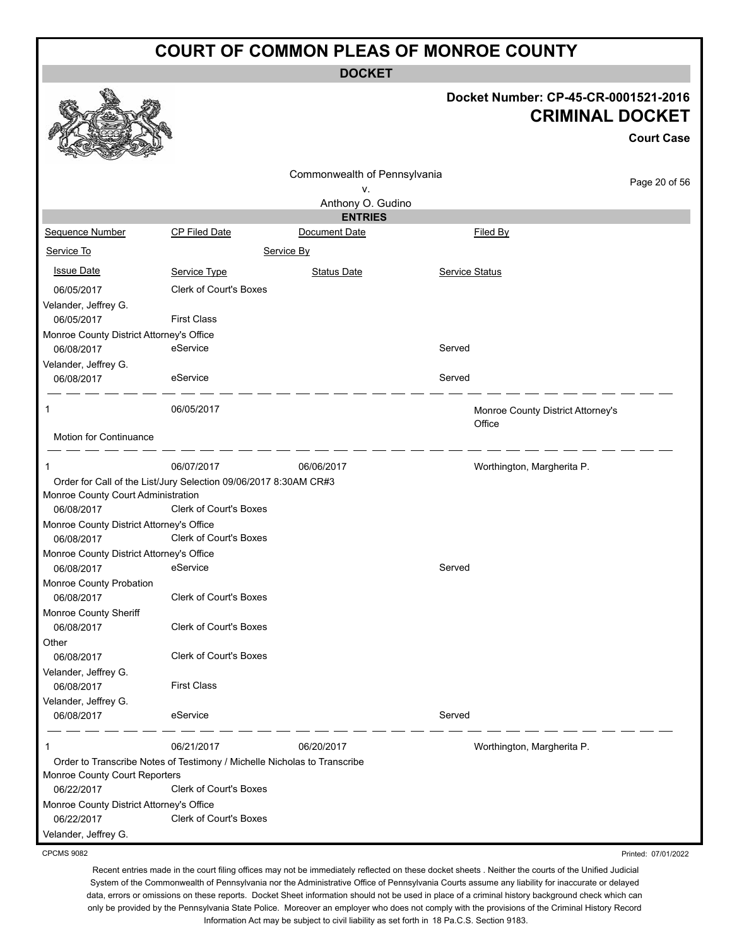**DOCKET**

#### **Docket Number: CP-45-CR-0001521-2016 CRIMINAL DOCKET**

**Court Case**

Printed: 07/01/2022

|                                          |                                                                          |                                     |                                             | <b>Court Case</b> |
|------------------------------------------|--------------------------------------------------------------------------|-------------------------------------|---------------------------------------------|-------------------|
|                                          |                                                                          | Commonwealth of Pennsylvania        |                                             | Page 20 of 56     |
|                                          |                                                                          | v.                                  |                                             |                   |
|                                          |                                                                          | Anthony O. Gudino<br><b>ENTRIES</b> |                                             |                   |
| Sequence Number                          | CP Filed Date                                                            | Document Date                       | <b>Filed By</b>                             |                   |
| Service To                               |                                                                          | Service By                          |                                             |                   |
| <b>Issue Date</b>                        | Service Type                                                             | <b>Status Date</b>                  | Service Status                              |                   |
| 06/05/2017                               | <b>Clerk of Court's Boxes</b>                                            |                                     |                                             |                   |
| Velander, Jeffrey G.                     |                                                                          |                                     |                                             |                   |
| 06/05/2017                               | <b>First Class</b>                                                       |                                     |                                             |                   |
| Monroe County District Attorney's Office |                                                                          |                                     |                                             |                   |
| 06/08/2017                               | eService                                                                 |                                     | Served                                      |                   |
| Velander, Jeffrey G.                     |                                                                          |                                     |                                             |                   |
| 06/08/2017                               | eService                                                                 |                                     | Served                                      |                   |
| 1                                        | 06/05/2017                                                               |                                     | Monroe County District Attorney's<br>Office |                   |
| Motion for Continuance                   |                                                                          |                                     |                                             |                   |
| 1                                        | 06/07/2017                                                               | 06/06/2017                          | Worthington, Margherita P.                  |                   |
|                                          | Order for Call of the List/Jury Selection 09/06/2017 8:30AM CR#3         |                                     |                                             |                   |
| Monroe County Court Administration       |                                                                          |                                     |                                             |                   |
| 06/08/2017                               | <b>Clerk of Court's Boxes</b>                                            |                                     |                                             |                   |
| Monroe County District Attorney's Office |                                                                          |                                     |                                             |                   |
| 06/08/2017                               | Clerk of Court's Boxes                                                   |                                     |                                             |                   |
| Monroe County District Attorney's Office |                                                                          |                                     |                                             |                   |
| 06/08/2017                               | eService                                                                 |                                     | Served                                      |                   |
| Monroe County Probation                  |                                                                          |                                     |                                             |                   |
| 06/08/2017                               | Clerk of Court's Boxes                                                   |                                     |                                             |                   |
| Monroe County Sheriff                    |                                                                          |                                     |                                             |                   |
| 06/08/2017                               | Clerk of Court's Boxes                                                   |                                     |                                             |                   |
| Other                                    |                                                                          |                                     |                                             |                   |
| 06/08/2017                               | <b>Clerk of Court's Boxes</b>                                            |                                     |                                             |                   |
| Velander, Jeffrey G.                     |                                                                          |                                     |                                             |                   |
| 06/08/2017                               | <b>First Class</b>                                                       |                                     |                                             |                   |
| Velander, Jeffrey G.<br>06/08/2017       | eService                                                                 |                                     | Served                                      |                   |
| 1                                        | 06/21/2017                                                               | 06/20/2017                          | Worthington, Margherita P.                  |                   |
|                                          | Order to Transcribe Notes of Testimony / Michelle Nicholas to Transcribe |                                     |                                             |                   |
| Monroe County Court Reporters            |                                                                          |                                     |                                             |                   |
| 06/22/2017                               | Clerk of Court's Boxes                                                   |                                     |                                             |                   |
| Monroe County District Attorney's Office |                                                                          |                                     |                                             |                   |
| 06/22/2017                               | Clerk of Court's Boxes                                                   |                                     |                                             |                   |
| Velander, Jeffrey G.                     |                                                                          |                                     |                                             |                   |

CPCMS 9082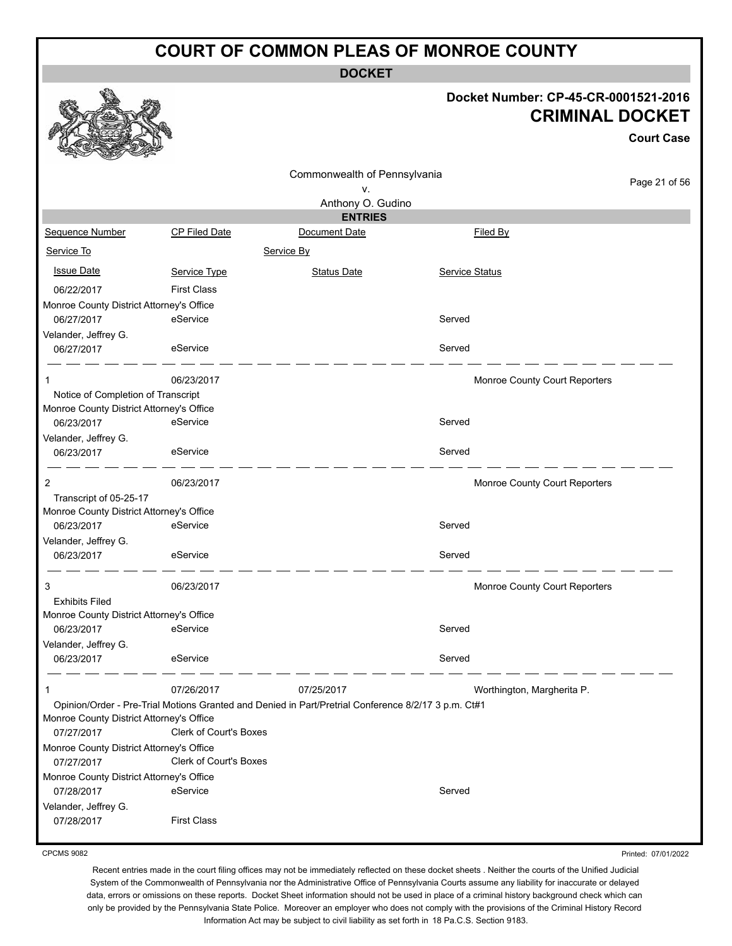**DOCKET**

#### **Docket Number: CP-45-CR-0001521-2016 CRIMINAL DOCKET**

**Court Case**

|                                          |                                                                                                     |                              |                               | <b>Court Case</b> |
|------------------------------------------|-----------------------------------------------------------------------------------------------------|------------------------------|-------------------------------|-------------------|
|                                          |                                                                                                     | Commonwealth of Pennsylvania |                               |                   |
|                                          |                                                                                                     | ۷.                           |                               | Page 21 of 56     |
|                                          |                                                                                                     | Anthony O. Gudino            |                               |                   |
|                                          |                                                                                                     | <b>ENTRIES</b>               |                               |                   |
| Sequence Number                          | <b>CP Filed Date</b>                                                                                | Document Date                | <b>Filed By</b>               |                   |
| Service To                               |                                                                                                     | Service By                   |                               |                   |
| <b>Issue Date</b>                        | Service Type                                                                                        | <b>Status Date</b>           | Service Status                |                   |
| 06/22/2017                               | <b>First Class</b>                                                                                  |                              |                               |                   |
| Monroe County District Attorney's Office |                                                                                                     |                              |                               |                   |
| 06/27/2017                               | eService                                                                                            |                              | Served                        |                   |
| Velander, Jeffrey G.                     |                                                                                                     |                              |                               |                   |
| 06/27/2017                               | eService                                                                                            |                              | Served                        |                   |
| 1                                        | 06/23/2017                                                                                          |                              | Monroe County Court Reporters |                   |
| Notice of Completion of Transcript       |                                                                                                     |                              |                               |                   |
| Monroe County District Attorney's Office |                                                                                                     |                              |                               |                   |
| 06/23/2017                               | eService                                                                                            |                              | Served                        |                   |
| Velander, Jeffrey G.                     |                                                                                                     |                              |                               |                   |
| 06/23/2017                               | eService                                                                                            |                              | Served                        |                   |
| 2                                        | 06/23/2017                                                                                          |                              | Monroe County Court Reporters |                   |
| Transcript of 05-25-17                   |                                                                                                     |                              |                               |                   |
| Monroe County District Attorney's Office |                                                                                                     |                              |                               |                   |
| 06/23/2017                               | eService                                                                                            |                              | Served                        |                   |
| Velander, Jeffrey G.                     |                                                                                                     |                              |                               |                   |
| 06/23/2017                               | eService                                                                                            |                              | Served                        |                   |
| 3                                        | 06/23/2017                                                                                          |                              | Monroe County Court Reporters |                   |
| <b>Exhibits Filed</b>                    |                                                                                                     |                              |                               |                   |
| Monroe County District Attorney's Office |                                                                                                     |                              |                               |                   |
| 06/23/2017                               | eService                                                                                            |                              | Served                        |                   |
| Velander, Jeffrey G.                     |                                                                                                     |                              |                               |                   |
| 06/23/2017                               | eService                                                                                            |                              | Served                        |                   |
| 1                                        | 07/26/2017                                                                                          | 07/25/2017                   | Worthington, Margherita P.    |                   |
|                                          | Opinion/Order - Pre-Trial Motions Granted and Denied in Part/Pretrial Conference 8/2/17 3 p.m. Ct#1 |                              |                               |                   |
| Monroe County District Attorney's Office |                                                                                                     |                              |                               |                   |
| 07/27/2017                               | <b>Clerk of Court's Boxes</b>                                                                       |                              |                               |                   |
| Monroe County District Attorney's Office |                                                                                                     |                              |                               |                   |
| 07/27/2017                               | <b>Clerk of Court's Boxes</b>                                                                       |                              |                               |                   |
| Monroe County District Attorney's Office |                                                                                                     |                              |                               |                   |
| 07/28/2017                               | eService                                                                                            |                              | Served                        |                   |
| Velander, Jeffrey G.                     |                                                                                                     |                              |                               |                   |
| 07/28/2017                               | <b>First Class</b>                                                                                  |                              |                               |                   |
|                                          |                                                                                                     |                              |                               |                   |

CPCMS 9082

Printed: 07/01/2022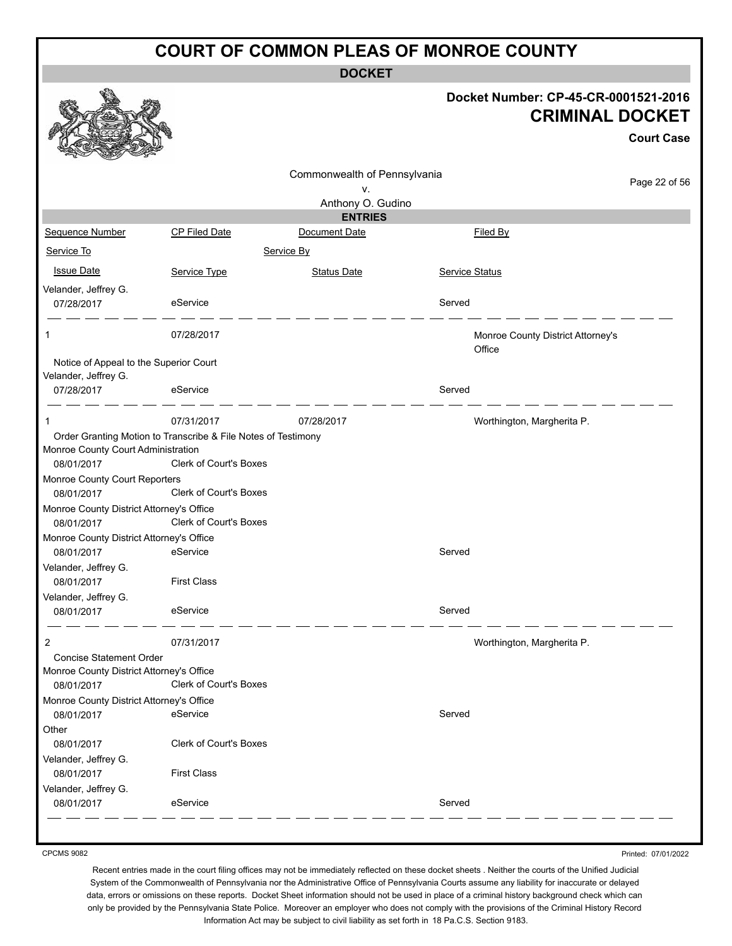**DOCKET**

|                                                                |                                                               | ואטשע                        |                                                                |                   |
|----------------------------------------------------------------|---------------------------------------------------------------|------------------------------|----------------------------------------------------------------|-------------------|
|                                                                |                                                               |                              | Docket Number: CP-45-CR-0001521-2016<br><b>CRIMINAL DOCKET</b> | <b>Court Case</b> |
|                                                                |                                                               | Commonwealth of Pennsylvania |                                                                |                   |
|                                                                |                                                               | v.                           |                                                                | Page 22 of 56     |
|                                                                |                                                               | Anthony O. Gudino            |                                                                |                   |
|                                                                |                                                               | <b>ENTRIES</b>               |                                                                |                   |
| Sequence Number                                                | CP Filed Date                                                 | Document Date                | Filed By                                                       |                   |
| Service To                                                     |                                                               | Service By                   |                                                                |                   |
| <b>Issue Date</b>                                              | Service Type                                                  | <b>Status Date</b>           | <b>Service Status</b>                                          |                   |
| Velander, Jeffrey G.                                           |                                                               |                              |                                                                |                   |
| 07/28/2017                                                     | eService                                                      |                              | Served                                                         |                   |
| 1                                                              | 07/28/2017                                                    |                              | Monroe County District Attorney's<br>Office                    |                   |
| Notice of Appeal to the Superior Court<br>Velander, Jeffrey G. |                                                               |                              |                                                                |                   |
| 07/28/2017                                                     | eService                                                      |                              | Served                                                         |                   |
| 1                                                              | 07/31/2017                                                    | 07/28/2017                   | Worthington, Margherita P.                                     |                   |
|                                                                | Order Granting Motion to Transcribe & File Notes of Testimony |                              |                                                                |                   |
| Monroe County Court Administration                             |                                                               |                              |                                                                |                   |
| 08/01/2017                                                     | <b>Clerk of Court's Boxes</b>                                 |                              |                                                                |                   |
| Monroe County Court Reporters                                  |                                                               |                              |                                                                |                   |
| 08/01/2017                                                     | Clerk of Court's Boxes                                        |                              |                                                                |                   |
| Monroe County District Attorney's Office                       |                                                               |                              |                                                                |                   |
| 08/01/2017                                                     | Clerk of Court's Boxes                                        |                              |                                                                |                   |
| Monroe County District Attorney's Office                       |                                                               |                              | Served                                                         |                   |
| 08/01/2017<br>Velander, Jeffrey G.                             | eService                                                      |                              |                                                                |                   |
| 08/01/2017                                                     | <b>First Class</b>                                            |                              |                                                                |                   |
| Velander, Jeffrey G.                                           |                                                               |                              |                                                                |                   |
| 08/01/2017                                                     | eService                                                      |                              | Served                                                         |                   |
| 2                                                              | 07/31/2017                                                    |                              | Worthington, Margherita P.                                     |                   |
| <b>Concise Statement Order</b>                                 |                                                               |                              |                                                                |                   |
| Monroe County District Attorney's Office                       |                                                               |                              |                                                                |                   |
| 08/01/2017                                                     | Clerk of Court's Boxes                                        |                              |                                                                |                   |
| Monroe County District Attorney's Office                       |                                                               |                              |                                                                |                   |
| 08/01/2017                                                     | eService                                                      |                              | Served                                                         |                   |
| Other                                                          |                                                               |                              |                                                                |                   |
| 08/01/2017                                                     | Clerk of Court's Boxes                                        |                              |                                                                |                   |
| Velander, Jeffrey G.                                           | <b>First Class</b>                                            |                              |                                                                |                   |
| 08/01/2017<br>Velander, Jeffrey G.                             |                                                               |                              |                                                                |                   |
| 08/01/2017                                                     | eService                                                      |                              | Served                                                         |                   |
|                                                                |                                                               |                              |                                                                |                   |

CPCMS 9082

Printed: 07/01/2022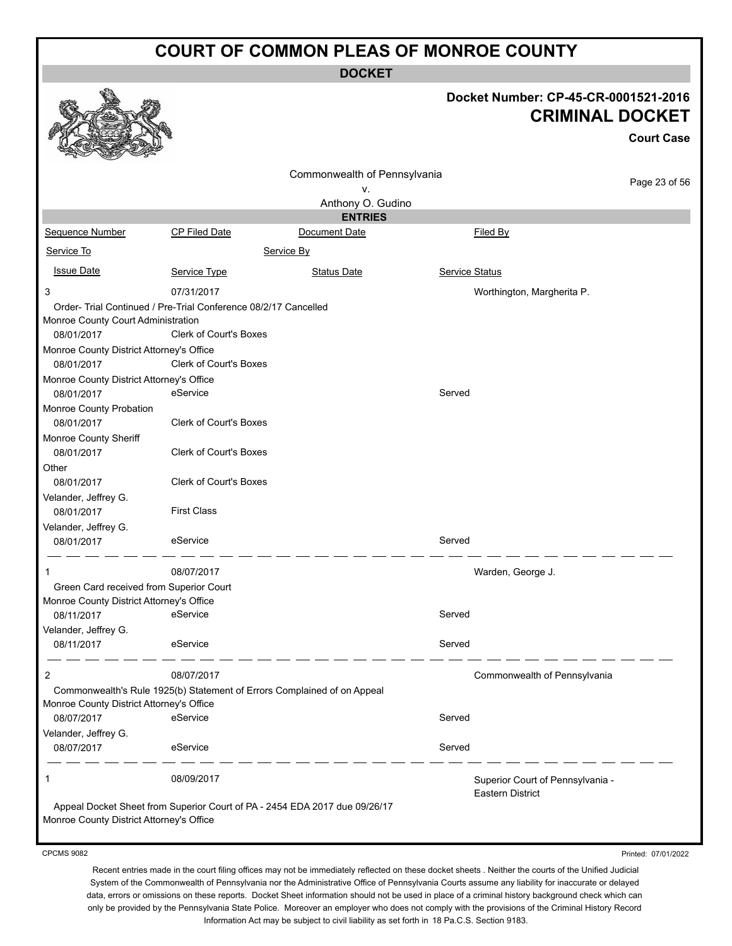**DOCKET**

|                                                                                                                                                                                                                                                                                  |                                                                                                             |                                                                            |                       | Docket Number: CP-45-CR-0001521-2016<br><b>CRIMINAL DOCKET</b> | <b>Court Case</b> |
|----------------------------------------------------------------------------------------------------------------------------------------------------------------------------------------------------------------------------------------------------------------------------------|-------------------------------------------------------------------------------------------------------------|----------------------------------------------------------------------------|-----------------------|----------------------------------------------------------------|-------------------|
|                                                                                                                                                                                                                                                                                  |                                                                                                             | Commonwealth of Pennsylvania                                               |                       |                                                                | Page 23 of 56     |
|                                                                                                                                                                                                                                                                                  |                                                                                                             | ٧.                                                                         |                       |                                                                |                   |
|                                                                                                                                                                                                                                                                                  |                                                                                                             | Anthony O. Gudino                                                          |                       |                                                                |                   |
|                                                                                                                                                                                                                                                                                  |                                                                                                             | <b>ENTRIES</b>                                                             |                       |                                                                |                   |
| Sequence Number                                                                                                                                                                                                                                                                  | <b>CP Filed Date</b>                                                                                        | Document Date                                                              |                       | Filed By                                                       |                   |
| Service To                                                                                                                                                                                                                                                                       |                                                                                                             | Service By                                                                 |                       |                                                                |                   |
| <b>Issue Date</b>                                                                                                                                                                                                                                                                | Service Type                                                                                                | <b>Status Date</b>                                                         | <b>Service Status</b> |                                                                |                   |
| 3                                                                                                                                                                                                                                                                                | 07/31/2017                                                                                                  |                                                                            |                       | Worthington, Margherita P.                                     |                   |
| Order- Trial Continued / Pre-Trial Conference 08/2/17 Cancelled<br>Monroe County Court Administration<br>08/01/2017<br>Monroe County District Attorney's Office<br>08/01/2017<br>Monroe County District Attorney's Office<br>08/01/2017<br>Monroe County Probation<br>08/01/2017 | <b>Clerk of Court's Boxes</b><br><b>Clerk of Court's Boxes</b><br>eService<br><b>Clerk of Court's Boxes</b> |                                                                            | Served                |                                                                |                   |
| Monroe County Sheriff<br>08/01/2017<br>Other<br>08/01/2017<br>Velander, Jeffrey G.<br>08/01/2017<br>Velander, Jeffrey G.                                                                                                                                                         | Clerk of Court's Boxes<br><b>Clerk of Court's Boxes</b><br><b>First Class</b>                               |                                                                            |                       |                                                                |                   |
| 08/01/2017                                                                                                                                                                                                                                                                       | eService                                                                                                    |                                                                            | Served                |                                                                |                   |
| Green Card received from Superior Court<br>Monroe County District Attorney's Office<br>08/11/2017                                                                                                                                                                                | 08/07/2017<br>eService                                                                                      |                                                                            | Served                | Warden, George J.                                              |                   |
| Velander, Jeffrey G.<br>08/11/2017                                                                                                                                                                                                                                               | eService                                                                                                    |                                                                            | Served                |                                                                |                   |
| 2<br>Monroe County District Attorney's Office                                                                                                                                                                                                                                    | 08/07/2017                                                                                                  | Commonwealth's Rule 1925(b) Statement of Errors Complained of on Appeal    |                       | Commonwealth of Pennsylvania                                   |                   |
| 08/07/2017                                                                                                                                                                                                                                                                       | eService                                                                                                    |                                                                            | Served                |                                                                |                   |
| Velander, Jeffrey G.<br>08/07/2017                                                                                                                                                                                                                                               | eService                                                                                                    |                                                                            | Served                |                                                                |                   |
| 1<br>Monroe County District Attorney's Office                                                                                                                                                                                                                                    | 08/09/2017                                                                                                  | Appeal Docket Sheet from Superior Court of PA - 2454 EDA 2017 due 09/26/17 |                       | Superior Court of Pennsylvania -<br><b>Eastern District</b>    |                   |

CPCMS 9082

Printed: 07/01/2022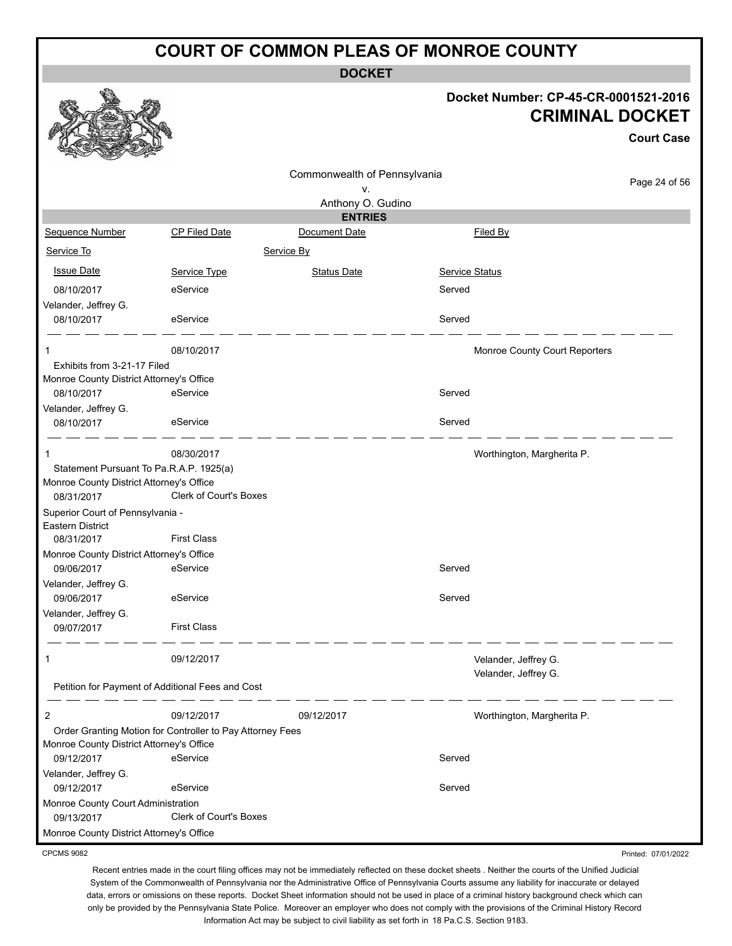**DOCKET**

#### **Docket Number: CP-45-CR-0001521-2016 CRIMINAL DOCKET**

**Court Case**

|                                                        |                                                           |                              |                               | <b>Court Case</b> |
|--------------------------------------------------------|-----------------------------------------------------------|------------------------------|-------------------------------|-------------------|
|                                                        |                                                           | Commonwealth of Pennsylvania |                               |                   |
|                                                        |                                                           | ۷.                           |                               | Page 24 of 56     |
|                                                        |                                                           | Anthony O. Gudino            |                               |                   |
|                                                        |                                                           | <b>ENTRIES</b>               |                               |                   |
| Sequence Number                                        | CP Filed Date                                             | Document Date                | Filed By                      |                   |
| Service To                                             |                                                           | Service By                   |                               |                   |
| <b>Issue Date</b>                                      | Service Type                                              | <b>Status Date</b>           | <b>Service Status</b>         |                   |
| 08/10/2017                                             | eService                                                  |                              | Served                        |                   |
| Velander, Jeffrey G.                                   |                                                           |                              |                               |                   |
| 08/10/2017                                             | eService                                                  |                              | Served                        |                   |
| 1                                                      | 08/10/2017                                                |                              | Monroe County Court Reporters |                   |
| Exhibits from 3-21-17 Filed                            |                                                           |                              |                               |                   |
| Monroe County District Attorney's Office               |                                                           |                              |                               |                   |
| 08/10/2017                                             | eService                                                  |                              | Served                        |                   |
| Velander, Jeffrey G.                                   |                                                           |                              |                               |                   |
| 08/10/2017                                             | eService                                                  |                              | Served                        |                   |
| 1                                                      | 08/30/2017                                                |                              | Worthington, Margherita P.    |                   |
| Statement Pursuant To Pa.R.A.P. 1925(a)                |                                                           |                              |                               |                   |
| Monroe County District Attorney's Office               |                                                           |                              |                               |                   |
| 08/31/2017                                             | Clerk of Court's Boxes                                    |                              |                               |                   |
| Superior Court of Pennsylvania -                       |                                                           |                              |                               |                   |
| <b>Eastern District</b><br>08/31/2017                  | <b>First Class</b>                                        |                              |                               |                   |
| Monroe County District Attorney's Office               |                                                           |                              |                               |                   |
| 09/06/2017                                             | eService                                                  |                              | Served                        |                   |
| Velander, Jeffrey G.                                   |                                                           |                              |                               |                   |
| 09/06/2017                                             | eService                                                  |                              | Served                        |                   |
| Velander, Jeffrey G.                                   |                                                           |                              |                               |                   |
| 09/07/2017                                             | <b>First Class</b>                                        |                              |                               |                   |
|                                                        | 09/12/2017                                                |                              | Velander, Jeffrey G.          |                   |
|                                                        |                                                           |                              | Velander, Jeffrey G.          |                   |
|                                                        | Petition for Payment of Additional Fees and Cost          |                              |                               |                   |
| 2                                                      | 09/12/2017                                                | 09/12/2017                   | Worthington, Margherita P.    |                   |
|                                                        | Order Granting Motion for Controller to Pay Attorney Fees |                              |                               |                   |
| Monroe County District Attorney's Office               |                                                           |                              |                               |                   |
| 09/12/2017                                             | eService                                                  |                              | Served                        |                   |
| Velander, Jeffrey G.                                   |                                                           |                              |                               |                   |
| 09/12/2017                                             | eService                                                  |                              | Served                        |                   |
| Monroe County Court Administration                     | <b>Clerk of Court's Boxes</b>                             |                              |                               |                   |
| 09/13/2017<br>Monroe County District Attorney's Office |                                                           |                              |                               |                   |
|                                                        |                                                           |                              |                               |                   |

CPCMS 9082

Printed: 07/01/2022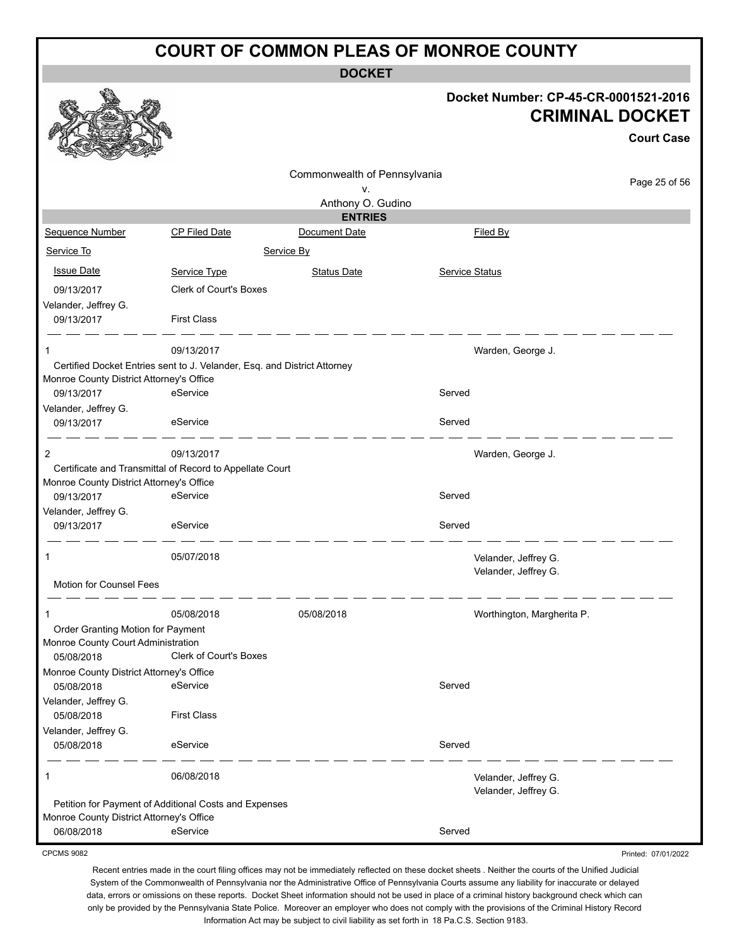**DOCKET**

#### **Docket Number: CP-45-CR-0001521-2016 CRIMINAL DOCKET**

**Court Case**

Printed: 07/01/2022

|                                          |                                                                          |                              |                       |                            | <b>Court Case</b> |
|------------------------------------------|--------------------------------------------------------------------------|------------------------------|-----------------------|----------------------------|-------------------|
|                                          |                                                                          | Commonwealth of Pennsylvania |                       |                            | Page 25 of 56     |
|                                          |                                                                          | ۷.                           |                       |                            |                   |
|                                          |                                                                          | Anthony O. Gudino            |                       |                            |                   |
|                                          |                                                                          | <b>ENTRIES</b>               |                       |                            |                   |
| Sequence Number                          | <b>CP Filed Date</b>                                                     | Document Date                |                       | Filed By                   |                   |
| Service To                               |                                                                          | Service By                   |                       |                            |                   |
| <b>Issue Date</b>                        | Service Type                                                             | <b>Status Date</b>           | <b>Service Status</b> |                            |                   |
| 09/13/2017                               | Clerk of Court's Boxes                                                   |                              |                       |                            |                   |
| Velander, Jeffrey G.                     |                                                                          |                              |                       |                            |                   |
| 09/13/2017                               | <b>First Class</b>                                                       |                              |                       |                            |                   |
| 1                                        | 09/13/2017                                                               |                              |                       | Warden, George J.          |                   |
|                                          | Certified Docket Entries sent to J. Velander, Esq. and District Attorney |                              |                       |                            |                   |
| Monroe County District Attorney's Office |                                                                          |                              |                       |                            |                   |
| 09/13/2017                               | eService                                                                 |                              | Served                |                            |                   |
| Velander, Jeffrey G.                     |                                                                          |                              |                       |                            |                   |
| 09/13/2017                               | eService                                                                 |                              | Served                |                            |                   |
| 2                                        | 09/13/2017                                                               |                              |                       | Warden, George J.          |                   |
|                                          | Certificate and Transmittal of Record to Appellate Court                 |                              |                       |                            |                   |
| Monroe County District Attorney's Office |                                                                          |                              |                       |                            |                   |
| 09/13/2017                               | eService                                                                 |                              | Served                |                            |                   |
| Velander, Jeffrey G.                     |                                                                          |                              |                       |                            |                   |
| 09/13/2017                               | eService                                                                 |                              | Served                |                            |                   |
| 1                                        | 05/07/2018                                                               |                              |                       | Velander, Jeffrey G.       |                   |
| Motion for Counsel Fees                  |                                                                          |                              |                       | Velander, Jeffrey G.       |                   |
| 1                                        | 05/08/2018                                                               | 05/08/2018                   |                       | Worthington, Margherita P. |                   |
| Order Granting Motion for Payment        |                                                                          |                              |                       |                            |                   |
| Monroe County Court Administration       |                                                                          |                              |                       |                            |                   |
| 05/08/2018                               | Clerk of Court's Boxes                                                   |                              |                       |                            |                   |
| Monroe County District Attorney's Office |                                                                          |                              |                       |                            |                   |
| 05/08/2018                               | eService                                                                 |                              | Served                |                            |                   |
| Velander, Jeffrey G.                     |                                                                          |                              |                       |                            |                   |
| 05/08/2018                               | <b>First Class</b>                                                       |                              |                       |                            |                   |
| Velander, Jeffrey G.                     |                                                                          |                              |                       |                            |                   |
| 05/08/2018                               | eService                                                                 |                              | Served                |                            |                   |
| 1                                        | 06/08/2018                                                               |                              |                       | Velander, Jeffrey G.       |                   |
|                                          |                                                                          |                              |                       | Velander, Jeffrey G.       |                   |
|                                          | Petition for Payment of Additional Costs and Expenses                    |                              |                       |                            |                   |
| Monroe County District Attorney's Office |                                                                          |                              |                       |                            |                   |
| 06/08/2018                               | eService                                                                 |                              | Served                |                            |                   |

CPCMS 9082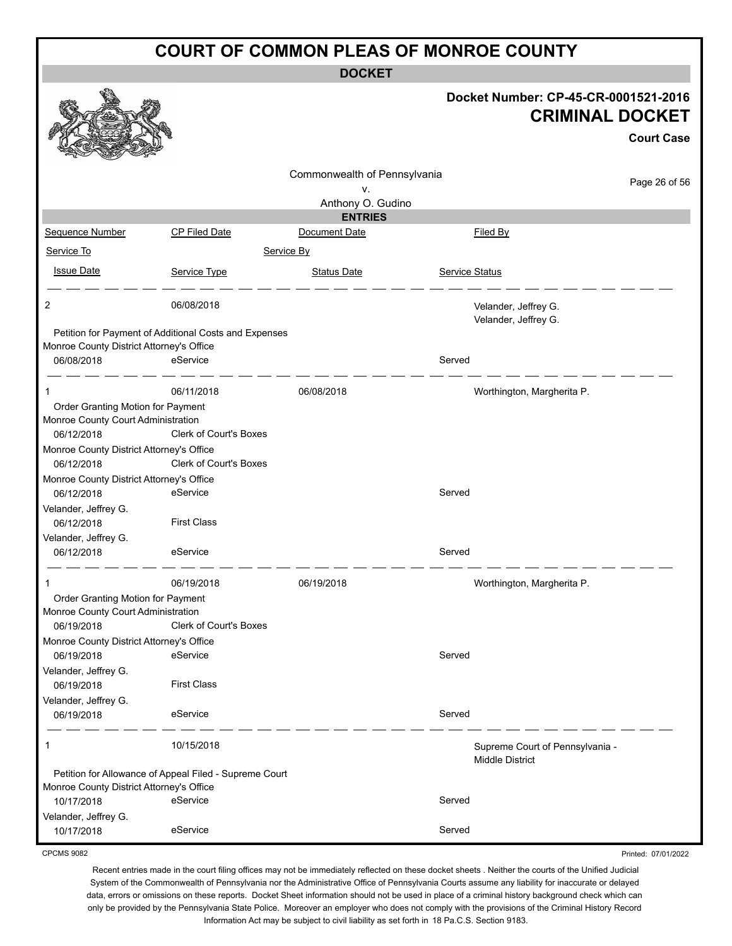**DOCKET**

|                                                        |                                                        | <b>DOCKEI</b>                |                |                                                                |
|--------------------------------------------------------|--------------------------------------------------------|------------------------------|----------------|----------------------------------------------------------------|
|                                                        |                                                        |                              |                | Docket Number: CP-45-CR-0001521-2016<br><b>CRIMINAL DOCKET</b> |
|                                                        |                                                        |                              |                | <b>Court Case</b>                                              |
|                                                        |                                                        | Commonwealth of Pennsylvania |                | Page 26 of 56                                                  |
|                                                        |                                                        | ٧.<br>Anthony O. Gudino      |                |                                                                |
|                                                        |                                                        | <b>ENTRIES</b>               |                |                                                                |
| Sequence Number                                        | <b>CP Filed Date</b>                                   | Document Date                |                | Filed By                                                       |
| Service To                                             | Service By                                             |                              |                |                                                                |
| <b>Issue Date</b>                                      | Service Type                                           | <b>Status Date</b>           | Service Status |                                                                |
| 2                                                      | 06/08/2018                                             |                              |                | Velander, Jeffrey G.<br>Velander, Jeffrey G.                   |
| Monroe County District Attorney's Office               | Petition for Payment of Additional Costs and Expenses  |                              |                |                                                                |
| 06/08/2018                                             | eService                                               |                              | Served         |                                                                |
| 1                                                      | 06/11/2018                                             | 06/08/2018                   |                | Worthington, Margherita P.                                     |
| Order Granting Motion for Payment                      |                                                        |                              |                |                                                                |
| Monroe County Court Administration                     |                                                        |                              |                |                                                                |
| 06/12/2018                                             | Clerk of Court's Boxes                                 |                              |                |                                                                |
| Monroe County District Attorney's Office               |                                                        |                              |                |                                                                |
| 06/12/2018                                             | Clerk of Court's Boxes                                 |                              |                |                                                                |
| Monroe County District Attorney's Office               |                                                        |                              |                |                                                                |
| 06/12/2018                                             | eService                                               |                              | Served         |                                                                |
| Velander, Jeffrey G.                                   |                                                        |                              |                |                                                                |
| 06/12/2018                                             | <b>First Class</b>                                     |                              |                |                                                                |
| Velander, Jeffrey G.                                   |                                                        |                              |                |                                                                |
| 06/12/2018                                             | eService                                               |                              | Served         |                                                                |
|                                                        | 06/19/2018                                             | 06/19/2018                   |                | Worthington, Margherita P.                                     |
| Order Granting Motion for Payment                      |                                                        |                              |                |                                                                |
| Monroe County Court Administration                     |                                                        |                              |                |                                                                |
| 06/19/2018                                             | Clerk of Court's Boxes                                 |                              |                |                                                                |
| Monroe County District Attorney's Office<br>06/19/2018 | eService                                               |                              | Served         |                                                                |
| Velander, Jeffrey G.                                   |                                                        |                              |                |                                                                |
| 06/19/2018                                             | <b>First Class</b>                                     |                              |                |                                                                |
| Velander, Jeffrey G.                                   |                                                        |                              |                |                                                                |
| 06/19/2018                                             | eService                                               |                              | Served         |                                                                |
| 1                                                      | 10/15/2018                                             |                              |                | Supreme Court of Pennsylvania -<br><b>Middle District</b>      |
|                                                        | Petition for Allowance of Appeal Filed - Supreme Court |                              |                |                                                                |
| Monroe County District Attorney's Office               |                                                        |                              |                |                                                                |
| 10/17/2018                                             | eService                                               |                              | Served         |                                                                |
| Velander, Jeffrey G.<br>10/17/2018                     | eService                                               |                              | Served         |                                                                |

CPCMS 9082

Recent entries made in the court filing offices may not be immediately reflected on these docket sheets . Neither the courts of the Unified Judicial System of the Commonwealth of Pennsylvania nor the Administrative Office of Pennsylvania Courts assume any liability for inaccurate or delayed data, errors or omissions on these reports. Docket Sheet information should not be used in place of a criminal history background check which can only be provided by the Pennsylvania State Police. Moreover an employer who does not comply with the provisions of the Criminal History Record Information Act may be subject to civil liability as set forth in 18 Pa.C.S. Section 9183.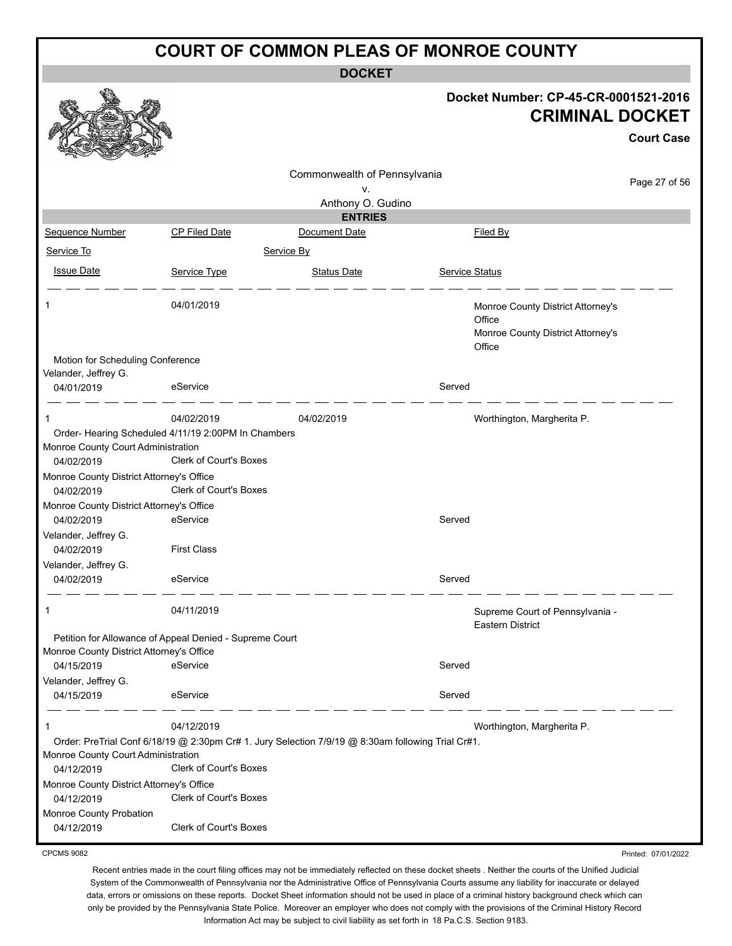**DOCKET**

|                                                        |                                                         | DUUNE I                                                                                           |                       |                                                                                            |                   |
|--------------------------------------------------------|---------------------------------------------------------|---------------------------------------------------------------------------------------------------|-----------------------|--------------------------------------------------------------------------------------------|-------------------|
|                                                        |                                                         |                                                                                                   |                       | Docket Number: CP-45-CR-0001521-2016<br><b>CRIMINAL DOCKET</b>                             |                   |
|                                                        |                                                         |                                                                                                   |                       |                                                                                            | <b>Court Case</b> |
|                                                        |                                                         | Commonwealth of Pennsylvania                                                                      |                       |                                                                                            | Page 27 of 56     |
|                                                        |                                                         | v.<br>Anthony O. Gudino                                                                           |                       |                                                                                            |                   |
|                                                        |                                                         | <b>ENTRIES</b>                                                                                    |                       |                                                                                            |                   |
| Sequence Number                                        | CP Filed Date                                           | Document Date                                                                                     |                       | Filed By                                                                                   |                   |
| Service To                                             |                                                         | Service By                                                                                        |                       |                                                                                            |                   |
| <b>Issue Date</b>                                      | Service Type                                            | <b>Status Date</b>                                                                                | <b>Service Status</b> |                                                                                            |                   |
| 1                                                      | 04/01/2019                                              |                                                                                                   |                       | Monroe County District Attorney's<br>Office<br>Monroe County District Attorney's<br>Office |                   |
| Motion for Scheduling Conference                       |                                                         |                                                                                                   |                       |                                                                                            |                   |
| Velander, Jeffrey G.<br>04/01/2019                     | eService                                                |                                                                                                   | Served                |                                                                                            |                   |
| 1                                                      | 04/02/2019                                              | 04/02/2019                                                                                        |                       | Worthington, Margherita P.                                                                 |                   |
|                                                        | Order- Hearing Scheduled 4/11/19 2:00PM In Chambers     |                                                                                                   |                       |                                                                                            |                   |
| Monroe County Court Administration<br>04/02/2019       | <b>Clerk of Court's Boxes</b>                           |                                                                                                   |                       |                                                                                            |                   |
| Monroe County District Attorney's Office<br>04/02/2019 | <b>Clerk of Court's Boxes</b>                           |                                                                                                   |                       |                                                                                            |                   |
| Monroe County District Attorney's Office               |                                                         |                                                                                                   |                       |                                                                                            |                   |
| 04/02/2019                                             | eService                                                |                                                                                                   | Served                |                                                                                            |                   |
| Velander, Jeffrey G.                                   |                                                         |                                                                                                   |                       |                                                                                            |                   |
| 04/02/2019<br>Velander, Jeffrey G.                     | <b>First Class</b>                                      |                                                                                                   |                       |                                                                                            |                   |
| 04/02/2019                                             | eService                                                |                                                                                                   | Served                |                                                                                            |                   |
|                                                        |                                                         |                                                                                                   |                       |                                                                                            |                   |
|                                                        | 04/11/2019                                              |                                                                                                   |                       | Supreme Court of Pennsylvania -<br><b>Eastern District</b>                                 |                   |
|                                                        | Petition for Allowance of Appeal Denied - Supreme Court |                                                                                                   |                       |                                                                                            |                   |
| Monroe County District Attorney's Office               |                                                         |                                                                                                   |                       |                                                                                            |                   |
| 04/15/2019                                             | eService                                                |                                                                                                   | Served                |                                                                                            |                   |
| Velander, Jeffrey G.                                   |                                                         |                                                                                                   |                       |                                                                                            |                   |
| 04/15/2019                                             | eService                                                |                                                                                                   | Served                |                                                                                            |                   |
| 1                                                      | 04/12/2019                                              |                                                                                                   |                       | Worthington, Margherita P.                                                                 |                   |
| Monroe County Court Administration                     |                                                         | Order: PreTrial Conf 6/18/19 @ 2:30pm Cr# 1. Jury Selection 7/9/19 @ 8:30am following Trial Cr#1. |                       |                                                                                            |                   |
| 04/12/2019                                             | <b>Clerk of Court's Boxes</b>                           |                                                                                                   |                       |                                                                                            |                   |
| Monroe County District Attorney's Office<br>04/12/2019 | Clerk of Court's Boxes                                  |                                                                                                   |                       |                                                                                            |                   |
| Monroe County Probation<br>04/12/2019                  | <b>Clerk of Court's Boxes</b>                           |                                                                                                   |                       |                                                                                            |                   |
|                                                        |                                                         |                                                                                                   |                       |                                                                                            |                   |

CPCMS 9082

Recent entries made in the court filing offices may not be immediately reflected on these docket sheets . Neither the courts of the Unified Judicial System of the Commonwealth of Pennsylvania nor the Administrative Office of Pennsylvania Courts assume any liability for inaccurate or delayed data, errors or omissions on these reports. Docket Sheet information should not be used in place of a criminal history background check which can only be provided by the Pennsylvania State Police. Moreover an employer who does not comply with the provisions of the Criminal History Record

Printed: 07/01/2022

Information Act may be subject to civil liability as set forth in 18 Pa.C.S. Section 9183.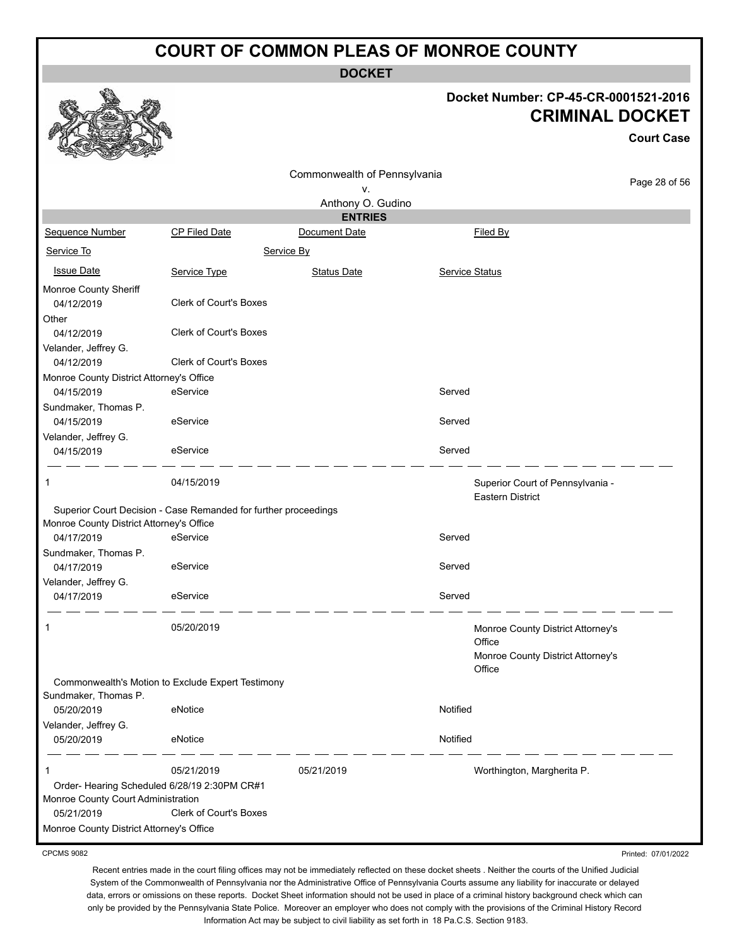**DOCKET**

#### **Docket Number: CP-45-CR-0001521-2016 CRIMINAL DOCKET**

**Court Case**

Printed: 07/01/2022

|                                                                                                                 |                                                                 | Commonwealth of Pennsylvania |                       |                                                                                            |               |
|-----------------------------------------------------------------------------------------------------------------|-----------------------------------------------------------------|------------------------------|-----------------------|--------------------------------------------------------------------------------------------|---------------|
|                                                                                                                 |                                                                 | ٧.                           |                       |                                                                                            | Page 28 of 56 |
|                                                                                                                 |                                                                 | Anthony O. Gudino            |                       |                                                                                            |               |
|                                                                                                                 |                                                                 | <b>ENTRIES</b>               |                       |                                                                                            |               |
| Sequence Number                                                                                                 | CP Filed Date                                                   | Document Date                |                       | Filed By                                                                                   |               |
| Service To                                                                                                      |                                                                 | Service By                   |                       |                                                                                            |               |
| <b>Issue Date</b>                                                                                               | Service Type                                                    | <b>Status Date</b>           | <b>Service Status</b> |                                                                                            |               |
| Monroe County Sheriff<br>04/12/2019                                                                             | <b>Clerk of Court's Boxes</b>                                   |                              |                       |                                                                                            |               |
| Other<br>04/12/2019<br>Velander, Jeffrey G.                                                                     | Clerk of Court's Boxes                                          |                              |                       |                                                                                            |               |
| 04/12/2019                                                                                                      | Clerk of Court's Boxes                                          |                              |                       |                                                                                            |               |
| Monroe County District Attorney's Office                                                                        |                                                                 |                              |                       |                                                                                            |               |
| 04/15/2019                                                                                                      | eService                                                        |                              | Served                |                                                                                            |               |
| Sundmaker, Thomas P.<br>04/15/2019                                                                              | eService                                                        |                              | Served                |                                                                                            |               |
| Velander, Jeffrey G.                                                                                            |                                                                 |                              |                       |                                                                                            |               |
| 04/15/2019                                                                                                      | eService                                                        |                              | Served                |                                                                                            |               |
| -1                                                                                                              | 04/15/2019                                                      |                              |                       | Superior Court of Pennsylvania -<br><b>Eastern District</b>                                |               |
| Monroe County District Attorney's Office                                                                        | Superior Court Decision - Case Remanded for further proceedings |                              |                       |                                                                                            |               |
| 04/17/2019                                                                                                      | eService                                                        |                              | Served                |                                                                                            |               |
| Sundmaker, Thomas P.<br>04/17/2019                                                                              | eService                                                        |                              | Served                |                                                                                            |               |
| Velander, Jeffrey G.                                                                                            |                                                                 |                              |                       |                                                                                            |               |
| 04/17/2019                                                                                                      | eService                                                        |                              | Served                |                                                                                            |               |
| 1                                                                                                               | 05/20/2019                                                      |                              |                       | Monroe County District Attorney's<br>Office<br>Monroe County District Attorney's<br>Office |               |
| Sundmaker, Thomas P.                                                                                            | Commonwealth's Motion to Exclude Expert Testimony               |                              |                       |                                                                                            |               |
| 05/20/2019                                                                                                      | eNotice                                                         |                              | Notified              |                                                                                            |               |
| Velander, Jeffrey G.<br>05/20/2019                                                                              | eNotice                                                         |                              | Notified              |                                                                                            |               |
| $\mathbf 1$<br>Order- Hearing Scheduled 6/28/19 2:30PM CR#1<br>Monroe County Court Administration<br>05/21/2019 | 05/21/2019<br><b>Clerk of Court's Boxes</b>                     | 05/21/2019                   |                       | Worthington, Margherita P.                                                                 |               |
| Monroe County District Attorney's Office                                                                        |                                                                 |                              |                       |                                                                                            |               |
|                                                                                                                 |                                                                 |                              |                       |                                                                                            |               |

CPCMS 9082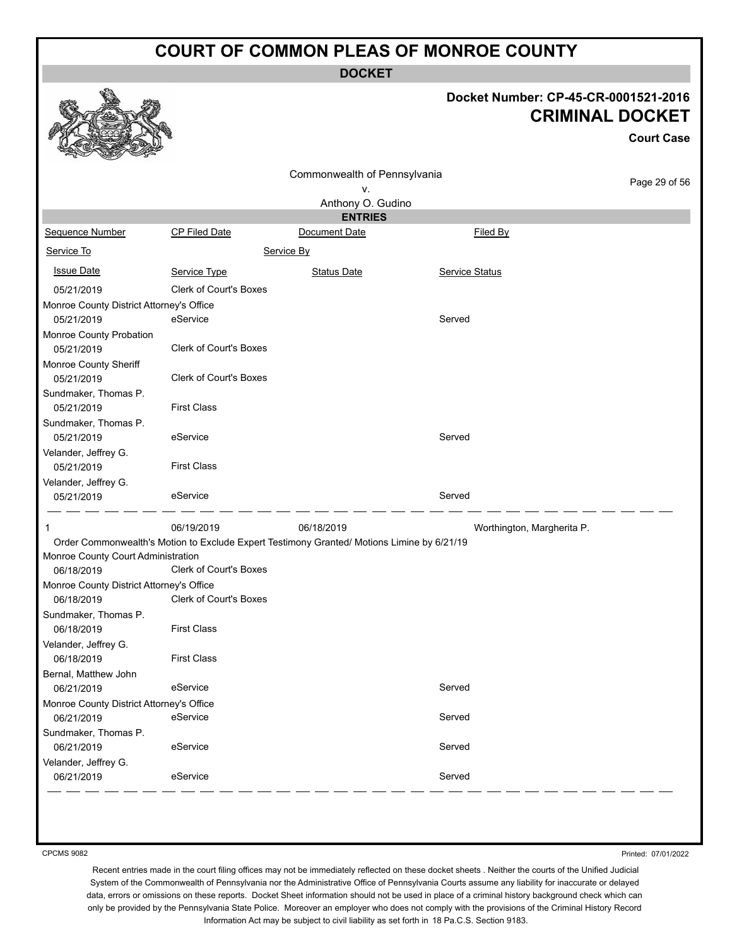**DOCKET**

# **Docket Number: CP-45-CR-0001521-2016**

|                                          |                               |                                                                                            |                |                            | <b>CRIMINAL DOCKET</b> |
|------------------------------------------|-------------------------------|--------------------------------------------------------------------------------------------|----------------|----------------------------|------------------------|
|                                          |                               |                                                                                            |                |                            | <b>Court Case</b>      |
|                                          |                               | Commonwealth of Pennsylvania                                                               |                |                            | Page 29 of 56          |
|                                          |                               | ۷.                                                                                         |                |                            |                        |
|                                          |                               | Anthony O. Gudino<br><b>ENTRIES</b>                                                        |                |                            |                        |
| <b>Sequence Number</b>                   | CP Filed Date                 | Document Date                                                                              | Filed By       |                            |                        |
| Service To                               |                               | Service By                                                                                 |                |                            |                        |
| <b>Issue Date</b>                        | Service Type                  | <b>Status Date</b>                                                                         | Service Status |                            |                        |
| 05/21/2019                               | <b>Clerk of Court's Boxes</b> |                                                                                            |                |                            |                        |
| Monroe County District Attorney's Office |                               |                                                                                            |                |                            |                        |
| 05/21/2019                               | eService                      |                                                                                            | Served         |                            |                        |
| Monroe County Probation                  |                               |                                                                                            |                |                            |                        |
| 05/21/2019                               | <b>Clerk of Court's Boxes</b> |                                                                                            |                |                            |                        |
| Monroe County Sheriff                    |                               |                                                                                            |                |                            |                        |
| 05/21/2019                               | <b>Clerk of Court's Boxes</b> |                                                                                            |                |                            |                        |
| Sundmaker, Thomas P.                     |                               |                                                                                            |                |                            |                        |
| 05/21/2019                               | <b>First Class</b>            |                                                                                            |                |                            |                        |
| Sundmaker, Thomas P.                     |                               |                                                                                            |                |                            |                        |
| 05/21/2019                               | eService                      |                                                                                            | Served         |                            |                        |
| Velander, Jeffrey G.                     |                               |                                                                                            |                |                            |                        |
| 05/21/2019                               | <b>First Class</b>            |                                                                                            |                |                            |                        |
| Velander, Jeffrey G.                     |                               |                                                                                            |                |                            |                        |
| 05/21/2019                               | eService                      |                                                                                            | Served         |                            |                        |
| 1                                        | 06/19/2019                    | 06/18/2019                                                                                 |                | Worthington, Margherita P. |                        |
| Monroe County Court Administration       |                               | Order Commonwealth's Motion to Exclude Expert Testimony Granted/ Motions Limine by 6/21/19 |                |                            |                        |
| 06/18/2019                               | <b>Clerk of Court's Boxes</b> |                                                                                            |                |                            |                        |
| Monroe County District Attorney's Office |                               |                                                                                            |                |                            |                        |
| 06/18/2019                               | Clerk of Court's Boxes        |                                                                                            |                |                            |                        |
| Sundmaker, Thomas P.<br>06/18/2019       | <b>First Class</b>            |                                                                                            |                |                            |                        |
| Velander, Jeffrey G.                     |                               |                                                                                            |                |                            |                        |
| 06/18/2019                               | <b>First Class</b>            |                                                                                            |                |                            |                        |
| Bernal, Matthew John                     |                               |                                                                                            |                |                            |                        |
| 06/21/2019                               | eService                      |                                                                                            | Served         |                            |                        |
| Monroe County District Attorney's Office |                               |                                                                                            |                |                            |                        |
| 06/21/2019                               | eService                      |                                                                                            | Served         |                            |                        |
| Sundmaker, Thomas P.                     |                               |                                                                                            |                |                            |                        |
| 06/21/2019                               | eService                      |                                                                                            | Served         |                            |                        |
| Velander, Jeffrey G.                     |                               |                                                                                            |                |                            |                        |
| 06/21/2019                               | eService                      |                                                                                            | Served         |                            |                        |
|                                          |                               |                                                                                            |                |                            |                        |

CPCMS 9082

**B** 

Printed: 07/01/2022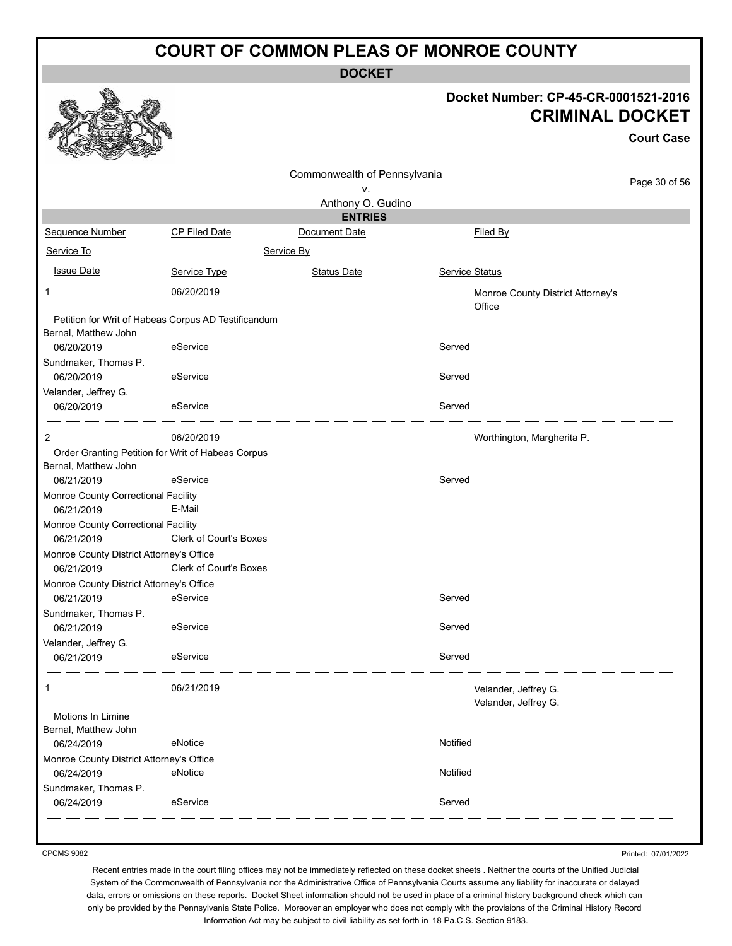**DOCKET**

#### **Docket Number: CP-45-CR-0001521-2016 CRIMINAL DOCKET**

**Court Case**

|                                                   |                                                     | Commonwealth of Pennsylvania |                      |                                   |
|---------------------------------------------------|-----------------------------------------------------|------------------------------|----------------------|-----------------------------------|
|                                                   |                                                     | ٧.                           |                      | Page 30 of 56                     |
|                                                   |                                                     | Anthony O. Gudino            |                      |                                   |
|                                                   |                                                     | <b>ENTRIES</b>               |                      |                                   |
| Sequence Number                                   | CP Filed Date                                       | Document Date                | Filed By             |                                   |
| Service To                                        |                                                     | Service By                   |                      |                                   |
| <b>Issue Date</b>                                 | Service Type                                        | <b>Status Date</b>           | Service Status       |                                   |
| 1                                                 | 06/20/2019                                          |                              | Office               | Monroe County District Attorney's |
|                                                   | Petition for Writ of Habeas Corpus AD Testificandum |                              |                      |                                   |
| Bernal, Matthew John                              |                                                     |                              |                      |                                   |
| 06/20/2019                                        | eService                                            |                              | Served               |                                   |
| Sundmaker, Thomas P.<br>06/20/2019                | eService                                            |                              | Served               |                                   |
|                                                   |                                                     |                              |                      |                                   |
| Velander, Jeffrey G.<br>06/20/2019                | eService                                            |                              | Served               |                                   |
| 2                                                 | 06/20/2019                                          |                              |                      | Worthington, Margherita P.        |
| Order Granting Petition for Writ of Habeas Corpus |                                                     |                              |                      |                                   |
| Bernal, Matthew John                              |                                                     |                              |                      |                                   |
| 06/21/2019                                        | eService                                            |                              | Served               |                                   |
| Monroe County Correctional Facility               |                                                     |                              |                      |                                   |
| 06/21/2019                                        | E-Mail                                              |                              |                      |                                   |
| Monroe County Correctional Facility               |                                                     |                              |                      |                                   |
| 06/21/2019                                        | <b>Clerk of Court's Boxes</b>                       |                              |                      |                                   |
| Monroe County District Attorney's Office          |                                                     |                              |                      |                                   |
| 06/21/2019                                        | <b>Clerk of Court's Boxes</b>                       |                              |                      |                                   |
| Monroe County District Attorney's Office          | eService                                            |                              | Served               |                                   |
| 06/21/2019                                        |                                                     |                              |                      |                                   |
| Sundmaker, Thomas P.<br>06/21/2019                | eService                                            |                              | Served               |                                   |
| Velander, Jeffrey G.                              |                                                     |                              |                      |                                   |
| 06/21/2019                                        | eService                                            |                              | Served               |                                   |
| $\mathbf{1}$                                      | 06/21/2019                                          |                              | Velander, Jeffrey G. |                                   |
|                                                   |                                                     |                              | Velander, Jeffrey G. |                                   |
| Motions In Limine<br>Bernal, Matthew John         |                                                     |                              |                      |                                   |
| 06/24/2019                                        | eNotice                                             |                              | Notified             |                                   |
| Monroe County District Attorney's Office          |                                                     |                              |                      |                                   |
| 06/24/2019                                        | eNotice                                             |                              | Notified             |                                   |
| Sundmaker, Thomas P.                              |                                                     |                              |                      |                                   |
| 06/24/2019                                        | eService                                            |                              | Served               |                                   |
|                                                   |                                                     |                              |                      |                                   |

CPCMS 9082

Printed: 07/01/2022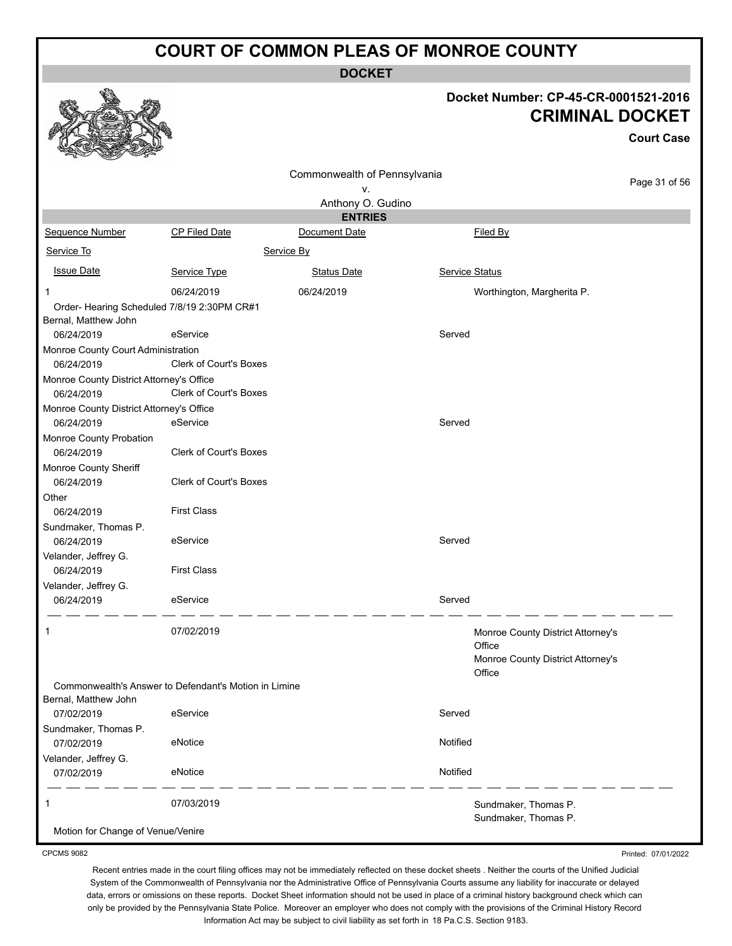**DOCKET**

#### **Docket Number: CP-45-CR-0001521-2016 CRIMINAL DOCKET**

**Court Case**

Printed: 07/01/2022

|                                             |                                                       | Commonwealth of Pennsylvania |                                   | Page 31 of 56 |
|---------------------------------------------|-------------------------------------------------------|------------------------------|-----------------------------------|---------------|
|                                             |                                                       | ٧.<br>Anthony O. Gudino      |                                   |               |
|                                             |                                                       | <b>ENTRIES</b>               |                                   |               |
| Sequence Number                             | <b>CP Filed Date</b>                                  | Document Date                | Filed By                          |               |
| Service To                                  |                                                       | Service By                   |                                   |               |
| <b>Issue Date</b>                           | Service Type                                          | <b>Status Date</b>           | <b>Service Status</b>             |               |
| 1                                           | 06/24/2019                                            | 06/24/2019                   | Worthington, Margherita P.        |               |
| Order- Hearing Scheduled 7/8/19 2:30PM CR#1 |                                                       |                              |                                   |               |
| Bernal, Matthew John                        |                                                       |                              |                                   |               |
| 06/24/2019                                  | eService                                              |                              | Served                            |               |
| Monroe County Court Administration          |                                                       |                              |                                   |               |
| 06/24/2019                                  | <b>Clerk of Court's Boxes</b>                         |                              |                                   |               |
| Monroe County District Attorney's Office    |                                                       |                              |                                   |               |
| 06/24/2019                                  | Clerk of Court's Boxes                                |                              |                                   |               |
| Monroe County District Attorney's Office    |                                                       |                              |                                   |               |
| 06/24/2019                                  | eService                                              |                              | Served                            |               |
| Monroe County Probation                     |                                                       |                              |                                   |               |
| 06/24/2019                                  | <b>Clerk of Court's Boxes</b>                         |                              |                                   |               |
| Monroe County Sheriff                       |                                                       |                              |                                   |               |
| 06/24/2019                                  | <b>Clerk of Court's Boxes</b>                         |                              |                                   |               |
| Other                                       |                                                       |                              |                                   |               |
| 06/24/2019                                  | <b>First Class</b>                                    |                              |                                   |               |
| Sundmaker, Thomas P.                        |                                                       |                              |                                   |               |
| 06/24/2019                                  | eService                                              |                              | Served                            |               |
| Velander, Jeffrey G.                        |                                                       |                              |                                   |               |
| 06/24/2019                                  | <b>First Class</b>                                    |                              |                                   |               |
| Velander, Jeffrey G.                        |                                                       |                              |                                   |               |
| 06/24/2019                                  | eService                                              |                              | Served                            |               |
|                                             |                                                       |                              |                                   |               |
| 1                                           | 07/02/2019                                            |                              | Monroe County District Attorney's |               |
|                                             |                                                       |                              | Office                            |               |
|                                             |                                                       |                              | Monroe County District Attorney's |               |
|                                             | Commonwealth's Answer to Defendant's Motion in Limine |                              | Office                            |               |
| Bernal, Matthew John                        |                                                       |                              |                                   |               |
| 07/02/2019                                  | eService                                              |                              | Served                            |               |
| Sundmaker, Thomas P.                        |                                                       |                              |                                   |               |
| 07/02/2019                                  | eNotice                                               |                              | Notified                          |               |
| Velander, Jeffrey G.                        |                                                       |                              |                                   |               |
| 07/02/2019                                  | eNotice                                               |                              | Notified                          |               |
| 1                                           | 07/03/2019                                            |                              | Sundmaker, Thomas P.              |               |
|                                             |                                                       |                              | Sundmaker, Thomas P.              |               |
| Motion for Change of Venue/Venire           |                                                       |                              |                                   |               |

CPCMS 9082

Recent entries made in the court filing offices may not be immediately reflected on these docket sheets . Neither the courts of the Unified Judicial System of the Commonwealth of Pennsylvania nor the Administrative Office of Pennsylvania Courts assume any liability for inaccurate or delayed

data, errors or omissions on these reports. Docket Sheet information should not be used in place of a criminal history background check which can only be provided by the Pennsylvania State Police. Moreover an employer who does not comply with the provisions of the Criminal History Record Information Act may be subject to civil liability as set forth in 18 Pa.C.S. Section 9183.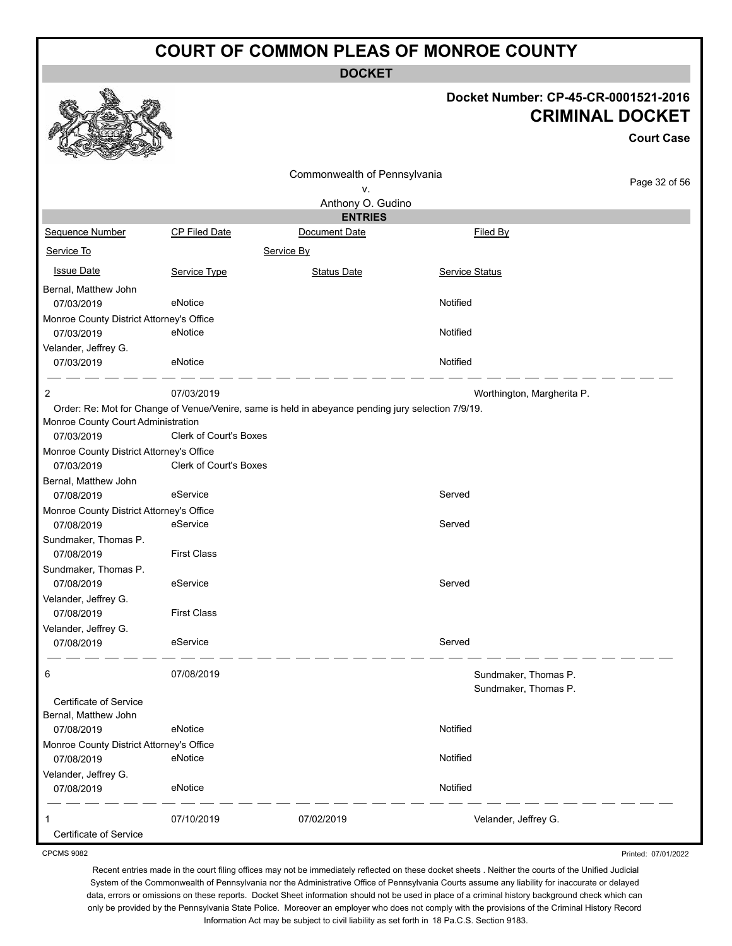**DOCKET**

#### **Docket Number: CP-45-CR-0001521-2016 CRIMINAL DOCKET**

**Court Case**

|                                                        |                               |                                                                                                    |                                              | <b>Court Case</b> |
|--------------------------------------------------------|-------------------------------|----------------------------------------------------------------------------------------------------|----------------------------------------------|-------------------|
|                                                        |                               | Commonwealth of Pennsylvania<br>ν.                                                                 |                                              | Page 32 of 56     |
|                                                        |                               | Anthony O. Gudino                                                                                  |                                              |                   |
|                                                        |                               | <b>ENTRIES</b>                                                                                     |                                              |                   |
| Sequence Number                                        | CP Filed Date                 | Document Date                                                                                      | Filed By                                     |                   |
| Service To                                             |                               | Service By                                                                                         |                                              |                   |
| <b>Issue Date</b>                                      | Service Type                  | <b>Status Date</b>                                                                                 | <b>Service Status</b>                        |                   |
| Bernal, Matthew John                                   |                               |                                                                                                    |                                              |                   |
| 07/03/2019                                             | eNotice                       |                                                                                                    | Notified                                     |                   |
| Monroe County District Attorney's Office               |                               |                                                                                                    |                                              |                   |
| 07/03/2019                                             | eNotice                       |                                                                                                    | Notified                                     |                   |
| Velander, Jeffrey G.                                   |                               |                                                                                                    |                                              |                   |
| 07/03/2019                                             | eNotice                       |                                                                                                    | Notified                                     |                   |
| 2                                                      | 07/03/2019                    |                                                                                                    | Worthington, Margherita P.                   |                   |
|                                                        |                               | Order: Re: Mot for Change of Venue/Venire, same is held in abeyance pending jury selection 7/9/19. |                                              |                   |
| Monroe County Court Administration                     |                               |                                                                                                    |                                              |                   |
| 07/03/2019                                             | <b>Clerk of Court's Boxes</b> |                                                                                                    |                                              |                   |
| Monroe County District Attorney's Office<br>07/03/2019 | <b>Clerk of Court's Boxes</b> |                                                                                                    |                                              |                   |
| Bernal, Matthew John                                   |                               |                                                                                                    |                                              |                   |
| 07/08/2019                                             | eService                      |                                                                                                    | Served                                       |                   |
| Monroe County District Attorney's Office               |                               |                                                                                                    |                                              |                   |
| 07/08/2019                                             | eService                      |                                                                                                    | Served                                       |                   |
| Sundmaker, Thomas P.                                   |                               |                                                                                                    |                                              |                   |
| 07/08/2019                                             | <b>First Class</b>            |                                                                                                    |                                              |                   |
| Sundmaker, Thomas P.                                   |                               |                                                                                                    | Served                                       |                   |
| 07/08/2019<br>Velander, Jeffrey G.                     | eService                      |                                                                                                    |                                              |                   |
| 07/08/2019                                             | <b>First Class</b>            |                                                                                                    |                                              |                   |
| Velander, Jeffrey G.                                   |                               |                                                                                                    |                                              |                   |
| 07/08/2019                                             | eService                      |                                                                                                    | Served                                       |                   |
|                                                        |                               |                                                                                                    |                                              |                   |
| O                                                      | 07/08/2019                    |                                                                                                    | Sundmaker, Thomas P.<br>Sundmaker, Thomas P. |                   |
| Certificate of Service                                 |                               |                                                                                                    |                                              |                   |
| Bernal, Matthew John                                   |                               |                                                                                                    |                                              |                   |
| 07/08/2019                                             | eNotice                       |                                                                                                    | Notified                                     |                   |
| Monroe County District Attorney's Office               |                               |                                                                                                    |                                              |                   |
| 07/08/2019                                             | eNotice                       |                                                                                                    | Notified                                     |                   |
| Velander, Jeffrey G.                                   |                               |                                                                                                    |                                              |                   |
| 07/08/2019                                             | eNotice                       |                                                                                                    | Notified                                     |                   |
|                                                        |                               |                                                                                                    |                                              |                   |
| 1<br>Certificate of Service                            | 07/10/2019                    | 07/02/2019                                                                                         | Velander, Jeffrey G.                         |                   |
|                                                        |                               |                                                                                                    |                                              |                   |

CPCMS 9082

Recent entries made in the court filing offices may not be immediately reflected on these docket sheets . Neither the courts of the Unified Judicial System of the Commonwealth of Pennsylvania nor the Administrative Office of Pennsylvania Courts assume any liability for inaccurate or delayed data, errors or omissions on these reports. Docket Sheet information should not be used in place of a criminal history background check which can only be provided by the Pennsylvania State Police. Moreover an employer who does not comply with the provisions of the Criminal History Record Information Act may be subject to civil liability as set forth in 18 Pa.C.S. Section 9183.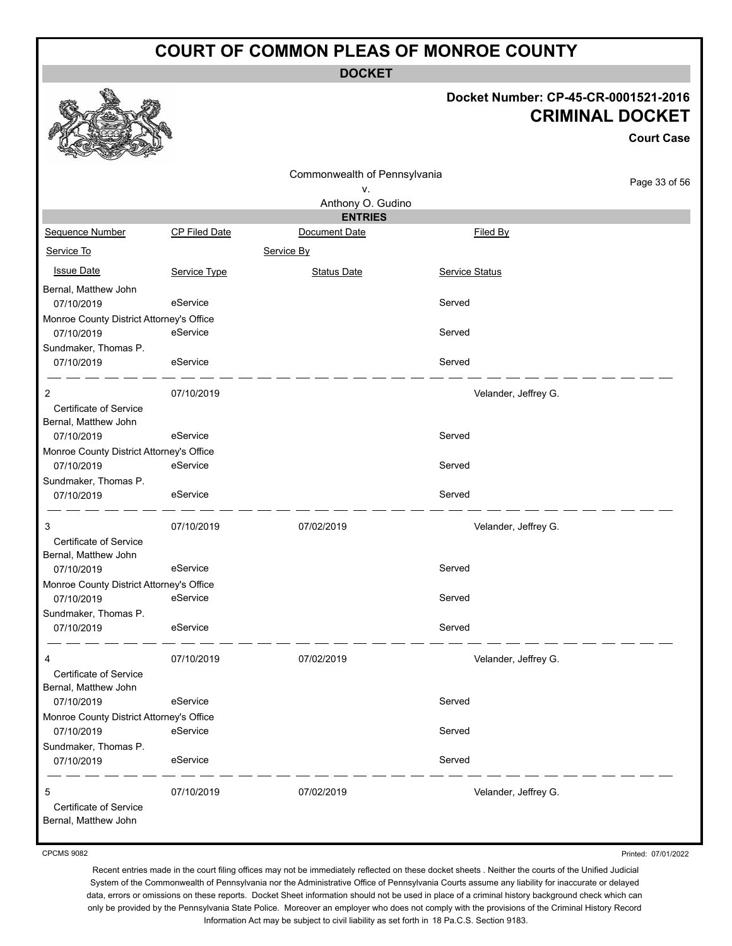**DOCKET**

#### **Docket Number: CP-45-CR-0001521-2016 CRIMINAL DOCKET**

**Court Case**

|                                          |               | Commonwealth of Pennsylvania |                      |               |
|------------------------------------------|---------------|------------------------------|----------------------|---------------|
|                                          |               | ٧.                           |                      | Page 33 of 56 |
|                                          |               | Anthony O. Gudino            |                      |               |
|                                          |               | <b>ENTRIES</b>               |                      |               |
| Sequence Number                          | CP Filed Date | Document Date                | Filed By             |               |
| Service To                               |               | Service By                   |                      |               |
| <b>Issue Date</b>                        | Service Type  | <b>Status Date</b>           | Service Status       |               |
| Bernal, Matthew John                     |               |                              |                      |               |
| 07/10/2019                               | eService      |                              | Served               |               |
| Monroe County District Attorney's Office |               |                              |                      |               |
| 07/10/2019                               | eService      |                              | Served               |               |
| Sundmaker, Thomas P.                     |               |                              |                      |               |
| 07/10/2019                               | eService      |                              | Served               |               |
| 2                                        | 07/10/2019    |                              | Velander, Jeffrey G. |               |
| Certificate of Service                   |               |                              |                      |               |
| Bernal, Matthew John                     |               |                              |                      |               |
| 07/10/2019                               | eService      |                              | Served               |               |
| Monroe County District Attorney's Office |               |                              |                      |               |
| 07/10/2019                               | eService      |                              | Served               |               |
| Sundmaker, Thomas P.                     |               |                              |                      |               |
| 07/10/2019                               | eService      |                              | Served               |               |
| 3                                        | 07/10/2019    | 07/02/2019                   | Velander, Jeffrey G. |               |
| Certificate of Service                   |               |                              |                      |               |
| Bernal, Matthew John                     |               |                              |                      |               |
| 07/10/2019                               | eService      |                              | Served               |               |
| Monroe County District Attorney's Office |               |                              |                      |               |
| 07/10/2019                               | eService      |                              | Served               |               |
| Sundmaker, Thomas P.                     |               |                              |                      |               |
| 07/10/2019                               | eService      |                              | Served               |               |
| 4                                        | 07/10/2019    | 07/02/2019                   | Velander, Jeffrey G. |               |
| Certificate of Service                   |               |                              |                      |               |
| Bernal, Matthew John                     |               |                              |                      |               |
| 07/10/2019                               | eService      |                              | Served               |               |
| Monroe County District Attorney's Office |               |                              |                      |               |
| 07/10/2019                               | eService      |                              | Served               |               |
| Sundmaker, Thomas P.                     |               |                              |                      |               |
| 07/10/2019                               | eService      |                              | Served               |               |
| 5                                        | 07/10/2019    | 07/02/2019                   | Velander, Jeffrey G. |               |
| Certificate of Service                   |               |                              |                      |               |
| Bernal, Matthew John                     |               |                              |                      |               |

CPCMS 9082

Printed: 07/01/2022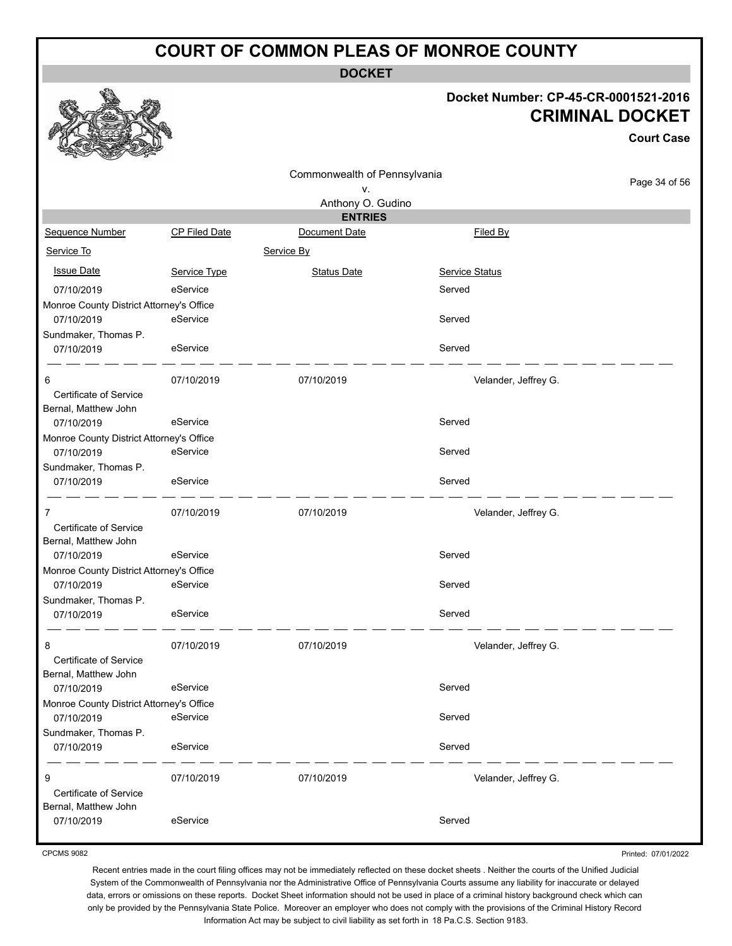**DOCKET**

#### **Docket Number: CP-45-CR-0001521-2016 CRIMINAL DOCKET**

**Court Case**

|                                                |               | Commonwealth of Pennsylvania |                       |               |
|------------------------------------------------|---------------|------------------------------|-----------------------|---------------|
|                                                |               | ٧.                           |                       | Page 34 of 56 |
|                                                |               | Anthony O. Gudino            |                       |               |
|                                                |               | <b>ENTRIES</b>               |                       |               |
| Sequence Number                                | CP Filed Date | Document Date                | Filed By              |               |
| Service To                                     |               | Service By                   |                       |               |
| <b>Issue Date</b>                              | Service Type  | <b>Status Date</b>           | <b>Service Status</b> |               |
| 07/10/2019                                     | eService      |                              | Served                |               |
| Monroe County District Attorney's Office       |               |                              |                       |               |
| 07/10/2019                                     | eService      |                              | Served                |               |
| Sundmaker, Thomas P.                           |               |                              |                       |               |
| 07/10/2019                                     | eService      |                              | Served                |               |
| 6                                              | 07/10/2019    | 07/10/2019                   | Velander, Jeffrey G.  |               |
| Certificate of Service<br>Bernal, Matthew John |               |                              |                       |               |
| 07/10/2019                                     | eService      |                              | Served                |               |
| Monroe County District Attorney's Office       |               |                              |                       |               |
| 07/10/2019                                     | eService      |                              | Served                |               |
| Sundmaker, Thomas P.                           |               |                              |                       |               |
| 07/10/2019                                     | eService      |                              | Served                |               |
| 7                                              | 07/10/2019    | 07/10/2019                   | Velander, Jeffrey G.  |               |
| Certificate of Service                         |               |                              |                       |               |
| Bernal, Matthew John                           |               |                              |                       |               |
| 07/10/2019                                     | eService      |                              | Served                |               |
| Monroe County District Attorney's Office       |               |                              |                       |               |
| 07/10/2019                                     | eService      |                              | Served                |               |
| Sundmaker, Thomas P.                           |               |                              |                       |               |
| 07/10/2019                                     | eService      |                              | Served                |               |
| 8                                              | 07/10/2019    | 07/10/2019                   | Velander, Jeffrey G.  |               |
| Certificate of Service                         |               |                              |                       |               |
| Bernal, Matthew John                           |               |                              |                       |               |
| 07/10/2019                                     | eService      |                              | Served                |               |
| Monroe County District Attorney's Office       |               |                              |                       |               |
| 07/10/2019                                     | eService      |                              | Served                |               |
| Sundmaker, Thomas P.                           |               |                              |                       |               |
| 07/10/2019                                     | eService      |                              | Served                |               |
| 9                                              | 07/10/2019    | 07/10/2019                   | Velander, Jeffrey G.  |               |
| Certificate of Service                         |               |                              |                       |               |
| Bernal, Matthew John                           |               |                              |                       |               |
| 07/10/2019                                     | eService      |                              | Served                |               |

CPCMS 9082

Printed: 07/01/2022

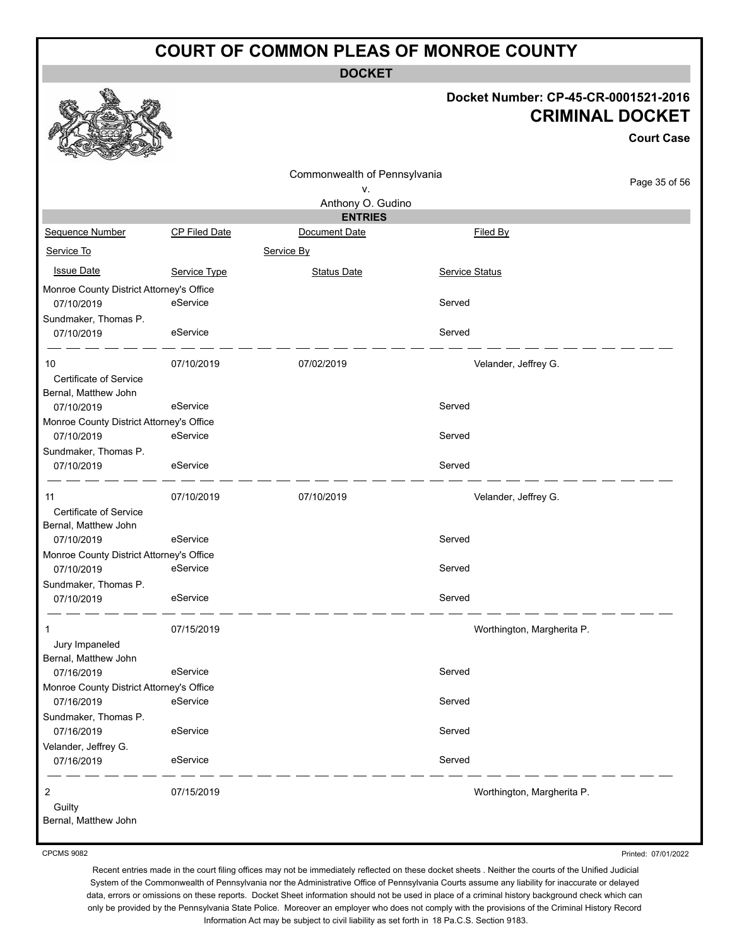**DOCKET**

#### **Docket Number: CP-45-CR-0001521-2016 CRIMINAL DOCKET**

**Court Case**

|                                          |                      |                              |                            | UUUIL UASU    |
|------------------------------------------|----------------------|------------------------------|----------------------------|---------------|
|                                          |                      | Commonwealth of Pennsylvania |                            |               |
|                                          |                      | ۷.                           |                            | Page 35 of 56 |
|                                          |                      | Anthony O. Gudino            |                            |               |
|                                          |                      | <b>ENTRIES</b>               |                            |               |
| Sequence Number                          | <b>CP Filed Date</b> | Document Date                | Filed By                   |               |
| Service To                               |                      | Service By                   |                            |               |
| <b>Issue Date</b>                        | Service Type         | <b>Status Date</b>           | Service Status             |               |
| Monroe County District Attorney's Office |                      |                              |                            |               |
| 07/10/2019                               | eService             |                              | Served                     |               |
| Sundmaker, Thomas P.                     |                      |                              |                            |               |
| 07/10/2019                               | eService             |                              | Served                     |               |
| 10                                       | 07/10/2019           | 07/02/2019                   | Velander, Jeffrey G.       |               |
| Certificate of Service                   |                      |                              |                            |               |
| Bernal, Matthew John                     |                      |                              |                            |               |
| 07/10/2019                               | eService             |                              | Served                     |               |
| Monroe County District Attorney's Office |                      |                              |                            |               |
| 07/10/2019                               | eService             |                              | Served                     |               |
| Sundmaker, Thomas P.                     |                      |                              |                            |               |
| 07/10/2019                               | eService             |                              | Served                     |               |
| 11                                       | 07/10/2019           | 07/10/2019                   | Velander, Jeffrey G.       |               |
| Certificate of Service                   |                      |                              |                            |               |
| Bernal, Matthew John                     |                      |                              |                            |               |
| 07/10/2019                               | eService             |                              | Served                     |               |
| Monroe County District Attorney's Office |                      |                              |                            |               |
| 07/10/2019                               | eService             |                              | Served                     |               |
| Sundmaker, Thomas P.                     |                      |                              |                            |               |
| 07/10/2019                               | eService             |                              | Served                     |               |
| 1                                        | 07/15/2019           |                              | Worthington, Margherita P. |               |
| Jury Impaneled                           |                      |                              |                            |               |
| Bernal, Matthew John                     |                      |                              |                            |               |
| 07/16/2019                               | eService             |                              | Served                     |               |
| Monroe County District Attorney's Office |                      |                              |                            |               |
| 07/16/2019                               | eService             |                              | Served                     |               |
| Sundmaker, Thomas P.                     |                      |                              |                            |               |
| 07/16/2019                               | eService             |                              | Served                     |               |
| Velander, Jeffrey G.                     |                      |                              |                            |               |
| 07/16/2019                               | eService             |                              | Served                     |               |
| 2                                        | 07/15/2019           |                              | Worthington, Margherita P. |               |
| Guilty                                   |                      |                              |                            |               |
| Bernal, Matthew John                     |                      |                              |                            |               |

CPCMS 9082

Printed: 07/01/2022

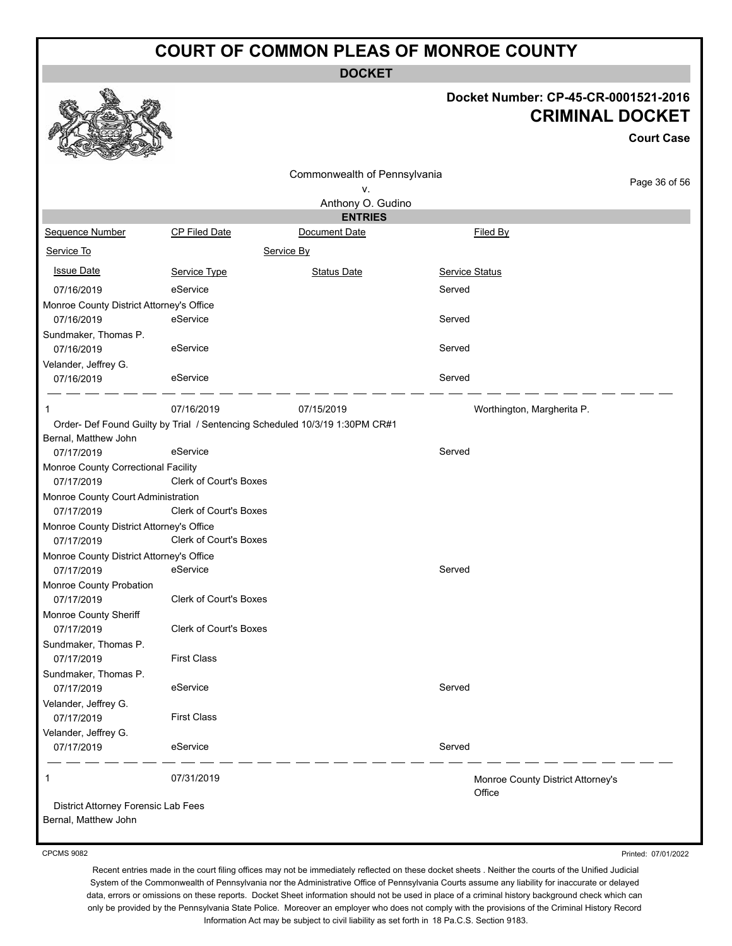**DOCKET**

#### **Docket Number: CP-45-CR-0001521-2016 CRIMINAL DOCKET**

**Court Case**

Printed: 07/01/2022

|                                                             |                               |                                                                             |                |                                             | ouur case     |
|-------------------------------------------------------------|-------------------------------|-----------------------------------------------------------------------------|----------------|---------------------------------------------|---------------|
|                                                             |                               | Commonwealth of Pennsylvania                                                |                |                                             |               |
|                                                             |                               | ٧.                                                                          |                |                                             | Page 36 of 56 |
|                                                             |                               | Anthony O. Gudino                                                           |                |                                             |               |
|                                                             |                               | <b>ENTRIES</b>                                                              |                |                                             |               |
| Sequence Number                                             | <b>CP Filed Date</b>          | Document Date                                                               |                | Filed By                                    |               |
| Service To                                                  |                               | Service By                                                                  |                |                                             |               |
| <b>Issue Date</b>                                           | Service Type                  | <b>Status Date</b>                                                          | Service Status |                                             |               |
| 07/16/2019                                                  | eService                      |                                                                             | Served         |                                             |               |
| Monroe County District Attorney's Office                    |                               |                                                                             |                |                                             |               |
| 07/16/2019                                                  | eService                      |                                                                             | Served         |                                             |               |
| Sundmaker, Thomas P.                                        |                               |                                                                             |                |                                             |               |
| 07/16/2019                                                  | eService                      |                                                                             | Served         |                                             |               |
| Velander, Jeffrey G.                                        |                               |                                                                             |                |                                             |               |
| 07/16/2019                                                  | eService                      |                                                                             | Served         |                                             |               |
| 1                                                           | 07/16/2019                    | 07/15/2019                                                                  |                | Worthington, Margherita P.                  |               |
|                                                             |                               | Order- Def Found Guilty by Trial / Sentencing Scheduled 10/3/19 1:30PM CR#1 |                |                                             |               |
| Bernal, Matthew John                                        |                               |                                                                             |                |                                             |               |
| 07/17/2019                                                  | eService                      |                                                                             | Served         |                                             |               |
| Monroe County Correctional Facility                         |                               |                                                                             |                |                                             |               |
| 07/17/2019                                                  | Clerk of Court's Boxes        |                                                                             |                |                                             |               |
| Monroe County Court Administration                          |                               |                                                                             |                |                                             |               |
| 07/17/2019                                                  | <b>Clerk of Court's Boxes</b> |                                                                             |                |                                             |               |
| Monroe County District Attorney's Office                    |                               |                                                                             |                |                                             |               |
| 07/17/2019                                                  | <b>Clerk of Court's Boxes</b> |                                                                             |                |                                             |               |
| Monroe County District Attorney's Office                    |                               |                                                                             |                |                                             |               |
| 07/17/2019                                                  | eService                      |                                                                             | Served         |                                             |               |
| Monroe County Probation                                     |                               |                                                                             |                |                                             |               |
| 07/17/2019                                                  | Clerk of Court's Boxes        |                                                                             |                |                                             |               |
| Monroe County Sheriff                                       |                               |                                                                             |                |                                             |               |
| 07/17/2019                                                  | <b>Clerk of Court's Boxes</b> |                                                                             |                |                                             |               |
| Sundmaker, Thomas P.                                        |                               |                                                                             |                |                                             |               |
| 07/17/2019                                                  | <b>First Class</b>            |                                                                             |                |                                             |               |
| Sundmaker, Thomas P.                                        |                               |                                                                             |                |                                             |               |
| 07/17/2019                                                  | eService                      |                                                                             | Served         |                                             |               |
| Velander, Jeffrey G.                                        |                               |                                                                             |                |                                             |               |
| 07/17/2019                                                  | <b>First Class</b>            |                                                                             |                |                                             |               |
| Velander, Jeffrey G.                                        |                               |                                                                             |                |                                             |               |
| 07/17/2019                                                  | eService                      |                                                                             | Served         |                                             |               |
| 1                                                           | 07/31/2019                    |                                                                             |                | Monroe County District Attorney's<br>Office |               |
| District Attorney Forensic Lab Fees<br>Bernal, Matthew John |                               |                                                                             |                |                                             |               |

CPCMS 9082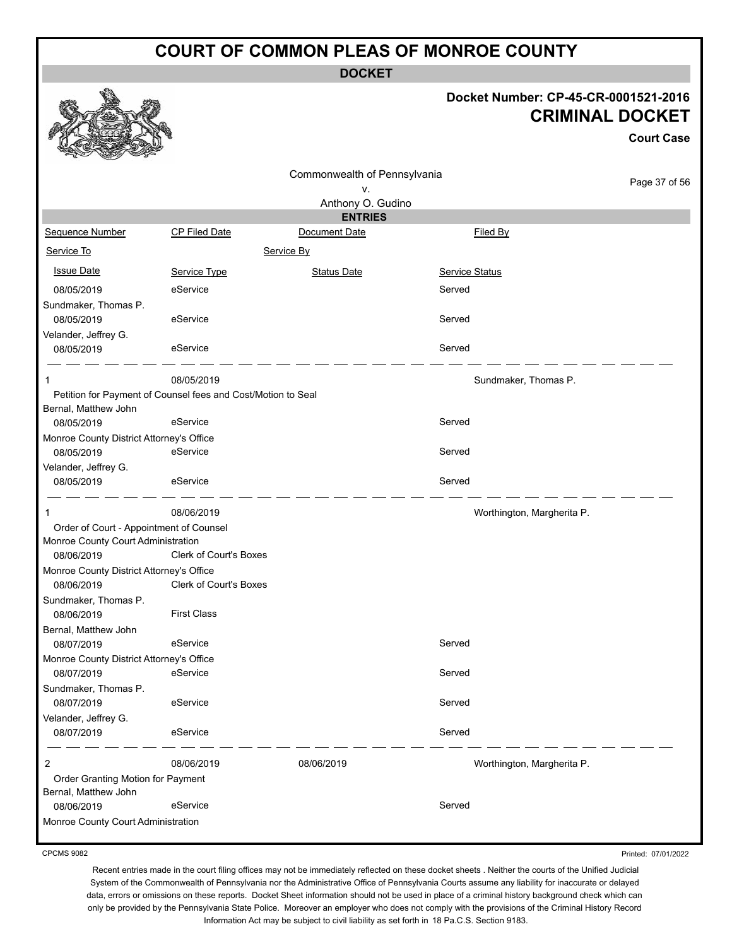**DOCKET**

#### **Docket Number: CP-45-CR-0001521-2016 CRIMINAL DOCKET**

**Court Case**

|                                          |                                                              | Commonwealth of Pennsylvania |                            |               |
|------------------------------------------|--------------------------------------------------------------|------------------------------|----------------------------|---------------|
|                                          |                                                              | ٧.                           |                            | Page 37 of 56 |
|                                          |                                                              | Anthony O. Gudino            |                            |               |
|                                          |                                                              | <b>ENTRIES</b>               |                            |               |
| Sequence Number                          | <b>CP Filed Date</b>                                         | Document Date                | Filed By                   |               |
| Service To                               |                                                              | Service By                   |                            |               |
| <b>Issue Date</b>                        | Service Type                                                 | <b>Status Date</b>           | <b>Service Status</b>      |               |
| 08/05/2019                               | eService                                                     |                              | Served                     |               |
| Sundmaker, Thomas P.                     |                                                              |                              |                            |               |
| 08/05/2019                               | eService                                                     |                              | Served                     |               |
| Velander, Jeffrey G.                     |                                                              |                              |                            |               |
| 08/05/2019                               | eService                                                     |                              | Served                     |               |
| 1                                        | 08/05/2019                                                   |                              | Sundmaker, Thomas P.       |               |
|                                          | Petition for Payment of Counsel fees and Cost/Motion to Seal |                              |                            |               |
| Bernal, Matthew John                     |                                                              |                              |                            |               |
| 08/05/2019                               | eService                                                     |                              | Served                     |               |
| Monroe County District Attorney's Office |                                                              |                              |                            |               |
| 08/05/2019                               | eService                                                     |                              | Served                     |               |
| Velander, Jeffrey G.                     |                                                              |                              |                            |               |
| 08/05/2019                               | eService                                                     |                              | Served                     |               |
| 1                                        | 08/06/2019                                                   |                              | Worthington, Margherita P. |               |
| Order of Court - Appointment of Counsel  |                                                              |                              |                            |               |
| Monroe County Court Administration       |                                                              |                              |                            |               |
| 08/06/2019                               | <b>Clerk of Court's Boxes</b>                                |                              |                            |               |
| Monroe County District Attorney's Office |                                                              |                              |                            |               |
| 08/06/2019                               | <b>Clerk of Court's Boxes</b>                                |                              |                            |               |
| Sundmaker, Thomas P.                     |                                                              |                              |                            |               |
| 08/06/2019                               | <b>First Class</b>                                           |                              |                            |               |
| Bernal, Matthew John                     |                                                              |                              |                            |               |
| 08/07/2019                               | eService                                                     |                              | Served                     |               |
| Monroe County District Attorney's Office |                                                              |                              |                            |               |
| 08/07/2019                               | eService                                                     |                              | Served                     |               |
| Sundmaker, Thomas P.                     |                                                              |                              |                            |               |
| 08/07/2019                               | eService                                                     |                              | Served                     |               |
| Velander, Jeffrey G.                     |                                                              |                              | Served                     |               |
| 08/07/2019                               | eService                                                     |                              |                            |               |
| 2                                        | 08/06/2019                                                   | 08/06/2019                   | Worthington, Margherita P. |               |
| Order Granting Motion for Payment        |                                                              |                              |                            |               |
| Bernal, Matthew John                     |                                                              |                              |                            |               |
| 08/06/2019                               | eService                                                     |                              | Served                     |               |
| Monroe County Court Administration       |                                                              |                              |                            |               |

CPCMS 9082

Printed: 07/01/2022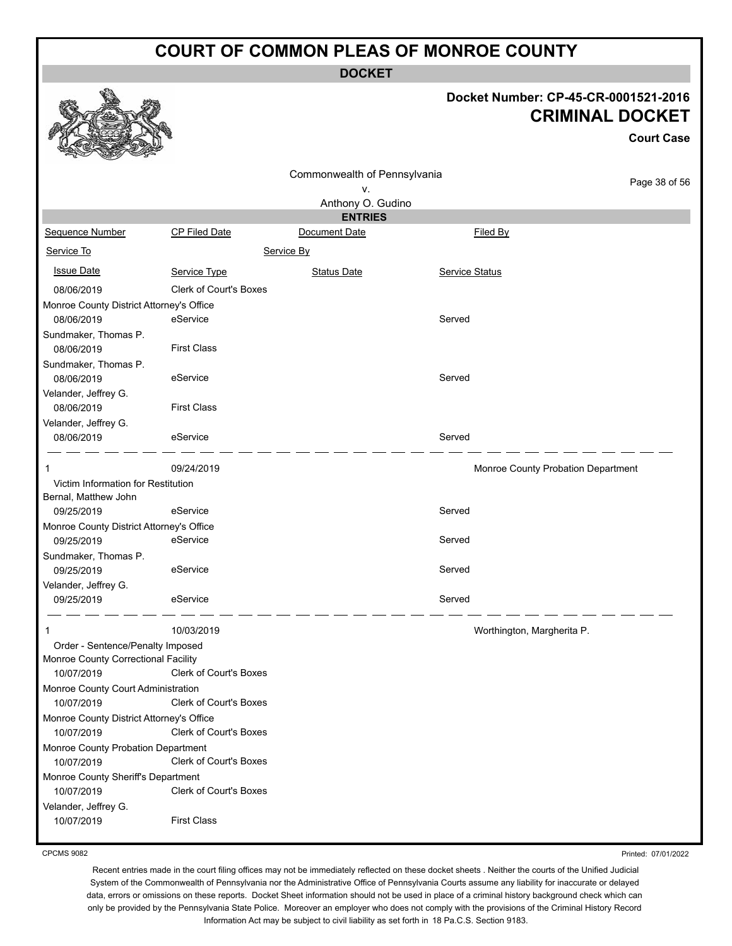**DOCKET**

#### **Docket Number: CP-45-CR-0001521-2016 CRIMINAL DOCKET**

|                                                        |                               |                              |                | <b>Court Case</b>                  |
|--------------------------------------------------------|-------------------------------|------------------------------|----------------|------------------------------------|
|                                                        |                               | Commonwealth of Pennsylvania |                |                                    |
|                                                        |                               | ٧.                           |                | Page 38 of 56                      |
|                                                        |                               | Anthony O. Gudino            |                |                                    |
|                                                        |                               | <b>ENTRIES</b>               |                |                                    |
| Sequence Number                                        | <b>CP Filed Date</b>          | Document Date                |                | Filed By                           |
| Service To                                             |                               | Service By                   |                |                                    |
| <b>Issue Date</b>                                      | Service Type                  | <b>Status Date</b>           | Service Status |                                    |
| 08/06/2019                                             | Clerk of Court's Boxes        |                              |                |                                    |
| Monroe County District Attorney's Office               |                               |                              |                |                                    |
| 08/06/2019                                             | eService                      |                              | Served         |                                    |
| Sundmaker, Thomas P.                                   |                               |                              |                |                                    |
| 08/06/2019                                             | <b>First Class</b>            |                              |                |                                    |
| Sundmaker, Thomas P.                                   |                               |                              |                |                                    |
| 08/06/2019                                             | eService                      |                              | Served         |                                    |
| Velander, Jeffrey G.                                   |                               |                              |                |                                    |
| 08/06/2019                                             | <b>First Class</b>            |                              |                |                                    |
| Velander, Jeffrey G.                                   | eService                      |                              | Served         |                                    |
| 08/06/2019                                             |                               |                              |                |                                    |
| 1                                                      | 09/24/2019                    |                              |                | Monroe County Probation Department |
| Victim Information for Restitution                     |                               |                              |                |                                    |
| Bernal, Matthew John                                   |                               |                              |                |                                    |
| 09/25/2019                                             | eService                      |                              | Served         |                                    |
| Monroe County District Attorney's Office               |                               |                              |                |                                    |
| 09/25/2019                                             | eService                      |                              | Served         |                                    |
| Sundmaker, Thomas P.                                   |                               |                              |                |                                    |
| 09/25/2019                                             | eService                      |                              | Served         |                                    |
| Velander, Jeffrey G.                                   |                               |                              |                |                                    |
| 09/25/2019                                             | eService                      |                              | Served         |                                    |
| 1                                                      | 10/03/2019                    |                              |                | Worthington, Margherita P.         |
| Order - Sentence/Penalty Imposed                       |                               |                              |                |                                    |
| Monroe County Correctional Facility                    |                               |                              |                |                                    |
| 10/07/2019                                             | <b>Clerk of Court's Boxes</b> |                              |                |                                    |
| Monroe County Court Administration                     |                               |                              |                |                                    |
| 10/07/2019                                             | Clerk of Court's Boxes        |                              |                |                                    |
| Monroe County District Attorney's Office<br>10/07/2019 | Clerk of Court's Boxes        |                              |                |                                    |
| Monroe County Probation Department                     |                               |                              |                |                                    |
| 10/07/2019                                             | Clerk of Court's Boxes        |                              |                |                                    |
| Monroe County Sheriff's Department                     | Clerk of Court's Boxes        |                              |                |                                    |
| 10/07/2019                                             |                               |                              |                |                                    |
| Velander, Jeffrey G.<br>10/07/2019                     | <b>First Class</b>            |                              |                |                                    |

CPCMS 9082

Printed: 07/01/2022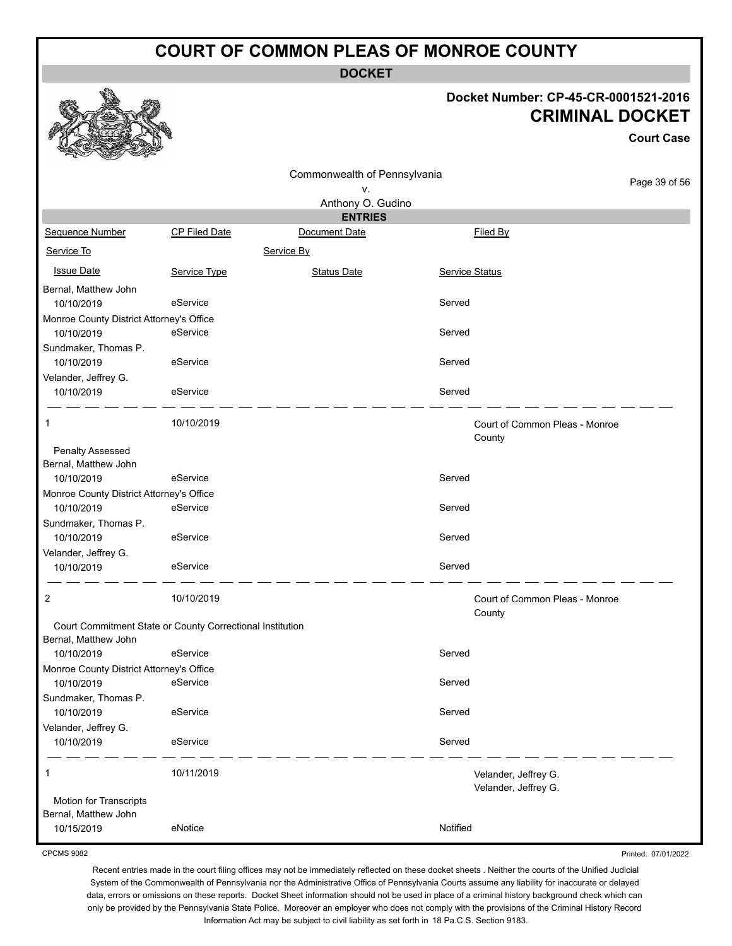**DOCKET**

#### **Docket Number: CP-45-CR-0001521-2016 CRIMINAL DOCKET**

**Court Case**

|                                                           |               | Commonwealth of Pennsylvania |                |                                |               |
|-----------------------------------------------------------|---------------|------------------------------|----------------|--------------------------------|---------------|
|                                                           |               | ٧.                           |                |                                | Page 39 of 56 |
|                                                           |               | Anthony O. Gudino            |                |                                |               |
|                                                           |               | <b>ENTRIES</b>               |                |                                |               |
| Sequence Number                                           | CP Filed Date | Document Date                |                | Filed By                       |               |
| Service To                                                |               | Service By                   |                |                                |               |
| <b>Issue Date</b>                                         | Service Type  | <b>Status Date</b>           | Service Status |                                |               |
| Bernal, Matthew John                                      |               |                              |                |                                |               |
| 10/10/2019                                                | eService      |                              | Served         |                                |               |
| Monroe County District Attorney's Office                  |               |                              |                |                                |               |
| 10/10/2019                                                | eService      |                              | Served         |                                |               |
| Sundmaker, Thomas P.                                      |               |                              |                |                                |               |
| 10/10/2019                                                | eService      |                              | Served         |                                |               |
| Velander, Jeffrey G.                                      |               |                              |                |                                |               |
| 10/10/2019                                                | eService      |                              | Served         |                                |               |
| 1                                                         | 10/10/2019    |                              |                | Court of Common Pleas - Monroe |               |
|                                                           |               |                              |                | County                         |               |
| <b>Penalty Assessed</b>                                   |               |                              |                |                                |               |
| Bernal, Matthew John                                      |               |                              |                |                                |               |
| 10/10/2019                                                | eService      |                              | Served         |                                |               |
| Monroe County District Attorney's Office                  |               |                              |                |                                |               |
| 10/10/2019                                                | eService      |                              | Served         |                                |               |
| Sundmaker, Thomas P.                                      |               |                              |                |                                |               |
| 10/10/2019                                                | eService      |                              | Served         |                                |               |
| Velander, Jeffrey G.<br>10/10/2019                        | eService      |                              | Served         |                                |               |
|                                                           |               |                              |                |                                |               |
| 2                                                         | 10/10/2019    |                              |                | Court of Common Pleas - Monroe |               |
|                                                           |               |                              |                | County                         |               |
| Court Commitment State or County Correctional Institution |               |                              |                |                                |               |
| Bernal, Matthew John<br>10/10/2019                        | eService      |                              | Served         |                                |               |
| Monroe County District Attorney's Office                  |               |                              |                |                                |               |
| 10/10/2019                                                | eService      |                              | Served         |                                |               |
| Sundmaker, Thomas P.                                      |               |                              |                |                                |               |
| 10/10/2019                                                | eService      |                              | Served         |                                |               |
| Velander, Jeffrey G.                                      |               |                              |                |                                |               |
| 10/10/2019                                                | eService      |                              | Served         |                                |               |
| 1                                                         | 10/11/2019    |                              |                | Velander, Jeffrey G.           |               |
|                                                           |               |                              |                | Velander, Jeffrey G.           |               |
| <b>Motion for Transcripts</b>                             |               |                              |                |                                |               |
| Bernal, Matthew John                                      |               |                              |                |                                |               |
| 10/15/2019                                                | eNotice       |                              | Notified       |                                |               |

CPCMS 9082

Printed: 07/01/2022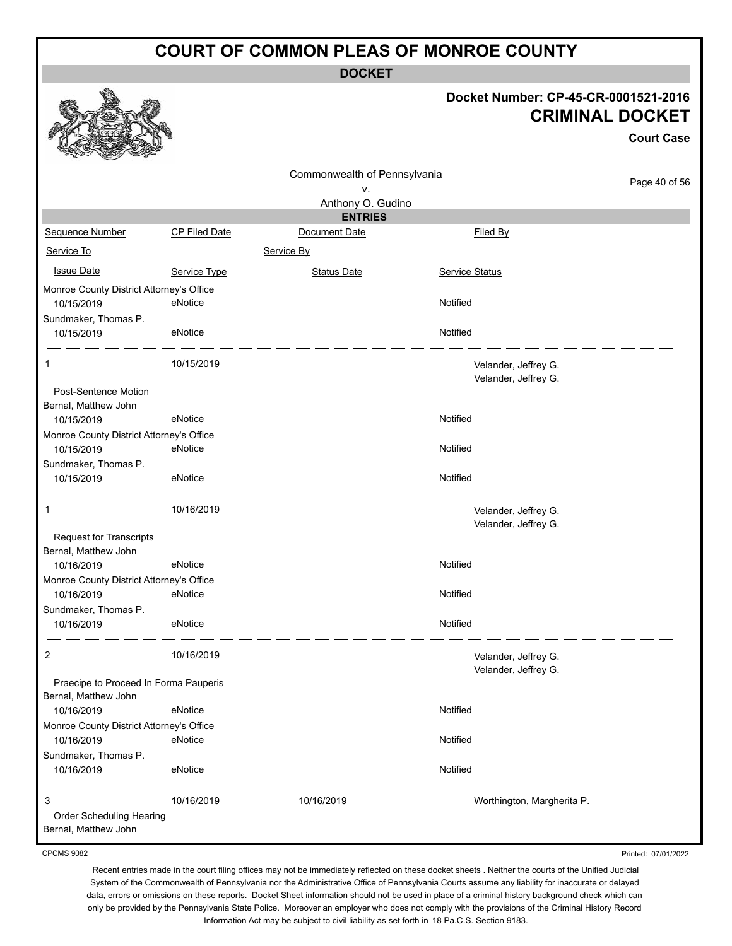**DOCKET**

#### **Docket Number: CP-45-CR-0001521-2016 CRIMINAL DOCKET**

**Court Case**

|                                          |                      |                              |                            | <b>Court Case</b> |
|------------------------------------------|----------------------|------------------------------|----------------------------|-------------------|
|                                          |                      | Commonwealth of Pennsylvania |                            |                   |
|                                          |                      | ۷.                           |                            | Page 40 of 56     |
|                                          |                      | Anthony O. Gudino            |                            |                   |
|                                          |                      | <b>ENTRIES</b>               |                            |                   |
| Sequence Number                          | <b>CP Filed Date</b> | Document Date                | Filed By                   |                   |
| Service To                               |                      | Service By                   |                            |                   |
| <b>Issue Date</b>                        | Service Type         | <b>Status Date</b>           | Service Status             |                   |
| Monroe County District Attorney's Office |                      |                              |                            |                   |
| 10/15/2019                               | eNotice              |                              | Notified                   |                   |
| Sundmaker, Thomas P.                     |                      |                              |                            |                   |
| 10/15/2019                               | eNotice              |                              | Notified                   |                   |
| 1                                        | 10/15/2019           |                              | Velander, Jeffrey G.       |                   |
|                                          |                      |                              | Velander, Jeffrey G.       |                   |
| <b>Post-Sentence Motion</b>              |                      |                              |                            |                   |
| Bernal, Matthew John                     |                      |                              |                            |                   |
| 10/15/2019                               | eNotice              |                              | Notified                   |                   |
| Monroe County District Attorney's Office |                      |                              |                            |                   |
| 10/15/2019                               | eNotice              |                              | Notified                   |                   |
| Sundmaker, Thomas P.                     |                      |                              |                            |                   |
| 10/15/2019                               | eNotice              |                              | Notified                   |                   |
| 1                                        | 10/16/2019           |                              | Velander, Jeffrey G.       |                   |
|                                          |                      |                              | Velander, Jeffrey G.       |                   |
| Request for Transcripts                  |                      |                              |                            |                   |
| Bernal, Matthew John                     |                      |                              |                            |                   |
| 10/16/2019                               | eNotice              |                              | Notified                   |                   |
| Monroe County District Attorney's Office |                      |                              |                            |                   |
| 10/16/2019                               | eNotice              |                              | Notified                   |                   |
| Sundmaker, Thomas P.                     |                      |                              |                            |                   |
| 10/16/2019                               | eNotice              |                              | Notified                   |                   |
| 2                                        | 10/16/2019           |                              | Velander, Jeffrey G.       |                   |
|                                          |                      |                              | Velander, Jeffrey G.       |                   |
| Praecipe to Proceed In Forma Pauperis    |                      |                              |                            |                   |
| Bernal, Matthew John                     |                      |                              |                            |                   |
| 10/16/2019                               | eNotice              |                              | Notified                   |                   |
| Monroe County District Attorney's Office |                      |                              |                            |                   |
| 10/16/2019                               | eNotice              |                              | Notified                   |                   |
| Sundmaker, Thomas P.                     |                      |                              |                            |                   |
| 10/16/2019                               | eNotice              |                              | Notified                   |                   |
| 3                                        | 10/16/2019           | 10/16/2019                   | Worthington, Margherita P. |                   |
| Order Scheduling Hearing                 |                      |                              |                            |                   |
| Bernal, Matthew John                     |                      |                              |                            |                   |

CPCMS 9082

Printed: 07/01/2022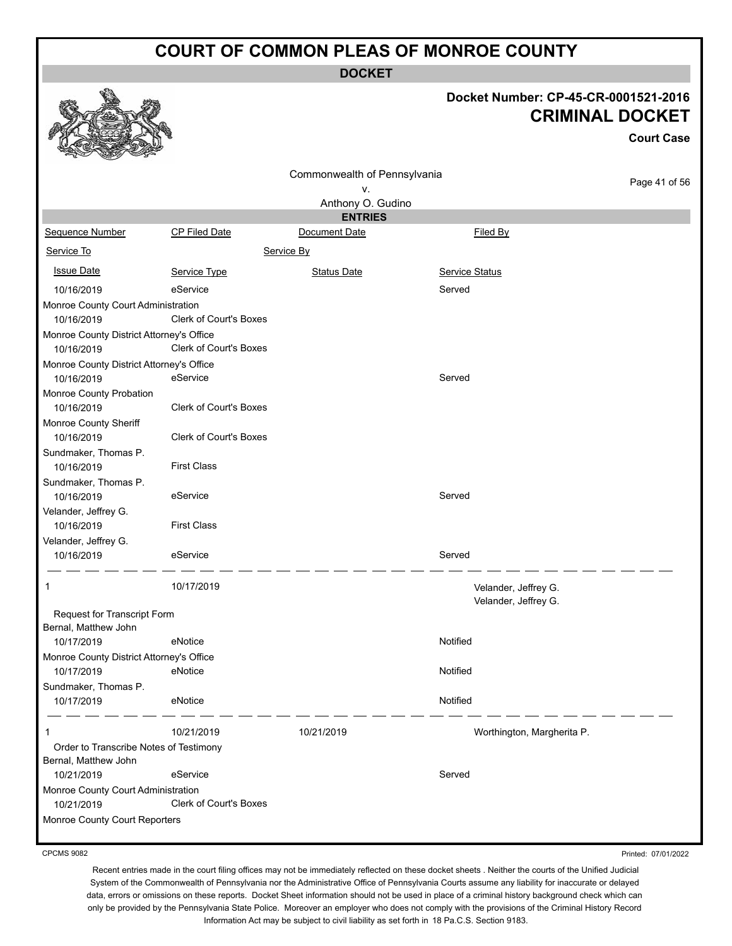**DOCKET**

# **Docket Number: CP-45-CR-0001521-2016**

|                                                        |                               | INUIIINGI .<br>ו טטט-גוע-ט<br><b>CRIMINAL DOCKET</b> |                            |                   |
|--------------------------------------------------------|-------------------------------|------------------------------------------------------|----------------------------|-------------------|
|                                                        |                               |                                                      |                            | <b>Court Case</b> |
|                                                        |                               | Commonwealth of Pennsylvania                         |                            |                   |
|                                                        |                               | ν.                                                   |                            | Page 41 of 56     |
|                                                        |                               | Anthony O. Gudino                                    |                            |                   |
| <b>Sequence Number</b>                                 | <b>CP Filed Date</b>          | <b>ENTRIES</b><br>Document Date                      | Filed By                   |                   |
| Service To                                             |                               | Service By                                           |                            |                   |
| <b>Issue Date</b>                                      | Service Type                  | <b>Status Date</b>                                   | <b>Service Status</b>      |                   |
|                                                        |                               |                                                      | Served                     |                   |
| 10/16/2019                                             | eService                      |                                                      |                            |                   |
| Monroe County Court Administration                     | Clerk of Court's Boxes        |                                                      |                            |                   |
| 10/16/2019                                             |                               |                                                      |                            |                   |
| Monroe County District Attorney's Office<br>10/16/2019 | <b>Clerk of Court's Boxes</b> |                                                      |                            |                   |
|                                                        |                               |                                                      |                            |                   |
| Monroe County District Attorney's Office<br>10/16/2019 | eService                      |                                                      | Served                     |                   |
|                                                        |                               |                                                      |                            |                   |
| Monroe County Probation<br>10/16/2019                  | <b>Clerk of Court's Boxes</b> |                                                      |                            |                   |
| Monroe County Sheriff                                  |                               |                                                      |                            |                   |
| 10/16/2019                                             | <b>Clerk of Court's Boxes</b> |                                                      |                            |                   |
| Sundmaker, Thomas P.                                   |                               |                                                      |                            |                   |
| 10/16/2019                                             | <b>First Class</b>            |                                                      |                            |                   |
| Sundmaker, Thomas P.                                   |                               |                                                      |                            |                   |
| 10/16/2019                                             | eService                      |                                                      | Served                     |                   |
| Velander, Jeffrey G.                                   |                               |                                                      |                            |                   |
| 10/16/2019                                             | <b>First Class</b>            |                                                      |                            |                   |
| Velander, Jeffrey G.                                   |                               |                                                      |                            |                   |
| 10/16/2019                                             | eService                      |                                                      | Served                     |                   |
|                                                        |                               |                                                      |                            |                   |
| 1                                                      | 10/17/2019                    |                                                      | Velander, Jeffrey G.       |                   |
| Request for Transcript Form                            |                               |                                                      | Velander, Jeffrey G.       |                   |
| Bernal, Matthew John                                   |                               |                                                      |                            |                   |
| 10/17/2019                                             | eNotice                       |                                                      | Notified                   |                   |
| Monroe County District Attorney's Office               |                               |                                                      |                            |                   |
| 10/17/2019                                             | eNotice                       |                                                      | Notified                   |                   |
| Sundmaker, Thomas P.                                   |                               |                                                      |                            |                   |
| 10/17/2019                                             | eNotice                       |                                                      | Notified                   |                   |
| 1                                                      | 10/21/2019                    | 10/21/2019                                           | Worthington, Margherita P. |                   |
| Order to Transcribe Notes of Testimony                 |                               |                                                      |                            |                   |
| Bernal, Matthew John                                   |                               |                                                      |                            |                   |
| 10/21/2019                                             | eService                      |                                                      | Served                     |                   |
| Monroe County Court Administration                     |                               |                                                      |                            |                   |
| 10/21/2019                                             | <b>Clerk of Court's Boxes</b> |                                                      |                            |                   |
| Monroe County Court Reporters                          |                               |                                                      |                            |                   |

CPCMS 9082

Printed: 07/01/2022

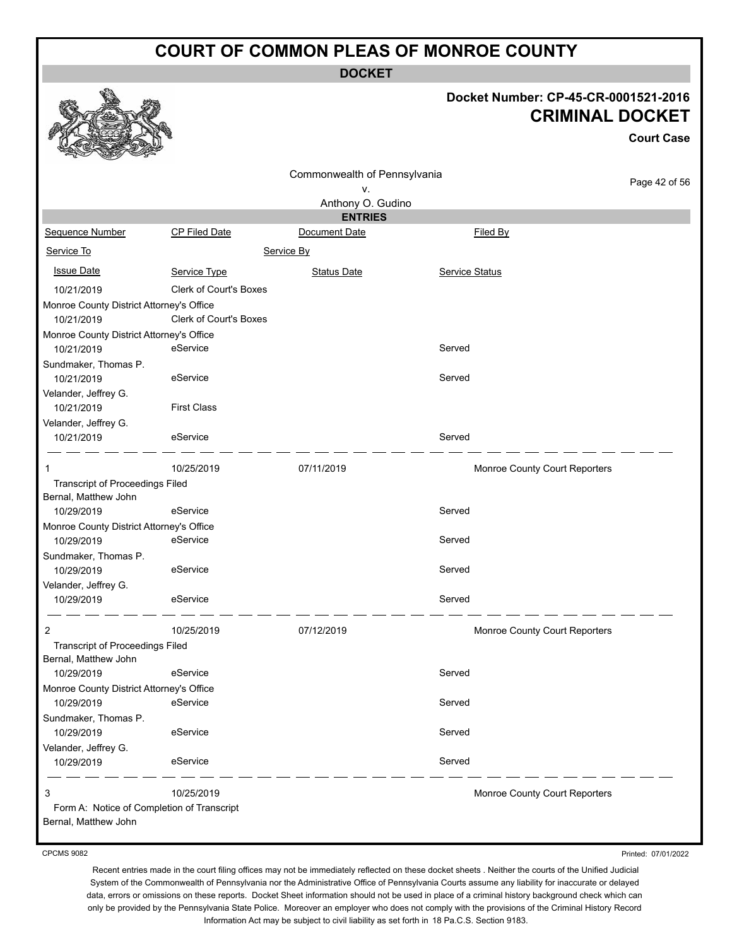**DOCKET**

#### **Docket Number: CP-45-CR-0001521-2016 CRIMINAL DOCKET**

**Court Case**

|                                            |                               |                              |                               | <b>Court Case</b> |
|--------------------------------------------|-------------------------------|------------------------------|-------------------------------|-------------------|
|                                            |                               | Commonwealth of Pennsylvania |                               |                   |
|                                            |                               | ν.                           |                               | Page 42 of 56     |
|                                            |                               | Anthony O. Gudino            |                               |                   |
|                                            |                               | <b>ENTRIES</b>               |                               |                   |
| Sequence Number                            | <b>CP Filed Date</b>          | Document Date                | Filed By                      |                   |
| Service To                                 |                               | Service By                   |                               |                   |
| <b>Issue Date</b>                          | Service Type                  | <b>Status Date</b>           | Service Status                |                   |
| 10/21/2019                                 | <b>Clerk of Court's Boxes</b> |                              |                               |                   |
| Monroe County District Attorney's Office   |                               |                              |                               |                   |
| 10/21/2019                                 | Clerk of Court's Boxes        |                              |                               |                   |
| Monroe County District Attorney's Office   |                               |                              |                               |                   |
| 10/21/2019                                 | eService                      |                              | Served                        |                   |
| Sundmaker, Thomas P.                       |                               |                              |                               |                   |
| 10/21/2019                                 | eService                      |                              | Served                        |                   |
| Velander, Jeffrey G.                       |                               |                              |                               |                   |
| 10/21/2019                                 | <b>First Class</b>            |                              |                               |                   |
| Velander, Jeffrey G.                       |                               |                              |                               |                   |
| 10/21/2019                                 | eService                      |                              | Served                        |                   |
| 1                                          | 10/25/2019                    | 07/11/2019                   | Monroe County Court Reporters |                   |
| Transcript of Proceedings Filed            |                               |                              |                               |                   |
| Bernal, Matthew John                       |                               |                              |                               |                   |
| 10/29/2019                                 | eService                      |                              | Served                        |                   |
| Monroe County District Attorney's Office   |                               |                              |                               |                   |
| 10/29/2019                                 | eService                      |                              | Served                        |                   |
| Sundmaker, Thomas P.                       |                               |                              |                               |                   |
| 10/29/2019                                 | eService                      |                              | Served                        |                   |
| Velander, Jeffrey G.                       |                               |                              |                               |                   |
| 10/29/2019                                 | eService                      |                              | Served                        |                   |
|                                            |                               |                              |                               |                   |
| $\overline{2}$                             | 10/25/2019                    | 07/12/2019                   | Monroe County Court Reporters |                   |
| Transcript of Proceedings Filed            |                               |                              |                               |                   |
| Bernal, Matthew John                       |                               |                              |                               |                   |
| 10/29/2019                                 | eService                      |                              | Served                        |                   |
| Monroe County District Attorney's Office   |                               |                              |                               |                   |
| 10/29/2019                                 | eService                      |                              | Served                        |                   |
| Sundmaker, Thomas P.                       |                               |                              |                               |                   |
| 10/29/2019                                 | eService                      |                              | Served                        |                   |
| Velander, Jeffrey G.                       |                               |                              |                               |                   |
| 10/29/2019                                 | eService                      |                              | Served                        |                   |
| 3                                          | 10/25/2019                    |                              | Monroe County Court Reporters |                   |
| Form A: Notice of Completion of Transcript |                               |                              |                               |                   |
| Bernal, Matthew John                       |                               |                              |                               |                   |

CPCMS 9082

Printed: 07/01/2022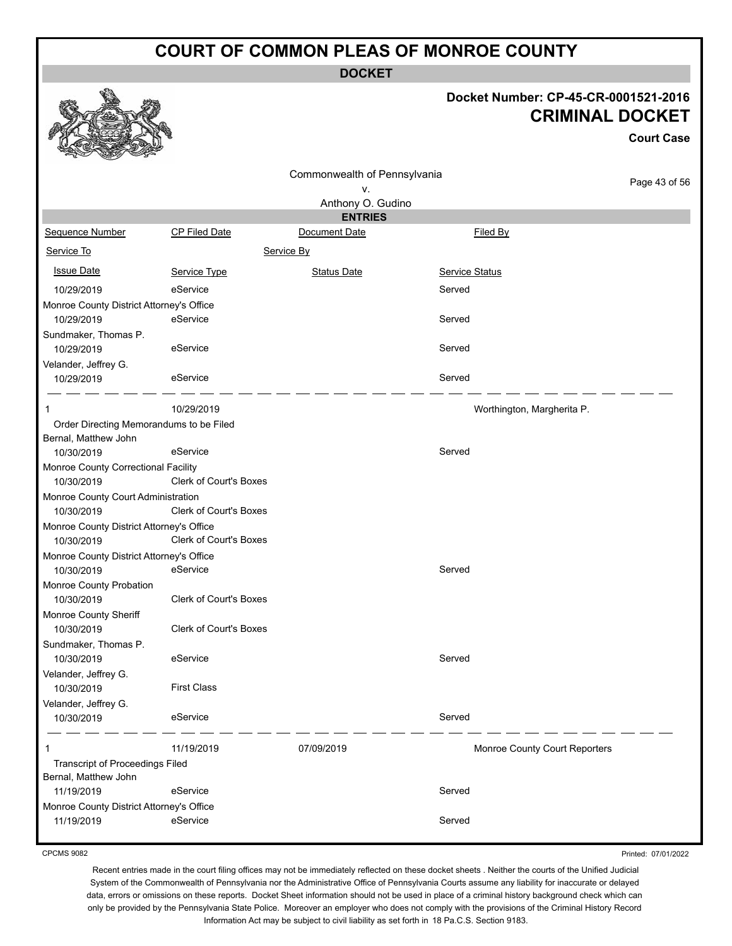**DOCKET**

#### **Docket Number: CP-45-CR-0001521-2016 CRIMINAL DOCKET**

**Court Case**

|                                          |                        | Commonwealth of Pennsylvania |                               |               |
|------------------------------------------|------------------------|------------------------------|-------------------------------|---------------|
|                                          |                        | ٧.                           |                               | Page 43 of 56 |
|                                          |                        | Anthony O. Gudino            |                               |               |
|                                          |                        | <b>ENTRIES</b>               |                               |               |
| Sequence Number                          | CP Filed Date          | Document Date                | Filed By                      |               |
| Service To                               |                        | Service By                   |                               |               |
| <b>Issue Date</b>                        | Service Type           | <b>Status Date</b>           | Service Status                |               |
| 10/29/2019                               | eService               |                              | Served                        |               |
| Monroe County District Attorney's Office |                        |                              |                               |               |
| 10/29/2019                               | eService               |                              | Served                        |               |
| Sundmaker, Thomas P.                     |                        |                              |                               |               |
| 10/29/2019                               | eService               |                              | Served                        |               |
| Velander, Jeffrey G.                     |                        |                              |                               |               |
| 10/29/2019                               | eService               |                              | Served                        |               |
| 1                                        | 10/29/2019             |                              | Worthington, Margherita P.    |               |
| Order Directing Memorandums to be Filed  |                        |                              |                               |               |
| Bernal, Matthew John                     |                        |                              |                               |               |
| 10/30/2019                               | eService               |                              | Served                        |               |
| Monroe County Correctional Facility      |                        |                              |                               |               |
| 10/30/2019                               | Clerk of Court's Boxes |                              |                               |               |
| Monroe County Court Administration       |                        |                              |                               |               |
| 10/30/2019                               | Clerk of Court's Boxes |                              |                               |               |
| Monroe County District Attorney's Office |                        |                              |                               |               |
| 10/30/2019                               | Clerk of Court's Boxes |                              |                               |               |
| Monroe County District Attorney's Office |                        |                              |                               |               |
| 10/30/2019                               | eService               |                              | Served                        |               |
| Monroe County Probation                  | Clerk of Court's Boxes |                              |                               |               |
| 10/30/2019<br>Monroe County Sheriff      |                        |                              |                               |               |
| 10/30/2019                               | Clerk of Court's Boxes |                              |                               |               |
| Sundmaker, Thomas P.                     |                        |                              |                               |               |
| 10/30/2019                               | eService               |                              | Served                        |               |
| Velander, Jeffrey G.                     |                        |                              |                               |               |
| 10/30/2019                               | <b>First Class</b>     |                              |                               |               |
| Velander, Jeffrey G.                     |                        |                              |                               |               |
| 10/30/2019                               | eService               |                              | Served                        |               |
|                                          | 11/19/2019             | 07/09/2019                   | Monroe County Court Reporters |               |
| <b>Transcript of Proceedings Filed</b>   |                        |                              |                               |               |
| Bernal, Matthew John                     |                        |                              |                               |               |
| 11/19/2019                               | eService               |                              | Served                        |               |
| Monroe County District Attorney's Office |                        |                              |                               |               |
| 11/19/2019                               | eService               |                              | Served                        |               |

CPCMS 9082

Printed: 07/01/2022

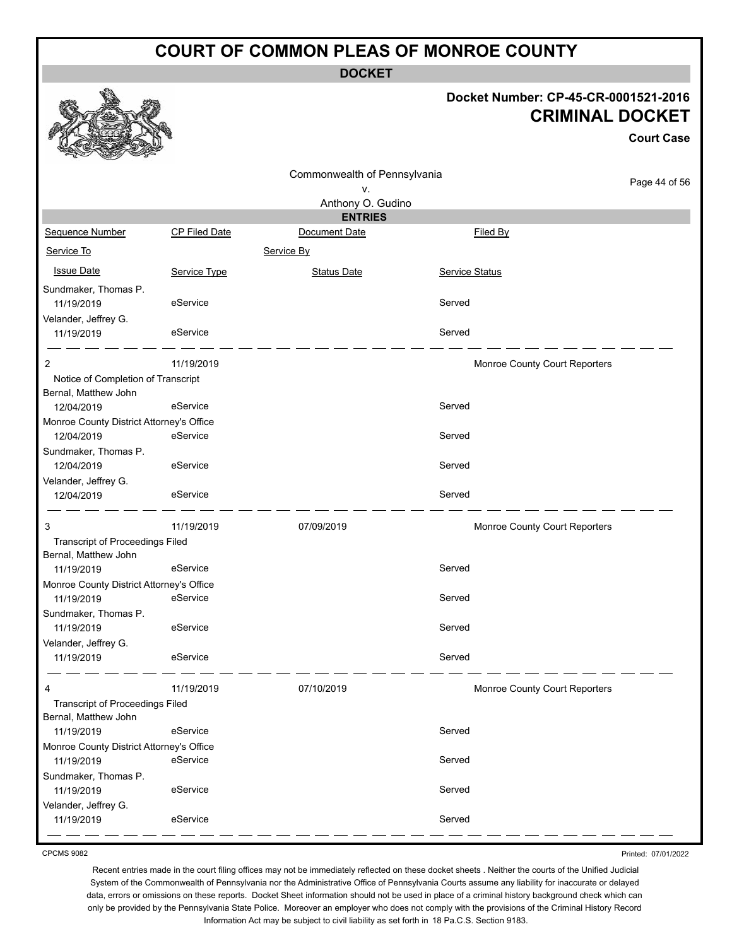**DOCKET**

#### **Docket Number: CP-45-CR-0001521-2016 CRIMINAL DOCKET**

**Court Case**

|                                          |                      |                              |                | UUUIL UASE                    |
|------------------------------------------|----------------------|------------------------------|----------------|-------------------------------|
|                                          |                      | Commonwealth of Pennsylvania |                |                               |
|                                          |                      | ٧.                           |                | Page 44 of 56                 |
|                                          |                      | Anthony O. Gudino            |                |                               |
|                                          |                      | <b>ENTRIES</b>               |                |                               |
| Sequence Number                          | <b>CP Filed Date</b> | Document Date                | Filed By       |                               |
| Service To                               |                      | Service By                   |                |                               |
| <b>Issue Date</b>                        | Service Type         | <b>Status Date</b>           | Service Status |                               |
| Sundmaker, Thomas P.                     |                      |                              |                |                               |
| 11/19/2019                               | eService             |                              | Served         |                               |
| Velander, Jeffrey G.                     |                      |                              |                |                               |
| 11/19/2019                               | eService             |                              | Served         |                               |
| 2                                        | 11/19/2019           |                              |                | Monroe County Court Reporters |
| Notice of Completion of Transcript       |                      |                              |                |                               |
| Bernal, Matthew John                     |                      |                              |                |                               |
| 12/04/2019                               | eService             |                              | Served         |                               |
| Monroe County District Attorney's Office |                      |                              |                |                               |
| 12/04/2019                               | eService             |                              | Served         |                               |
| Sundmaker, Thomas P.                     |                      |                              |                |                               |
| 12/04/2019                               | eService             |                              | Served         |                               |
| Velander, Jeffrey G.                     |                      |                              |                |                               |
| 12/04/2019                               | eService             |                              | Served         |                               |
| 3                                        | 11/19/2019           | 07/09/2019                   |                | Monroe County Court Reporters |
| <b>Transcript of Proceedings Filed</b>   |                      |                              |                |                               |
| Bernal, Matthew John                     |                      |                              |                |                               |
| 11/19/2019                               | eService             |                              | Served         |                               |
| Monroe County District Attorney's Office |                      |                              |                |                               |
| 11/19/2019                               | eService             |                              | Served         |                               |
| Sundmaker, Thomas P.                     |                      |                              |                |                               |
| 11/19/2019                               | eService             |                              | Served         |                               |
| Velander, Jeffrey G.                     |                      |                              |                |                               |
| 11/19/2019                               | eService             |                              | Served         |                               |
| 4                                        | 11/19/2019           | 07/10/2019                   |                | Monroe County Court Reporters |
| <b>Transcript of Proceedings Filed</b>   |                      |                              |                |                               |
| Bernal, Matthew John                     |                      |                              |                |                               |
| 11/19/2019                               | eService             |                              | Served         |                               |
| Monroe County District Attorney's Office |                      |                              |                |                               |
| 11/19/2019                               | eService             |                              | Served         |                               |
| Sundmaker, Thomas P.                     |                      |                              |                |                               |
| 11/19/2019                               | eService             |                              | Served         |                               |
| Velander, Jeffrey G.                     |                      |                              |                |                               |
| 11/19/2019                               | eService             |                              | Served         |                               |
|                                          |                      |                              |                |                               |

CPCMS 9082

Printed: 07/01/2022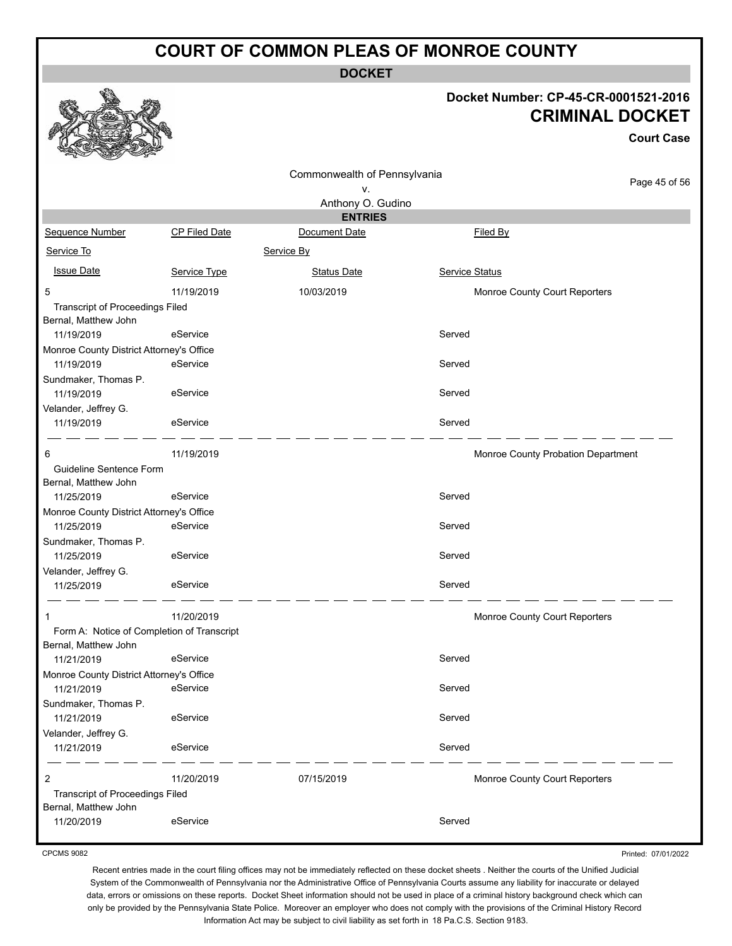**DOCKET**

#### **Docket Number: CP-45-CR-0001521-2016 CRIMINAL DOCKET**

**Court Case**

|                                                                    |                      | Commonwealth of Pennsylvania |                                    |               |
|--------------------------------------------------------------------|----------------------|------------------------------|------------------------------------|---------------|
|                                                                    |                      | ۷.                           |                                    | Page 45 of 56 |
|                                                                    |                      | Anthony O. Gudino            |                                    |               |
|                                                                    |                      | <b>ENTRIES</b>               |                                    |               |
| <b>Sequence Number</b>                                             | <b>CP Filed Date</b> | Document Date                | Filed By                           |               |
| Service To                                                         |                      | Service By                   |                                    |               |
| <b>Issue Date</b>                                                  | Service Type         | <b>Status Date</b>           | <b>Service Status</b>              |               |
| 5                                                                  | 11/19/2019           | 10/03/2019                   | Monroe County Court Reporters      |               |
| <b>Transcript of Proceedings Filed</b><br>Bernal, Matthew John     |                      |                              |                                    |               |
| 11/19/2019                                                         | eService             |                              | Served                             |               |
| Monroe County District Attorney's Office                           |                      |                              |                                    |               |
| 11/19/2019                                                         | eService             |                              | Served                             |               |
| Sundmaker, Thomas P.<br>11/19/2019                                 | eService             |                              | Served                             |               |
| Velander, Jeffrey G.                                               |                      |                              |                                    |               |
| 11/19/2019                                                         | eService             |                              | Served                             |               |
| 6                                                                  | 11/19/2019           |                              | Monroe County Probation Department |               |
| Guideline Sentence Form<br>Bernal, Matthew John                    |                      |                              |                                    |               |
| 11/25/2019                                                         | eService             |                              | Served                             |               |
| Monroe County District Attorney's Office                           |                      |                              |                                    |               |
| 11/25/2019                                                         | eService             |                              | Served                             |               |
| Sundmaker, Thomas P.                                               |                      |                              | Served                             |               |
| 11/25/2019                                                         | eService             |                              |                                    |               |
| Velander, Jeffrey G.<br>11/25/2019                                 | eService             |                              | Served                             |               |
|                                                                    |                      |                              |                                    |               |
| 1                                                                  | 11/20/2019           |                              | Monroe County Court Reporters      |               |
| Form A: Notice of Completion of Transcript<br>Bernal, Matthew John |                      |                              |                                    |               |
| 11/21/2019                                                         | eService             |                              | Served                             |               |
| Monroe County District Attorney's Office                           |                      |                              |                                    |               |
| 11/21/2019 eService                                                |                      |                              | Served                             |               |
| Sundmaker, Thomas P.                                               |                      |                              |                                    |               |
| 11/21/2019                                                         | eService             |                              | Served                             |               |
| Velander, Jeffrey G.                                               |                      |                              |                                    |               |
| 11/21/2019                                                         | eService             |                              | Served                             |               |
| 2                                                                  | 11/20/2019           | 07/15/2019                   | Monroe County Court Reporters      |               |
| <b>Transcript of Proceedings Filed</b>                             |                      |                              |                                    |               |
| Bernal, Matthew John<br>11/20/2019                                 | eService             |                              | Served                             |               |
|                                                                    |                      |                              |                                    |               |

CPCMS 9082

Printed: 07/01/2022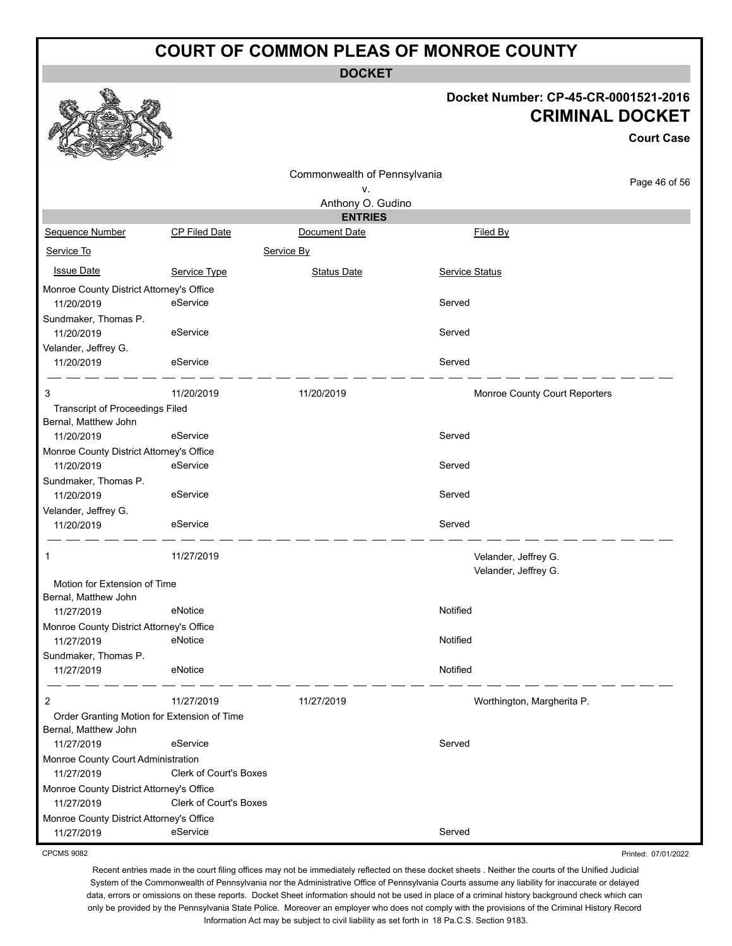**DOCKET**

#### **Docket Number: CP-45-CR-0001521-2016 CRIMINAL DOCKET**

**Court Case**

Printed: 07/01/2022

|                                                                |                        | Commonwealth of Pennsylvania |                               |               |
|----------------------------------------------------------------|------------------------|------------------------------|-------------------------------|---------------|
|                                                                |                        | ٧.                           |                               | Page 46 of 56 |
|                                                                |                        | Anthony O. Gudino            |                               |               |
|                                                                |                        | <b>ENTRIES</b>               |                               |               |
| Sequence Number                                                | CP Filed Date          | Document Date                | Filed By                      |               |
| Service To                                                     |                        | Service By                   |                               |               |
| <b>Issue Date</b>                                              | Service Type           | Status Date                  | Service Status                |               |
| Monroe County District Attorney's Office<br>11/20/2019         | eService               |                              | Served                        |               |
| Sundmaker, Thomas P.<br>11/20/2019                             | eService               |                              | Served                        |               |
| Velander, Jeffrey G.                                           |                        |                              |                               |               |
| 11/20/2019                                                     | eService               |                              | Served                        |               |
| 3                                                              | 11/20/2019             | 11/20/2019                   | Monroe County Court Reporters |               |
| <b>Transcript of Proceedings Filed</b><br>Bernal, Matthew John |                        |                              |                               |               |
| 11/20/2019                                                     | eService               |                              | Served                        |               |
| Monroe County District Attorney's Office<br>11/20/2019         | eService               |                              | Served                        |               |
| Sundmaker, Thomas P.<br>11/20/2019                             | eService               |                              | Served                        |               |
| Velander, Jeffrey G.<br>11/20/2019                             | eService               |                              | Served                        |               |
| 1                                                              | 11/27/2019             |                              | Velander, Jeffrey G.          |               |
|                                                                |                        |                              | Velander, Jeffrey G.          |               |
| Motion for Extension of Time                                   |                        |                              |                               |               |
| Bernal, Matthew John<br>11/27/2019                             | eNotice                |                              | Notified                      |               |
| Monroe County District Attorney's Office                       |                        |                              |                               |               |
| 11/27/2019                                                     | eNotice                |                              | Notified                      |               |
| Sundmaker, Thomas P.<br>11/27/2019                             | eNotice                |                              | Notified                      |               |
| 2                                                              | 11/27/2019             | 11/27/2019                   |                               |               |
| Order Granting Motion for Extension of Time                    |                        |                              | Worthington, Margherita P.    |               |
| Bernal, Matthew John                                           |                        |                              |                               |               |
| 11/27/2019                                                     | eService               |                              | Served                        |               |
| Monroe County Court Administration                             |                        |                              |                               |               |
| 11/27/2019                                                     | Clerk of Court's Boxes |                              |                               |               |
| Monroe County District Attorney's Office<br>11/27/2019         | Clerk of Court's Boxes |                              |                               |               |
| Monroe County District Attorney's Office                       |                        |                              |                               |               |
| 11/27/2019                                                     | eService               |                              | Served                        |               |

CPCMS 9082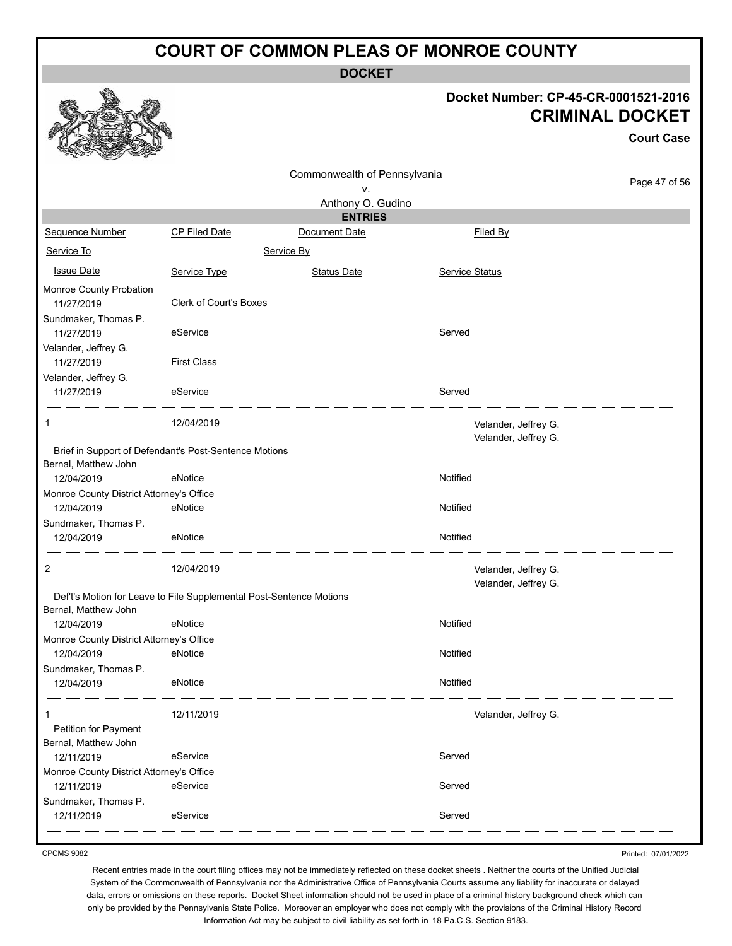**DOCKET**

#### **Docket Number: CP-45-CR-0001521-2016 CRIMINAL DOCKET**

**Court Case**

|                                              |                                                                     | Commonwealth of Pennsylvania |                                              |               |
|----------------------------------------------|---------------------------------------------------------------------|------------------------------|----------------------------------------------|---------------|
|                                              |                                                                     | ν.                           |                                              | Page 47 of 56 |
|                                              |                                                                     | Anthony O. Gudino            |                                              |               |
|                                              |                                                                     | <b>ENTRIES</b>               |                                              |               |
| Sequence Number                              | CP Filed Date                                                       | Document Date                | Filed By                                     |               |
| Service To                                   |                                                                     | Service By                   |                                              |               |
| <b>Issue Date</b>                            | Service Type                                                        | Status Date                  | <b>Service Status</b>                        |               |
| Monroe County Probation<br>11/27/2019        | <b>Clerk of Court's Boxes</b>                                       |                              |                                              |               |
| Sundmaker, Thomas P.<br>11/27/2019           | eService                                                            |                              | Served                                       |               |
| Velander, Jeffrey G.<br>11/27/2019           | <b>First Class</b>                                                  |                              |                                              |               |
| Velander, Jeffrey G.<br>11/27/2019           | eService                                                            |                              | Served                                       |               |
| 1                                            | 12/04/2019                                                          |                              | Velander, Jeffrey G.<br>Velander, Jeffrey G. |               |
|                                              | Brief in Support of Defendant's Post-Sentence Motions               |                              |                                              |               |
| Bernal, Matthew John                         |                                                                     |                              |                                              |               |
| 12/04/2019                                   | eNotice                                                             |                              | Notified                                     |               |
| Monroe County District Attorney's Office     |                                                                     |                              |                                              |               |
| 12/04/2019                                   | eNotice                                                             |                              | Notified                                     |               |
| Sundmaker, Thomas P.<br>12/04/2019           | eNotice                                                             |                              | Notified                                     |               |
|                                              |                                                                     |                              |                                              |               |
| 2                                            | 12/04/2019                                                          |                              | Velander, Jeffrey G.<br>Velander, Jeffrey G. |               |
| Bernal, Matthew John                         | Def't's Motion for Leave to File Supplemental Post-Sentence Motions |                              |                                              |               |
| 12/04/2019                                   | eNotice                                                             |                              | Notified                                     |               |
| Monroe County District Attorney's Office     |                                                                     |                              |                                              |               |
| 12/04/2019                                   | eNotice                                                             |                              | Notified                                     |               |
| Sundmaker, Thomas P.                         |                                                                     |                              |                                              |               |
| 12/04/2019                                   | eNotice                                                             |                              | Notified                                     |               |
| -1                                           | 12/11/2019                                                          |                              | Velander, Jeffrey G.                         |               |
| Petition for Payment<br>Bernal, Matthew John |                                                                     |                              |                                              |               |
| 12/11/2019                                   | eService                                                            |                              | Served                                       |               |
| Monroe County District Attorney's Office     |                                                                     |                              |                                              |               |
| 12/11/2019                                   | eService                                                            |                              | Served                                       |               |
| Sundmaker, Thomas P.                         |                                                                     |                              |                                              |               |
| 12/11/2019                                   | eService                                                            |                              | Served                                       |               |

CPCMS 9082

Recent entries made in the court filing offices may not be immediately reflected on these docket sheets . Neither the courts of the Unified Judicial System of the Commonwealth of Pennsylvania nor the Administrative Office of Pennsylvania Courts assume any liability for inaccurate or delayed data, errors or omissions on these reports. Docket Sheet information should not be used in place of a criminal history background check which can only be provided by the Pennsylvania State Police. Moreover an employer who does not comply with the provisions of the Criminal History Record Information Act may be subject to civil liability as set forth in 18 Pa.C.S. Section 9183.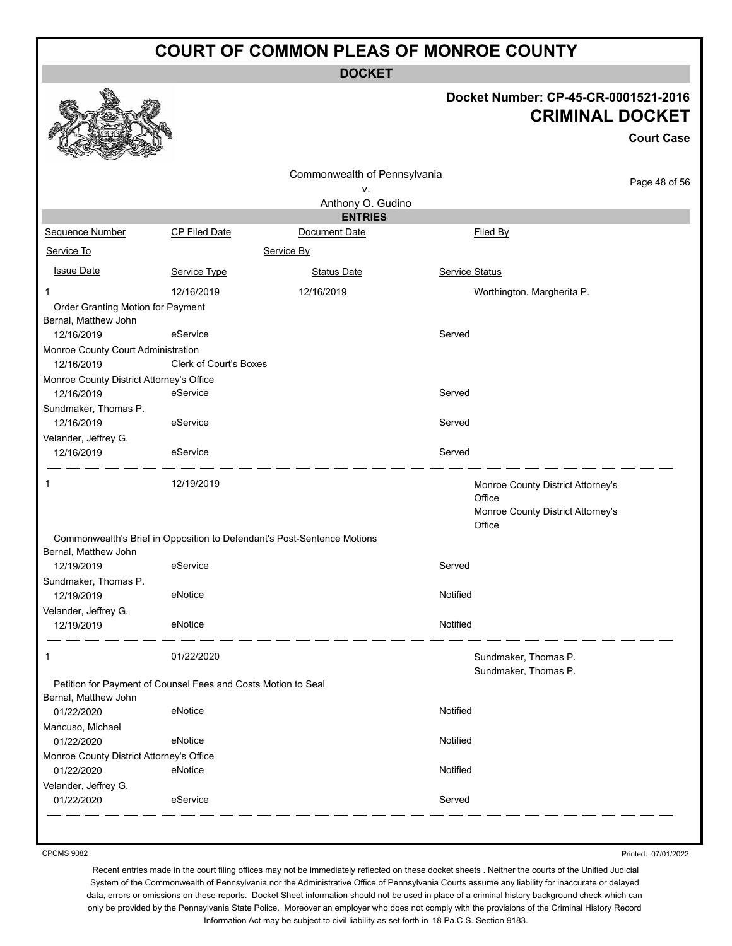**DOCKET**

#### **Docket Number: CP-45-CR-0001521-2016 CRIMINAL DOCKET**

**Court Case**

|                                                           |                                                               | Commonwealth of Pennsylvania                                            |                                                                                            |               |
|-----------------------------------------------------------|---------------------------------------------------------------|-------------------------------------------------------------------------|--------------------------------------------------------------------------------------------|---------------|
| ٧.                                                        |                                                               |                                                                         |                                                                                            | Page 48 of 56 |
|                                                           |                                                               | Anthony O. Gudino                                                       |                                                                                            |               |
|                                                           |                                                               | <b>ENTRIES</b>                                                          |                                                                                            |               |
| Sequence Number                                           | CP Filed Date                                                 | Document Date                                                           | Filed By                                                                                   |               |
| Service To                                                |                                                               | Service By                                                              |                                                                                            |               |
| <b>Issue Date</b>                                         | Service Type                                                  | <b>Status Date</b>                                                      | Service Status                                                                             |               |
| 1                                                         | 12/16/2019                                                    | 12/16/2019                                                              | Worthington, Margherita P.                                                                 |               |
| Order Granting Motion for Payment<br>Bernal, Matthew John |                                                               |                                                                         |                                                                                            |               |
| 12/16/2019                                                | eService                                                      |                                                                         | Served                                                                                     |               |
| Monroe County Court Administration                        |                                                               |                                                                         |                                                                                            |               |
| 12/16/2019                                                | Clerk of Court's Boxes                                        |                                                                         |                                                                                            |               |
| Monroe County District Attorney's Office                  |                                                               |                                                                         |                                                                                            |               |
| 12/16/2019                                                | eService                                                      |                                                                         | Served                                                                                     |               |
| Sundmaker, Thomas P.                                      |                                                               |                                                                         |                                                                                            |               |
| 12/16/2019                                                | eService                                                      |                                                                         | Served                                                                                     |               |
| Velander, Jeffrey G.                                      |                                                               |                                                                         |                                                                                            |               |
| 12/16/2019                                                | eService                                                      |                                                                         | Served                                                                                     |               |
| 1                                                         | 12/19/2019                                                    |                                                                         | Monroe County District Attorney's<br>Office<br>Monroe County District Attorney's<br>Office |               |
|                                                           |                                                               | Commonwealth's Brief in Opposition to Defendant's Post-Sentence Motions |                                                                                            |               |
| Bernal, Matthew John                                      |                                                               |                                                                         |                                                                                            |               |
| 12/19/2019                                                | eService                                                      |                                                                         | Served                                                                                     |               |
| Sundmaker, Thomas P.                                      |                                                               |                                                                         |                                                                                            |               |
| 12/19/2019                                                | eNotice                                                       |                                                                         | Notified                                                                                   |               |
| Velander, Jeffrey G.                                      |                                                               |                                                                         |                                                                                            |               |
| 12/19/2019                                                | eNotice                                                       |                                                                         | Notified                                                                                   |               |
| 1                                                         | 01/22/2020                                                    |                                                                         | Sundmaker, Thomas P.                                                                       |               |
|                                                           |                                                               |                                                                         | Sundmaker, Thomas P.                                                                       |               |
|                                                           | Petition for Payment of Counsel Fees and Costs Motion to Seal |                                                                         |                                                                                            |               |
| Bernal, Matthew John<br>01/22/2020                        | eNotice                                                       |                                                                         | Notified                                                                                   |               |
| Mancuso, Michael                                          |                                                               |                                                                         |                                                                                            |               |
| 01/22/2020                                                | eNotice                                                       |                                                                         | Notified                                                                                   |               |
| Monroe County District Attorney's Office                  |                                                               |                                                                         |                                                                                            |               |
| 01/22/2020                                                | eNotice                                                       |                                                                         | Notified                                                                                   |               |
| Velander, Jeffrey G.                                      |                                                               |                                                                         |                                                                                            |               |
| 01/22/2020                                                | eService                                                      |                                                                         | Served                                                                                     |               |

CPCMS 9082

Printed: 07/01/2022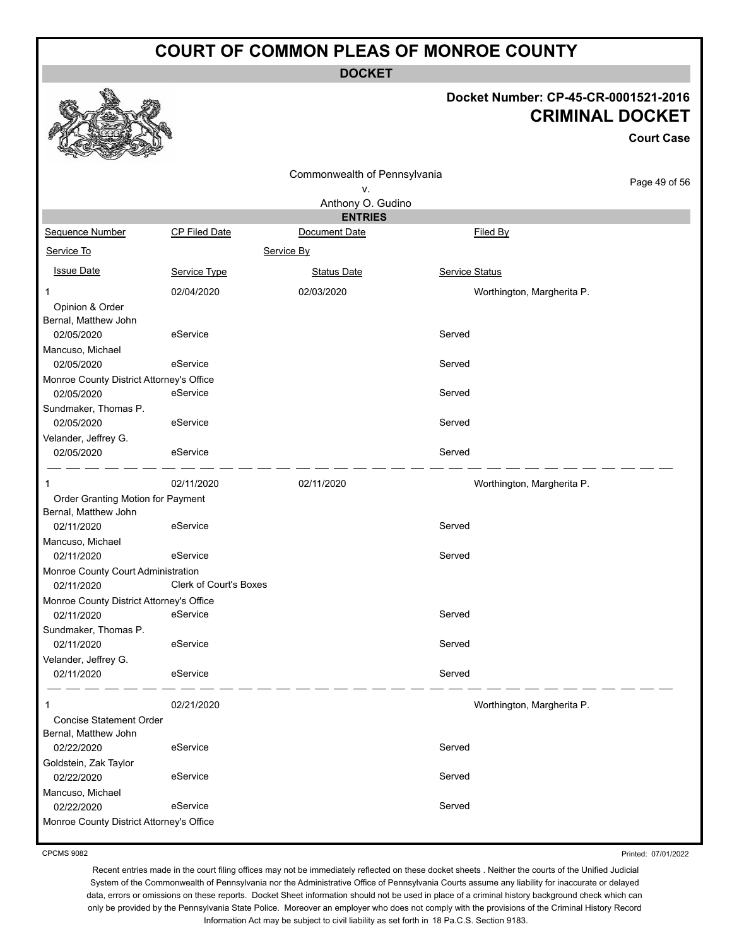**DOCKET**

#### **Docket Number: CP-45-CR-0001521-2016 CRIMINAL DOCKET**

**Court Case**

|                                          |                               | Commonwealth of Pennsylvania |                 |                            |
|------------------------------------------|-------------------------------|------------------------------|-----------------|----------------------------|
|                                          |                               | ٧.                           |                 | Page 49 of 56              |
|                                          |                               | Anthony O. Gudino            |                 |                            |
|                                          |                               | <b>ENTRIES</b>               |                 |                            |
| Sequence Number                          | <b>CP Filed Date</b>          | Document Date                | <b>Filed By</b> |                            |
| Service To                               |                               | Service By                   |                 |                            |
| <b>Issue Date</b>                        | Service Type                  | <b>Status Date</b>           | Service Status  |                            |
| 1                                        | 02/04/2020                    | 02/03/2020                   |                 | Worthington, Margherita P. |
| Opinion & Order                          |                               |                              |                 |                            |
| Bernal, Matthew John                     |                               |                              |                 |                            |
| 02/05/2020                               | eService                      |                              | Served          |                            |
| Mancuso, Michael<br>02/05/2020           | eService                      |                              | Served          |                            |
| Monroe County District Attorney's Office |                               |                              |                 |                            |
| 02/05/2020                               | eService                      |                              | Served          |                            |
| Sundmaker, Thomas P.                     |                               |                              |                 |                            |
| 02/05/2020                               | eService                      |                              | Served          |                            |
| Velander, Jeffrey G.                     |                               |                              |                 |                            |
| 02/05/2020                               | eService                      |                              | Served          |                            |
|                                          | 02/11/2020                    | 02/11/2020                   |                 | Worthington, Margherita P. |
| 1<br>Order Granting Motion for Payment   |                               |                              |                 |                            |
| Bernal, Matthew John                     |                               |                              |                 |                            |
| 02/11/2020                               | eService                      |                              | Served          |                            |
| Mancuso, Michael                         |                               |                              |                 |                            |
| 02/11/2020                               | eService                      |                              | Served          |                            |
| Monroe County Court Administration       |                               |                              |                 |                            |
| 02/11/2020                               | <b>Clerk of Court's Boxes</b> |                              |                 |                            |
| Monroe County District Attorney's Office | eService                      |                              |                 |                            |
| 02/11/2020                               |                               |                              | Served          |                            |
| Sundmaker, Thomas P.<br>02/11/2020       | eService                      |                              | Served          |                            |
| Velander, Jeffrey G.                     |                               |                              |                 |                            |
| 02/11/2020                               | eService                      |                              | Served          |                            |
|                                          |                               |                              |                 |                            |
| 1                                        | 02/21/2020                    |                              |                 | Worthington, Margherita P. |
| <b>Concise Statement Order</b>           |                               |                              |                 |                            |
| Bernal, Matthew John                     |                               |                              |                 |                            |
| 02/22/2020                               | eService                      |                              | Served          |                            |
| Goldstein, Zak Taylor<br>02/22/2020      | eService                      |                              | Served          |                            |
| Mancuso, Michael                         |                               |                              |                 |                            |
| 02/22/2020                               | eService                      |                              | Served          |                            |
| Monroe County District Attorney's Office |                               |                              |                 |                            |
|                                          |                               |                              |                 |                            |

CPCMS 9082

Printed: 07/01/2022

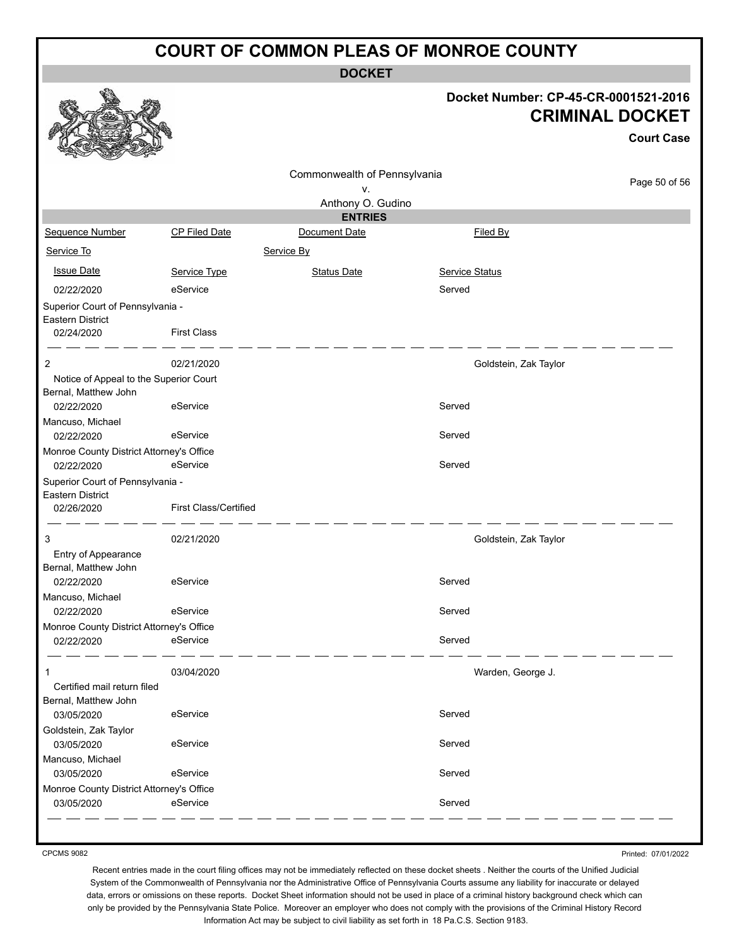**DOCKET**

#### **Docket Number: CP-45-CR-0001521-2016 CRIMINAL DOCKET**

**Court Case**

|                                                                |                              | Commonwealth of Pennsylvania |                       |                       |
|----------------------------------------------------------------|------------------------------|------------------------------|-----------------------|-----------------------|
|                                                                |                              | v.                           |                       | Page 50 of 56         |
|                                                                |                              | Anthony O. Gudino            |                       |                       |
|                                                                |                              | <b>ENTRIES</b>               |                       |                       |
| Sequence Number                                                | <b>CP Filed Date</b>         | Document Date                | Filed By              |                       |
| Service To                                                     |                              | Service By                   |                       |                       |
| <b>Issue Date</b>                                              | Service Type                 | <b>Status Date</b>           | <b>Service Status</b> |                       |
| 02/22/2020                                                     | eService                     |                              | Served                |                       |
| Superior Court of Pennsylvania -<br>Eastern District           |                              |                              |                       |                       |
| 02/24/2020                                                     | <b>First Class</b>           |                              |                       |                       |
| 2                                                              | 02/21/2020                   |                              |                       | Goldstein, Zak Taylor |
| Notice of Appeal to the Superior Court<br>Bernal, Matthew John |                              |                              |                       |                       |
| 02/22/2020                                                     | eService                     |                              | Served                |                       |
| Mancuso, Michael                                               |                              |                              |                       |                       |
| 02/22/2020                                                     | eService                     |                              | Served                |                       |
| Monroe County District Attorney's Office                       |                              |                              |                       |                       |
| 02/22/2020                                                     | eService                     |                              | Served                |                       |
| Superior Court of Pennsylvania -                               |                              |                              |                       |                       |
| Eastern District<br>02/26/2020                                 | <b>First Class/Certified</b> |                              |                       |                       |
| 3                                                              | 02/21/2020                   |                              |                       | Goldstein, Zak Taylor |
| Entry of Appearance                                            |                              |                              |                       |                       |
| Bernal, Matthew John                                           |                              |                              |                       |                       |
| 02/22/2020                                                     | eService                     |                              | Served                |                       |
| Mancuso, Michael                                               |                              |                              |                       |                       |
| 02/22/2020                                                     | eService                     |                              | Served                |                       |
| Monroe County District Attorney's Office                       |                              |                              |                       |                       |
| 02/22/2020                                                     | eService                     |                              | Served                |                       |
| 1                                                              | 03/04/2020                   |                              |                       | Warden, George J.     |
| Certified mail return filed                                    |                              |                              |                       |                       |
| Bernal, Matthew John                                           |                              |                              |                       |                       |
| 03/05/2020                                                     | eService                     |                              | Served                |                       |
| Goldstein, Zak Taylor                                          |                              |                              |                       |                       |
| 03/05/2020                                                     | eService                     |                              | Served                |                       |
| Mancuso, Michael<br>03/05/2020                                 | eService                     |                              | Served                |                       |
| Monroe County District Attorney's Office                       |                              |                              |                       |                       |
| 03/05/2020                                                     | eService                     |                              | Served                |                       |
|                                                                |                              |                              |                       |                       |

CPCMS 9082

Printed: 07/01/2022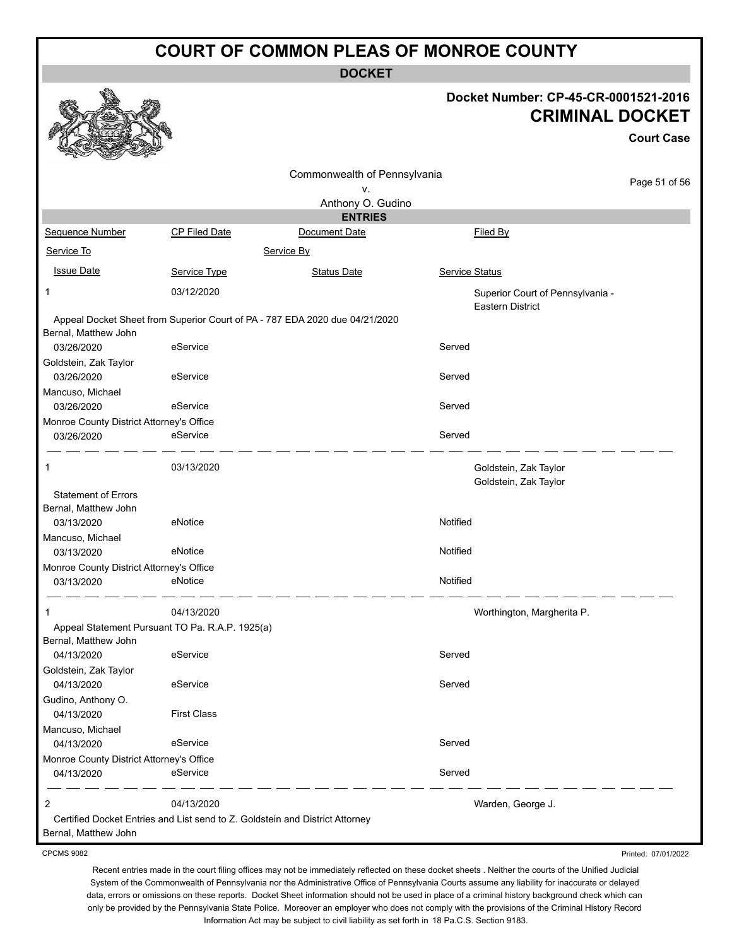**DOCKET**

#### **Docket Number: CP-45-CR-0001521-2016 CRIMINAL DOCKET**

**Court Case**

|                                                        |                                                                              | Commonwealth of Pennsylvania                                                |                                                             |               |
|--------------------------------------------------------|------------------------------------------------------------------------------|-----------------------------------------------------------------------------|-------------------------------------------------------------|---------------|
|                                                        |                                                                              | ٧.                                                                          |                                                             | Page 51 of 56 |
|                                                        |                                                                              | Anthony O. Gudino                                                           |                                                             |               |
|                                                        |                                                                              | <b>ENTRIES</b>                                                              |                                                             |               |
| Sequence Number                                        | <b>CP Filed Date</b>                                                         | Document Date                                                               | <b>Filed By</b>                                             |               |
| Service To                                             |                                                                              | Service By                                                                  |                                                             |               |
| <b>Issue Date</b>                                      | Service Type                                                                 | <b>Status Date</b>                                                          | Service Status                                              |               |
| 1                                                      | 03/12/2020                                                                   |                                                                             | Superior Court of Pennsylvania -<br><b>Eastern District</b> |               |
|                                                        |                                                                              | Appeal Docket Sheet from Superior Court of PA - 787 EDA 2020 due 04/21/2020 |                                                             |               |
| Bernal, Matthew John<br>03/26/2020                     | eService                                                                     |                                                                             | Served                                                      |               |
| Goldstein, Zak Taylor                                  |                                                                              |                                                                             |                                                             |               |
| 03/26/2020                                             | eService                                                                     |                                                                             | Served                                                      |               |
| Mancuso, Michael                                       |                                                                              |                                                                             |                                                             |               |
| 03/26/2020                                             | eService                                                                     |                                                                             | Served                                                      |               |
| Monroe County District Attorney's Office<br>03/26/2020 | eService                                                                     |                                                                             | Served                                                      |               |
|                                                        |                                                                              |                                                                             |                                                             |               |
| 1                                                      | 03/13/2020                                                                   |                                                                             | Goldstein, Zak Taylor<br>Goldstein, Zak Taylor              |               |
| <b>Statement of Errors</b>                             |                                                                              |                                                                             |                                                             |               |
| Bernal, Matthew John                                   |                                                                              |                                                                             |                                                             |               |
| 03/13/2020<br>Mancuso, Michael                         | eNotice                                                                      |                                                                             | Notified                                                    |               |
| 03/13/2020                                             | eNotice                                                                      |                                                                             | Notified                                                    |               |
| Monroe County District Attorney's Office               |                                                                              |                                                                             |                                                             |               |
| 03/13/2020                                             | eNotice                                                                      |                                                                             | Notified                                                    |               |
|                                                        | 04/13/2020                                                                   |                                                                             | Worthington, Margherita P.                                  |               |
|                                                        | Appeal Statement Pursuant TO Pa. R.A.P. 1925(a)                              |                                                                             |                                                             |               |
| Bernal, Matthew John                                   |                                                                              |                                                                             |                                                             |               |
| 04/13/2020                                             | eService                                                                     |                                                                             | Served                                                      |               |
| Goldstein, Zak Taylor<br>04/13/2020                    | eService                                                                     |                                                                             | Served                                                      |               |
| Gudino, Anthony O.                                     |                                                                              |                                                                             |                                                             |               |
| 04/13/2020                                             | <b>First Class</b>                                                           |                                                                             |                                                             |               |
| Mancuso, Michael                                       |                                                                              |                                                                             |                                                             |               |
| 04/13/2020                                             | eService                                                                     |                                                                             | Served                                                      |               |
| Monroe County District Attorney's Office               |                                                                              |                                                                             |                                                             |               |
| 04/13/2020                                             | eService                                                                     |                                                                             | Served                                                      |               |
| 2                                                      | 04/13/2020                                                                   |                                                                             | Warden, George J.                                           |               |
|                                                        | Certified Docket Entries and List send to Z. Goldstein and District Attorney |                                                                             |                                                             |               |
| Bernal, Matthew John                                   |                                                                              |                                                                             |                                                             |               |

CPCMS 9082

Recent entries made in the court filing offices may not be immediately reflected on these docket sheets . Neither the courts of the Unified Judicial System of the Commonwealth of Pennsylvania nor the Administrative Office of Pennsylvania Courts assume any liability for inaccurate or delayed data, errors or omissions on these reports. Docket Sheet information should not be used in place of a criminal history background check which can only be provided by the Pennsylvania State Police. Moreover an employer who does not comply with the provisions of the Criminal History Record Information Act may be subject to civil liability as set forth in 18 Pa.C.S. Section 9183.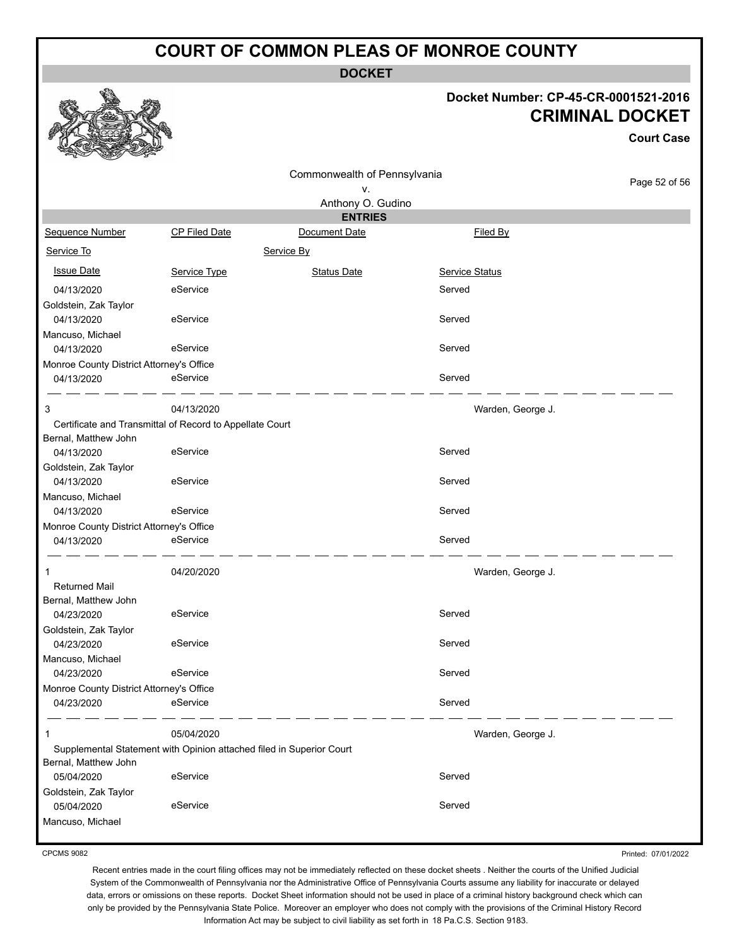**DOCKET**

#### **Docket Number: CP-45-CR-0001521-2016 CRIMINAL DOCKET**

**Court Case**

|                                          |                                                                      | Commonwealth of Pennsylvania |                   |               |
|------------------------------------------|----------------------------------------------------------------------|------------------------------|-------------------|---------------|
|                                          | ٧.                                                                   |                              |                   | Page 52 of 56 |
|                                          |                                                                      | Anthony O. Gudino            |                   |               |
|                                          |                                                                      | <b>ENTRIES</b>               |                   |               |
| Sequence Number                          | <b>CP Filed Date</b>                                                 | Document Date                | Filed By          |               |
| Service To                               |                                                                      | Service By                   |                   |               |
| <b>Issue Date</b>                        | Service Type                                                         | <b>Status Date</b>           | Service Status    |               |
| 04/13/2020                               | eService                                                             |                              | Served            |               |
| Goldstein, Zak Taylor                    |                                                                      |                              |                   |               |
| 04/13/2020                               | eService                                                             |                              | Served            |               |
| Mancuso, Michael                         |                                                                      |                              |                   |               |
| 04/13/2020                               | eService                                                             |                              | Served            |               |
| Monroe County District Attorney's Office |                                                                      |                              |                   |               |
| 04/13/2020                               | eService                                                             |                              | Served            |               |
| 3                                        | 04/13/2020                                                           |                              | Warden, George J. |               |
|                                          | Certificate and Transmittal of Record to Appellate Court             |                              |                   |               |
| Bernal, Matthew John                     |                                                                      |                              |                   |               |
| 04/13/2020                               | eService                                                             |                              | Served            |               |
| Goldstein, Zak Taylor                    |                                                                      |                              |                   |               |
| 04/13/2020<br>Mancuso, Michael           | eService                                                             |                              | Served            |               |
| 04/13/2020                               | eService                                                             |                              | Served            |               |
| Monroe County District Attorney's Office |                                                                      |                              |                   |               |
| 04/13/2020                               | eService                                                             |                              | Served            |               |
| 1                                        | 04/20/2020                                                           |                              | Warden, George J. |               |
| <b>Returned Mail</b>                     |                                                                      |                              |                   |               |
| Bernal, Matthew John                     |                                                                      |                              |                   |               |
| 04/23/2020                               | eService                                                             |                              | Served            |               |
| Goldstein, Zak Taylor                    |                                                                      |                              |                   |               |
| 04/23/2020                               | eService                                                             |                              | Served            |               |
| Mancuso, Michael                         |                                                                      |                              |                   |               |
| 04/23/2020                               | eService                                                             |                              | Served            |               |
| Monroe County District Attorney's Office | eService                                                             |                              | Served            |               |
| 04/23/2020                               |                                                                      |                              |                   |               |
| 1                                        | 05/04/2020                                                           |                              | Warden, George J. |               |
| Bernal, Matthew John                     | Supplemental Statement with Opinion attached filed in Superior Court |                              |                   |               |
| 05/04/2020                               | eService                                                             |                              | Served            |               |
| Goldstein, Zak Taylor                    |                                                                      |                              |                   |               |
| 05/04/2020                               | eService                                                             |                              | Served            |               |
| Mancuso, Michael                         |                                                                      |                              |                   |               |
|                                          |                                                                      |                              |                   |               |

CPCMS 9082

Printed: 07/01/2022

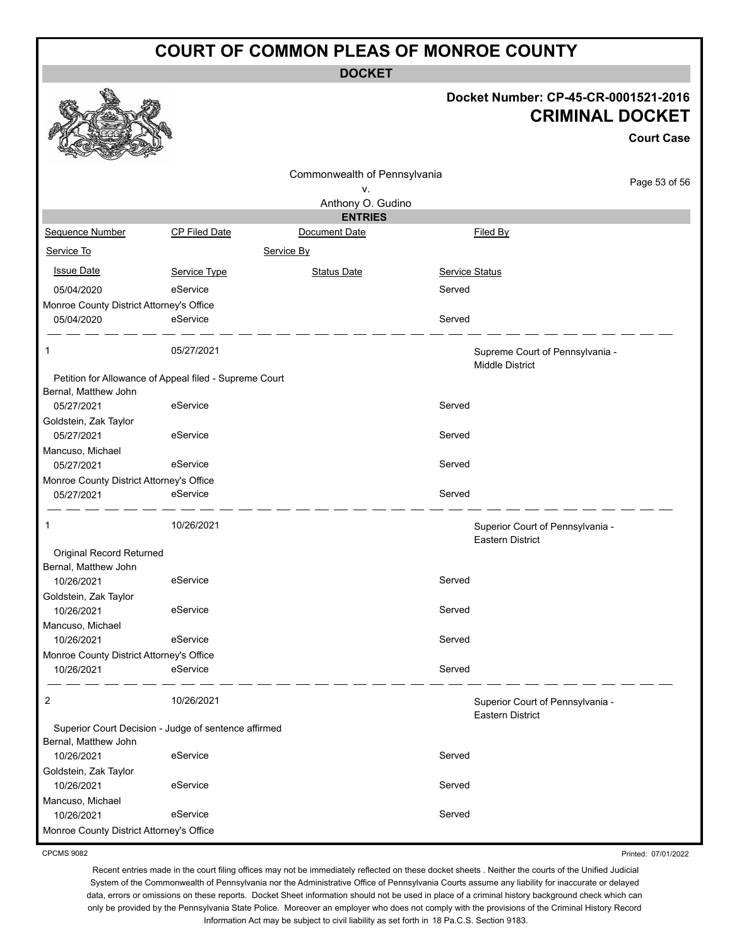**DOCKET**

#### **Docket Number: CP-45-CR-0001521-2016 CRIMINAL DOCKET**

|                                          |                                                        |                                    |                |                                                             | <b>Court Case</b> |
|------------------------------------------|--------------------------------------------------------|------------------------------------|----------------|-------------------------------------------------------------|-------------------|
|                                          |                                                        | Commonwealth of Pennsylvania<br>٧. |                |                                                             | Page 53 of 56     |
|                                          |                                                        | Anthony O. Gudino                  |                |                                                             |                   |
|                                          |                                                        | <b>ENTRIES</b>                     |                |                                                             |                   |
| Sequence Number                          | CP Filed Date                                          | Document Date                      |                | Filed By                                                    |                   |
| Service To                               |                                                        | Service By                         |                |                                                             |                   |
| <b>Issue Date</b>                        | Service Type                                           | <b>Status Date</b>                 | Service Status |                                                             |                   |
| 05/04/2020                               | eService                                               |                                    | Served         |                                                             |                   |
| Monroe County District Attorney's Office |                                                        |                                    |                |                                                             |                   |
| 05/04/2020                               | eService                                               |                                    | Served         |                                                             |                   |
| 1                                        | 05/27/2021                                             |                                    |                | Supreme Court of Pennsylvania -<br><b>Middle District</b>   |                   |
|                                          | Petition for Allowance of Appeal filed - Supreme Court |                                    |                |                                                             |                   |
| Bernal, Matthew John                     |                                                        |                                    |                |                                                             |                   |
| 05/27/2021                               | eService                                               |                                    | Served         |                                                             |                   |
| Goldstein, Zak Taylor<br>05/27/2021      | eService                                               |                                    | Served         |                                                             |                   |
| Mancuso, Michael                         |                                                        |                                    |                |                                                             |                   |
| 05/27/2021                               | eService                                               |                                    | Served         |                                                             |                   |
| Monroe County District Attorney's Office |                                                        |                                    |                |                                                             |                   |
| 05/27/2021                               | eService                                               |                                    | Served         |                                                             |                   |
| 1                                        | 10/26/2021                                             |                                    |                | Superior Court of Pennsylvania -<br><b>Eastern District</b> |                   |
| Original Record Returned                 |                                                        |                                    |                |                                                             |                   |
| Bernal, Matthew John                     |                                                        |                                    |                |                                                             |                   |
| 10/26/2021                               | eService                                               |                                    | Served         |                                                             |                   |
| Goldstein, Zak Taylor<br>10/26/2021      | eService                                               |                                    | Served         |                                                             |                   |
| Mancuso, Michael                         |                                                        |                                    |                |                                                             |                   |
| 10/26/2021                               | eService                                               |                                    | Served         |                                                             |                   |
| Monroe County District Attorney's Office |                                                        |                                    |                |                                                             |                   |
| 10/26/2021                               | eService                                               |                                    | Served         |                                                             |                   |
| 2                                        | 10/26/2021                                             |                                    |                | Superior Court of Pennsylvania -<br><b>Eastern District</b> |                   |
|                                          | Superior Court Decision - Judge of sentence affirmed   |                                    |                |                                                             |                   |
| Bernal, Matthew John                     |                                                        |                                    |                |                                                             |                   |
| 10/26/2021                               | eService                                               |                                    | Served         |                                                             |                   |
| Goldstein, Zak Taylor                    | eService                                               |                                    | Served         |                                                             |                   |
| 10/26/2021                               |                                                        |                                    |                |                                                             |                   |
| Mancuso, Michael<br>10/26/2021           | eService                                               |                                    | Served         |                                                             |                   |
| Monroe County District Attorney's Office |                                                        |                                    |                |                                                             |                   |
|                                          |                                                        |                                    |                |                                                             |                   |

CPCMS 9082

Recent entries made in the court filing offices may not be immediately reflected on these docket sheets . Neither the courts of the Unified Judicial System of the Commonwealth of Pennsylvania nor the Administrative Office of Pennsylvania Courts assume any liability for inaccurate or delayed data, errors or omissions on these reports. Docket Sheet information should not be used in place of a criminal history background check which can only be provided by the Pennsylvania State Police. Moreover an employer who does not comply with the provisions of the Criminal History Record Information Act may be subject to civil liability as set forth in 18 Pa.C.S. Section 9183.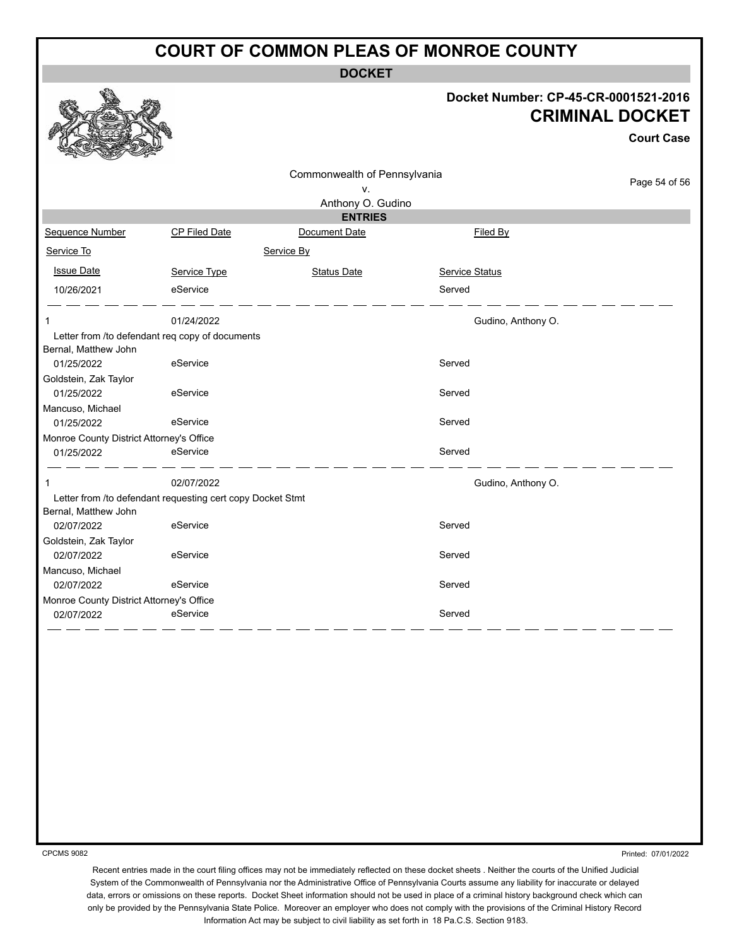**DOCKET**

#### **Docket Number: CP-45-CR-0001521-2016 CRIMINAL DOCKET**

**Court Case**

|                                          |                                                            |                              |                    | <b>Court Case</b> |
|------------------------------------------|------------------------------------------------------------|------------------------------|--------------------|-------------------|
|                                          |                                                            | Commonwealth of Pennsylvania |                    | Page 54 of 56     |
|                                          |                                                            | ٧.                           |                    |                   |
|                                          |                                                            | Anthony O. Gudino            |                    |                   |
|                                          |                                                            | <b>ENTRIES</b>               |                    |                   |
| Sequence Number                          | CP Filed Date                                              | Document Date                | Filed By           |                   |
| Service To                               |                                                            | Service By                   |                    |                   |
| <b>Issue Date</b>                        | Service Type                                               | <b>Status Date</b>           | Service Status     |                   |
| 10/26/2021                               | eService                                                   |                              | Served             |                   |
| 1                                        | 01/24/2022                                                 |                              | Gudino, Anthony O. |                   |
| Bernal, Matthew John                     | Letter from /to defendant req copy of documents            |                              |                    |                   |
| 01/25/2022                               | eService                                                   |                              | Served             |                   |
| Goldstein, Zak Taylor                    |                                                            |                              |                    |                   |
| 01/25/2022                               | eService                                                   |                              | Served             |                   |
| Mancuso, Michael                         |                                                            |                              |                    |                   |
| 01/25/2022                               | eService                                                   |                              | Served             |                   |
| Monroe County District Attorney's Office |                                                            |                              |                    |                   |
| 01/25/2022                               | eService                                                   |                              | Served             |                   |
| 1                                        | 02/07/2022                                                 |                              | Gudino, Anthony O. |                   |
| Bernal, Matthew John                     | Letter from /to defendant requesting cert copy Docket Stmt |                              |                    |                   |
| 02/07/2022                               | eService                                                   |                              | Served             |                   |
| Goldstein, Zak Taylor                    |                                                            |                              |                    |                   |
| 02/07/2022                               | eService                                                   |                              | Served             |                   |
| Mancuso, Michael                         |                                                            |                              |                    |                   |
| 02/07/2022                               | eService                                                   |                              | Served             |                   |
| Monroe County District Attorney's Office |                                                            |                              |                    |                   |
| 02/07/2022                               | eService                                                   |                              | Served             |                   |

CPCMS 9082

Printed: 07/01/2022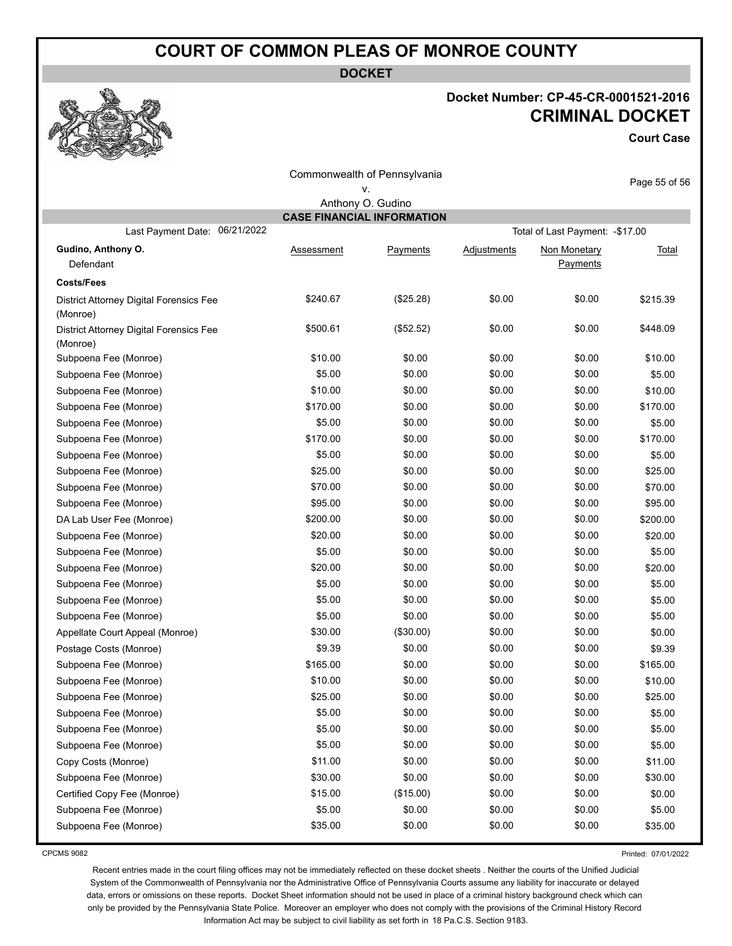**DOCKET**

#### **Docket Number: CP-45-CR-0001521-2016 CRIMINAL DOCKET**

**Court Case**

| Commonwealth of Pennsylvania                        |                                   |           |             | Page 55 of 56                    |              |  |
|-----------------------------------------------------|-----------------------------------|-----------|-------------|----------------------------------|--------------|--|
|                                                     |                                   | ۷.        |             |                                  |              |  |
| Anthony O. Gudino                                   |                                   |           |             |                                  |              |  |
| 06/21/2022                                          | <b>CASE FINANCIAL INFORMATION</b> |           |             |                                  |              |  |
| Last Payment Date:                                  |                                   |           |             | Total of Last Payment: - \$17.00 |              |  |
| Gudino, Anthony O.                                  | <u>Assessment</u>                 | Payments  | Adjustments | Non Monetary                     | <u>Total</u> |  |
| Defendant                                           |                                   |           |             | Payments                         |              |  |
| <b>Costs/Fees</b>                                   |                                   |           |             |                                  |              |  |
| District Attorney Digital Forensics Fee             | \$240.67                          | (\$25.28) | \$0.00      | \$0.00                           | \$215.39     |  |
| (Monroe)                                            | \$500.61                          | (\$52.52) | \$0.00      | \$0.00                           | \$448.09     |  |
| District Attorney Digital Forensics Fee<br>(Monroe) |                                   |           |             |                                  |              |  |
| Subpoena Fee (Monroe)                               | \$10.00                           | \$0.00    | \$0.00      | \$0.00                           | \$10.00      |  |
| Subpoena Fee (Monroe)                               | \$5.00                            | \$0.00    | \$0.00      | \$0.00                           | \$5.00       |  |
| Subpoena Fee (Monroe)                               | \$10.00                           | \$0.00    | \$0.00      | \$0.00                           | \$10.00      |  |
| Subpoena Fee (Monroe)                               | \$170.00                          | \$0.00    | \$0.00      | \$0.00                           | \$170.00     |  |
| Subpoena Fee (Monroe)                               | \$5.00                            | \$0.00    | \$0.00      | \$0.00                           | \$5.00       |  |
| Subpoena Fee (Monroe)                               | \$170.00                          | \$0.00    | \$0.00      | \$0.00                           | \$170.00     |  |
| Subpoena Fee (Monroe)                               | \$5.00                            | \$0.00    | \$0.00      | \$0.00                           | \$5.00       |  |
| Subpoena Fee (Monroe)                               | \$25.00                           | \$0.00    | \$0.00      | \$0.00                           | \$25.00      |  |
| Subpoena Fee (Monroe)                               | \$70.00                           | \$0.00    | \$0.00      | \$0.00                           | \$70.00      |  |
| Subpoena Fee (Monroe)                               | \$95.00                           | \$0.00    | \$0.00      | \$0.00                           | \$95.00      |  |
| DA Lab User Fee (Monroe)                            | \$200.00                          | \$0.00    | \$0.00      | \$0.00                           | \$200.00     |  |
| Subpoena Fee (Monroe)                               | \$20.00                           | \$0.00    | \$0.00      | \$0.00                           | \$20.00      |  |
| Subpoena Fee (Monroe)                               | \$5.00                            | \$0.00    | \$0.00      | \$0.00                           | \$5.00       |  |
| Subpoena Fee (Monroe)                               | \$20.00                           | \$0.00    | \$0.00      | \$0.00                           | \$20.00      |  |
| Subpoena Fee (Monroe)                               | \$5.00                            | \$0.00    | \$0.00      | \$0.00                           | \$5.00       |  |
| Subpoena Fee (Monroe)                               | \$5.00                            | \$0.00    | \$0.00      | \$0.00                           | \$5.00       |  |
| Subpoena Fee (Monroe)                               | \$5.00                            | \$0.00    | \$0.00      | \$0.00                           | \$5.00       |  |
| Appellate Court Appeal (Monroe)                     | \$30.00                           | (\$30.00) | \$0.00      | \$0.00                           | \$0.00       |  |
| Postage Costs (Monroe)                              | \$9.39                            | \$0.00    | \$0.00      | \$0.00                           | \$9.39       |  |
| Subpoena Fee (Monroe)                               | \$165.00                          | \$0.00    | \$0.00      | \$0.00                           | \$165.00     |  |
| Subpoena Fee (Monroe)                               | \$10.00                           | \$0.00    | \$0.00      | \$0.00                           | \$10.00      |  |
| Subpoena Fee (Monroe)                               | \$25.00                           | \$0.00    | \$0.00      | \$0.00                           | \$25.00      |  |
| Subpoena Fee (Monroe)                               | \$5.00                            | \$0.00    | \$0.00      | \$0.00                           | \$5.00       |  |
| Subpoena Fee (Monroe)                               | \$5.00                            | \$0.00    | \$0.00      | \$0.00                           | \$5.00       |  |
| Subpoena Fee (Monroe)                               | \$5.00                            | \$0.00    | \$0.00      | \$0.00                           | \$5.00       |  |
| Copy Costs (Monroe)                                 | \$11.00                           | \$0.00    | \$0.00      | \$0.00                           | \$11.00      |  |
| Subpoena Fee (Monroe)                               | \$30.00                           | \$0.00    | \$0.00      | \$0.00                           | \$30.00      |  |
| Certified Copy Fee (Monroe)                         | \$15.00                           | (\$15.00) | \$0.00      | \$0.00                           | \$0.00       |  |
| Subpoena Fee (Monroe)                               | \$5.00                            | \$0.00    | \$0.00      | \$0.00                           | \$5.00       |  |
| Subpoena Fee (Monroe)                               | \$35.00                           | \$0.00    | \$0.00      | \$0.00                           | \$35.00      |  |
|                                                     |                                   |           |             |                                  |              |  |

CPCMS 9082

Printed: 07/01/2022